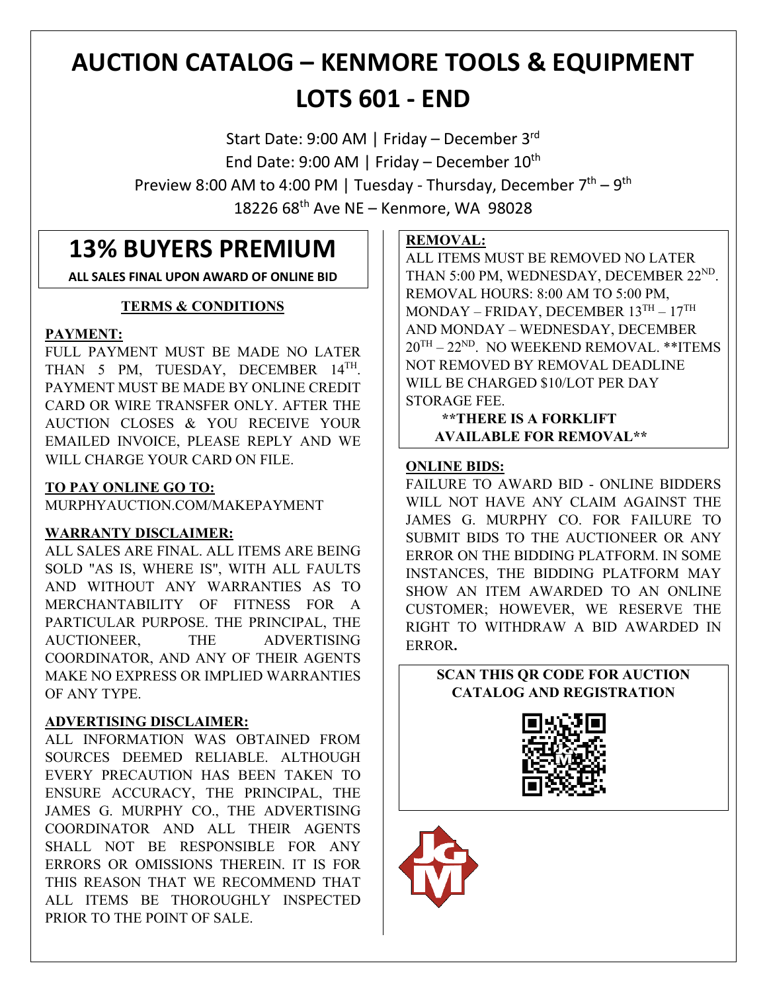# **AUCTION CATALOG – KENMORE TOOLS & EQUIPMENT LOTS 601 - END**

Start Date: 9:00 AM | Friday – December 3rd End Date: 9:00 AM | Friday – December  $10^{th}$ Preview 8:00 AM to 4:00 PM | Tuesday - Thursday, December  $7<sup>th</sup> - 9<sup>th</sup>$ 18226 68th Ave NE – Kenmore, WA 98028

# **13% BUYERS PREMIUM**

**ALL SALES FINAL UPON AWARD OF ONLINE BID**

## **TERMS & CONDITIONS**

## **PAYMENT:**

FULL PAYMENT MUST BE MADE NO LATER THAN 5 PM, TUESDAY, DECEMBER 14TH. PAYMENT MUST BE MADE BY ONLINE CREDIT CARD OR WIRE TRANSFER ONLY. AFTER THE AUCTION CLOSES & YOU RECEIVE YOUR EMAILED INVOICE, PLEASE REPLY AND WE WILL CHARGE YOUR CARD ON FILE.

## **TO PAY ONLINE GO TO:**

MURPHYAUCTION.COM/MAKEPAYMENT

## **WARRANTY DISCLAIMER:**

ALL SALES ARE FINAL. ALL ITEMS ARE BEING SOLD "AS IS, WHERE IS", WITH ALL FAULTS AND WITHOUT ANY WARRANTIES AS TO MERCHANTABILITY OF FITNESS FOR A PARTICULAR PURPOSE. THE PRINCIPAL, THE AUCTIONEER, THE ADVERTISING COORDINATOR, AND ANY OF THEIR AGENTS MAKE NO EXPRESS OR IMPLIED WARRANTIES OF ANY TYPE.

## **ADVERTISING DISCLAIMER:**

ALL INFORMATION WAS OBTAINED FROM SOURCES DEEMED RELIABLE. ALTHOUGH EVERY PRECAUTION HAS BEEN TAKEN TO ENSURE ACCURACY, THE PRINCIPAL, THE JAMES G. MURPHY CO., THE ADVERTISING COORDINATOR AND ALL THEIR AGENTS SHALL NOT BE RESPONSIBLE FOR ANY ERRORS OR OMISSIONS THEREIN. IT IS FOR THIS REASON THAT WE RECOMMEND THAT ALL ITEMS BE THOROUGHLY INSPECTED PRIOR TO THE POINT OF SALE.

## **REMOVAL:**

ALL ITEMS MUST BE REMOVED NO LATER THAN 5:00 PM, WEDNESDAY, DECEMBER 22<sup>ND</sup>. REMOVAL HOURS: 8:00 AM TO 5:00 PM, MONDAY – FRIDAY, DECEMBER  $13^{TH} - 17^{TH}$ AND MONDAY – WEDNESDAY, DECEMBER  $20^{TH} - 22^{ND}$ . NO WEEKEND REMOVAL. \*\*ITEMS NOT REMOVED BY REMOVAL DEADLINE WILL BE CHARGED \$10/LOT PER DAY STORAGE FEE.

 **\*\*THERE IS A FORKLIFT AVAILABLE FOR REMOVAL\*\***

## **ONLINE BIDS:**

FAILURE TO AWARD BID - ONLINE BIDDERS WILL NOT HAVE ANY CLAIM AGAINST THE JAMES G. MURPHY CO. FOR FAILURE TO SUBMIT BIDS TO THE AUCTIONEER OR ANY ERROR ON THE BIDDING PLATFORM. IN SOME INSTANCES, THE BIDDING PLATFORM MAY SHOW AN ITEM AWARDED TO AN ONLINE CUSTOMER; HOWEVER, WE RESERVE THE RIGHT TO WITHDRAW A BID AWARDED IN ERROR**.**

## **SCAN THIS QR CODE FOR AUCTION CATALOG AND REGISTRATION**



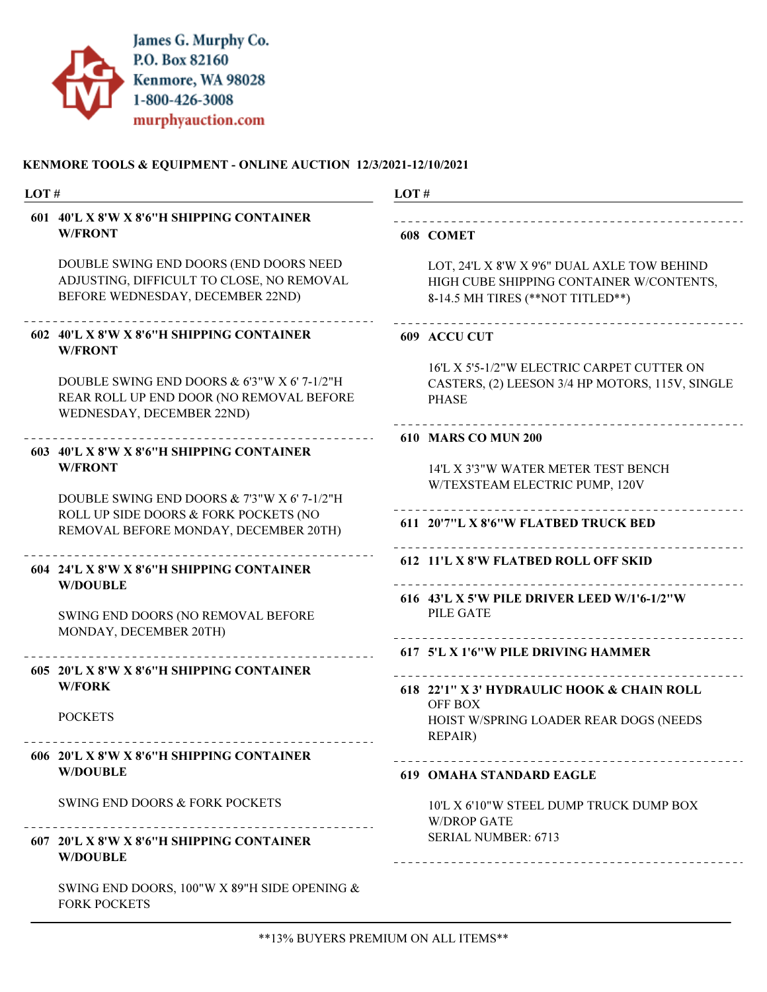

| LOT# |                                                                                                                              | LOT#                                                                                                                        |  |
|------|------------------------------------------------------------------------------------------------------------------------------|-----------------------------------------------------------------------------------------------------------------------------|--|
|      | 601 40'L X 8'W X 8'6"H SHIPPING CONTAINER<br><b>W/FRONT</b>                                                                  | 608 COMET                                                                                                                   |  |
|      | DOUBLE SWING END DOORS (END DOORS NEED<br>ADJUSTING, DIFFICULT TO CLOSE, NO REMOVAL<br>BEFORE WEDNESDAY, DECEMBER 22ND)      | LOT, 24'L X 8'W X 9'6" DUAL AXLE TOW BEHIND<br>HIGH CUBE SHIPPING CONTAINER W/CONTENTS,<br>8-14.5 MH TIRES (**NOT TITLED**) |  |
|      | 602 40'L X 8'W X 8'6"H SHIPPING CONTAINER<br><b>W/FRONT</b>                                                                  | 609 ACCU CUT                                                                                                                |  |
|      | DOUBLE SWING END DOORS & 6'3"W X 6' 7-1/2"H<br>REAR ROLL UP END DOOR (NO REMOVAL BEFORE<br>WEDNESDAY, DECEMBER 22ND)         | 16'L X 5'5-1/2"W ELECTRIC CARPET CUTTER ON<br>CASTERS, (2) LEESON 3/4 HP MOTORS, 115V, SINGLE<br><b>PHASE</b>               |  |
|      |                                                                                                                              | 610 MARS CO MUN 200                                                                                                         |  |
|      | 603 40'L X 8'W X 8'6"H SHIPPING CONTAINER<br><b>W/FRONT</b>                                                                  | 14'L X 3'3"W WATER METER TEST BENCH<br>W/TEXSTEAM ELECTRIC PUMP, 120V                                                       |  |
|      | DOUBLE SWING END DOORS & 7'3"W X 6'7-1/2"H<br>ROLL UP SIDE DOORS & FORK POCKETS (NO<br>REMOVAL BEFORE MONDAY, DECEMBER 20TH) | 611 20'7"L X 8'6"W FLATBED TRUCK BED                                                                                        |  |
|      | 604 24'L X 8'W X 8'6"H SHIPPING CONTAINER<br><b>W/DOUBLE</b>                                                                 | 612 11'L X 8'W FLATBED ROLL OFF SKID                                                                                        |  |
|      | SWING END DOORS (NO REMOVAL BEFORE<br>MONDAY, DECEMBER 20TH)                                                                 | 616 43'L X 5'W PILE DRIVER LEED W/1'6-1/2"W<br><b>PILE GATE</b>                                                             |  |
|      |                                                                                                                              | 617 5'L X 1'6"W PILE DRIVING HAMMER                                                                                         |  |
|      | 605 20'L X 8'W X 8'6"H SHIPPING CONTAINER<br><b>W/FORK</b>                                                                   | 618 22'1" X 3' HYDRAULIC HOOK & CHAIN ROLL                                                                                  |  |
|      | <b>POCKETS</b>                                                                                                               | OFF BOX<br>HOIST W/SPRING LOADER REAR DOGS (NEEDS<br><b>REPAIR)</b>                                                         |  |
|      | 606 20'L X 8'W X 8'6"H SHIPPING CONTAINER<br><b>W/DOUBLE</b>                                                                 | <b>619 OMAHA STANDARD EAGLE</b>                                                                                             |  |
|      | SWING END DOORS & FORK POCKETS                                                                                               | 10'L X 6'10"W STEEL DUMP TRUCK DUMP BOX<br><b>W/DROP GATE</b>                                                               |  |
|      | 607 20'L X 8'W X 8'6"H SHIPPING CONTAINER<br><b>W/DOUBLE</b>                                                                 | <b>SERIAL NUMBER: 6713</b>                                                                                                  |  |
|      | SWING END DOORS, 100"W X 89"H SIDE OPENING &<br><b>FORK POCKETS</b>                                                          |                                                                                                                             |  |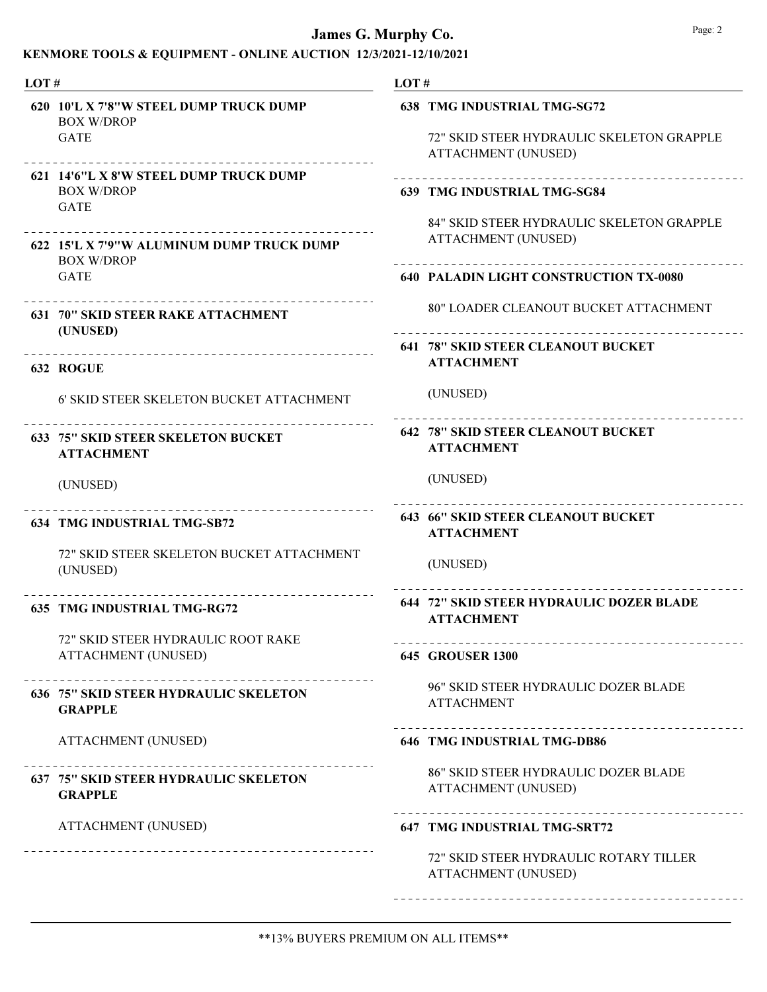| LOT# |                                                                            | LOT# |                                                                                                               |
|------|----------------------------------------------------------------------------|------|---------------------------------------------------------------------------------------------------------------|
|      | 620 10'L X 7'8"W STEEL DUMP TRUCK DUMP<br><b>BOX W/DROP</b><br><b>GATE</b> |      | <b>638 TMG INDUSTRIAL TMG-SG72</b><br>72" SKID STEER HYDRAULIC SKELETON GRAPPLE<br><b>ATTACHMENT (UNUSED)</b> |
|      | 621 14'6"L X 8'W STEEL DUMP TRUCK DUMP<br><b>BOX W/DROP</b><br><b>GATE</b> |      | 639 TMG INDUSTRIAL TMG-SG84                                                                                   |
|      | 622 15'L X 7'9"W ALUMINUM DUMP TRUCK DUMP<br><b>BOX W/DROP</b>             |      | 84" SKID STEER HYDRAULIC SKELETON GRAPPLE<br><b>ATTACHMENT (UNUSED)</b>                                       |
|      | <b>GATE</b>                                                                |      | <b>640 PALADIN LIGHT CONSTRUCTION TX-0080</b>                                                                 |
|      | <b>631 70" SKID STEER RAKE ATTACHMENT</b><br>(UNUSED)                      |      | <b>80" LOADER CLEANOUT BUCKET ATTACHMENT</b>                                                                  |
|      | 632 ROGUE                                                                  |      | <b>641 78" SKID STEER CLEANOUT BUCKET</b><br><b>ATTACHMENT</b>                                                |
|      | 6' SKID STEER SKELETON BUCKET ATTACHMENT                                   |      | (UNUSED)                                                                                                      |
|      | <b>633 75" SKID STEER SKELETON BUCKET</b><br><b>ATTACHMENT</b>             |      | <b>642 78" SKID STEER CLEANOUT BUCKET</b><br><b>ATTACHMENT</b>                                                |
|      | (UNUSED)                                                                   |      | (UNUSED)                                                                                                      |
|      | <b>634 TMG INDUSTRIAL TMG-SB72</b>                                         |      | <b>643 66" SKID STEER CLEANOUT BUCKET</b><br><b>ATTACHMENT</b>                                                |
|      | 72" SKID STEER SKELETON BUCKET ATTACHMENT<br>(UNUSED)                      |      | (UNUSED)                                                                                                      |
|      | <b>635 TMG INDUSTRIAL TMG-RG72</b>                                         |      | 644 72" SKID STEER HYDRAULIC DOZER BLADE<br><b>ATTACHMENT</b>                                                 |
|      | 72" SKID STEER HYDRAULIC ROOT RAKE<br><b>ATTACHMENT (UNUSED)</b>           |      | _______________________________<br><b>645 GROUSER 1300</b>                                                    |
|      | <b>636 75" SKID STEER HYDRAULIC SKELETON</b><br><b>GRAPPLE</b>             |      | 96" SKID STEER HYDRAULIC DOZER BLADE<br><b>ATTACHMENT</b>                                                     |
|      | <b>ATTACHMENT (UNUSED)</b>                                                 |      | <b>646 TMG INDUSTRIAL TMG-DB86</b>                                                                            |
|      | <b>637 75" SKID STEER HYDRAULIC SKELETON</b><br><b>GRAPPLE</b>             |      | <b>86" SKID STEER HYDRAULIC DOZER BLADE</b><br><b>ATTACHMENT (UNUSED)</b>                                     |
|      | <b>ATTACHMENT (UNUSED)</b>                                                 |      | 647 TMG INDUSTRIAL TMG-SRT72                                                                                  |
|      |                                                                            |      | 72" SKID STEER HYDRAULIC ROTARY TILLER<br><b>ATTACHMENT (UNUSED)</b>                                          |
|      |                                                                            |      |                                                                                                               |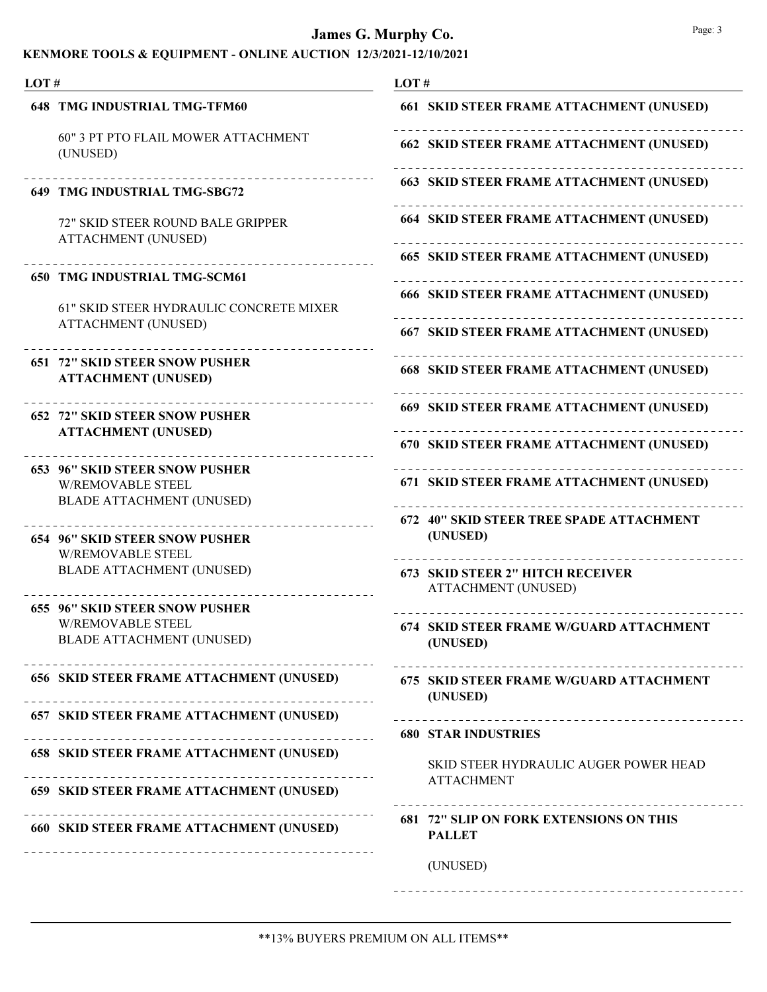| LOT# |                                                                              | LOT#                                                                       |
|------|------------------------------------------------------------------------------|----------------------------------------------------------------------------|
|      | <b>648 TMG INDUSTRIAL TMG-TFM60</b>                                          | 661 SKID STEER FRAME ATTACHMENT (UNUSED)                                   |
|      | <b>60" 3 PT PTO FLAIL MOWER ATTACHMENT</b><br>(UNUSED)                       | 662 SKID STEER FRAME ATTACHMENT (UNUSED)                                   |
|      | 649 TMG INDUSTRIAL TMG-SBG72                                                 | 663 SKID STEER FRAME ATTACHMENT (UNUSED)                                   |
|      | 72" SKID STEER ROUND BALE GRIPPER<br><b>ATTACHMENT (UNUSED)</b>              | <b>664 SKID STEER FRAME ATTACHMENT (UNUSED)</b>                            |
|      | <b>650 TMG INDUSTRIAL TMG-SCM61</b>                                          | <b>665 SKID STEER FRAME ATTACHMENT (UNUSED)</b>                            |
|      |                                                                              | <b>666 SKID STEER FRAME ATTACHMENT (UNUSED)</b>                            |
|      | <b>61" SKID STEER HYDRAULIC CONCRETE MIXER</b><br><b>ATTACHMENT (UNUSED)</b> | 667 SKID STEER FRAME ATTACHMENT (UNUSED)                                   |
|      | <b>651 72" SKID STEER SNOW PUSHER</b><br><b>ATTACHMENT (UNUSED)</b>          | <b>668 SKID STEER FRAME ATTACHMENT (UNUSED)</b>                            |
|      | <b>652 72" SKID STEER SNOW PUSHER</b>                                        | 669 SKID STEER FRAME ATTACHMENT (UNUSED)                                   |
|      | <b>ATTACHMENT (UNUSED)</b>                                                   | 670 SKID STEER FRAME ATTACHMENT (UNUSED)                                   |
|      | <b>653 96" SKID STEER SNOW PUSHER</b><br><b>W/REMOVABLE STEEL</b>            | 671 SKID STEER FRAME ATTACHMENT (UNUSED)                                   |
|      | <b>BLADE ATTACHMENT (UNUSED)</b>                                             | 672 40" SKID STEER TREE SPADE ATTACHMENT                                   |
|      | <b>654 96" SKID STEER SNOW PUSHER</b><br><b>W/REMOVABLE STEEL</b>            | (UNUSED)                                                                   |
|      | <b>BLADE ATTACHMENT (UNUSED)</b>                                             | 673 SKID STEER 2" HITCH RECEIVER<br><b>ATTACHMENT (UNUSED)</b>             |
|      | <b>655 96" SKID STEER SNOW PUSHER</b><br><b>W/REMOVABLE STEEL</b>            |                                                                            |
|      | <b>BLADE ATTACHMENT (UNUSED)</b>                                             | <b>674 SKID STEER FRAME W/GUARD ATTACHMENT</b><br>(UNUSED)                 |
|      | 656 SKID STEER FRAME ATTACHMENT (UNUSED)                                     | 675 SKID STEER FRAME W/GUARD ATTACHMENT<br>(UNUSED)                        |
|      | 657 SKID STEER FRAME ATTACHMENT (UNUSED)                                     |                                                                            |
|      | <b>658 SKID STEER FRAME ATTACHMENT (UNUSED)</b>                              | <b>680 STAR INDUSTRIES</b><br><b>SKID STEER HYDRAULIC AUGER POWER HEAD</b> |
|      | 659 SKID STEER FRAME ATTACHMENT (UNUSED)                                     | <b>ATTACHMENT</b>                                                          |
|      | <b>660 SKID STEER FRAME ATTACHMENT (UNUSED)</b>                              | <b>681 72" SLIP ON FORK EXTENSIONS ON THIS</b><br><b>PALLET</b>            |
|      |                                                                              | (UNUSED)                                                                   |
|      |                                                                              |                                                                            |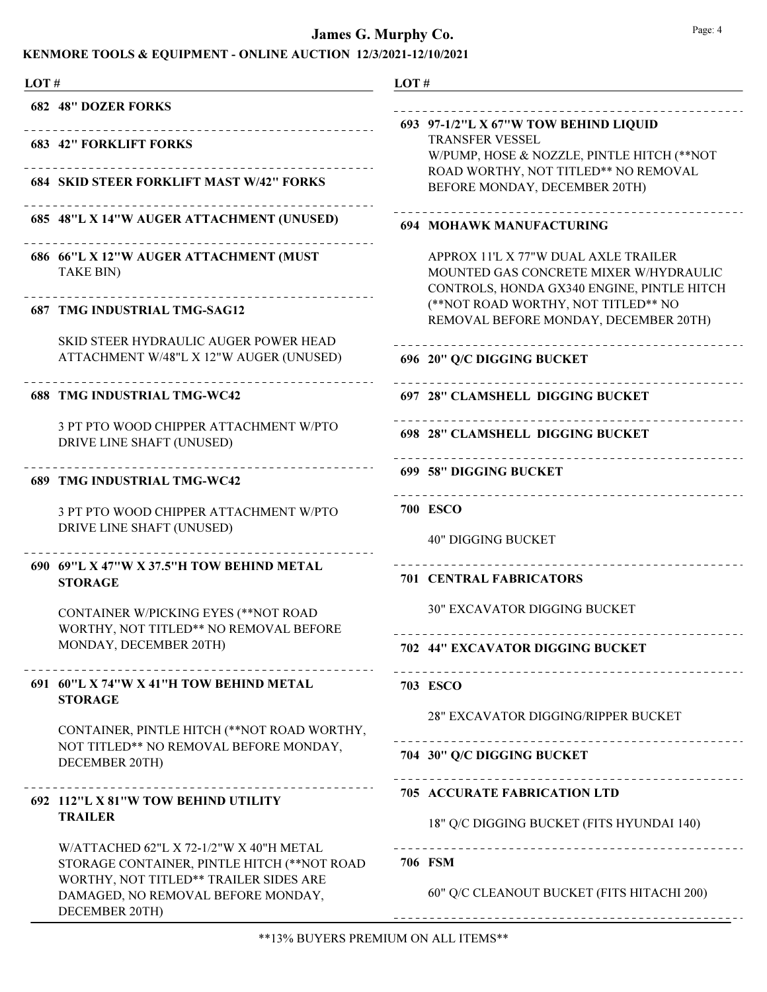| LOT# |                                                                                                                                                                        | LOT#                                                                                                                         |
|------|------------------------------------------------------------------------------------------------------------------------------------------------------------------------|------------------------------------------------------------------------------------------------------------------------------|
|      | <b>682 48" DOZER FORKS</b>                                                                                                                                             |                                                                                                                              |
|      | ______________________<br><b>683 42" FORKLIFT FORKS</b>                                                                                                                | 693 97-1/2"L X 67"W TOW BEHIND LIQUID<br><b>TRANSFER VESSEL</b><br>W/PUMP, HOSE & NOZZLE, PINTLE HITCH (**NOT                |
|      | <b>684 SKID STEER FORKLIFT MAST W/42" FORKS</b>                                                                                                                        | ROAD WORTHY, NOT TITLED** NO REMOVAL<br>BEFORE MONDAY, DECEMBER 20TH)                                                        |
|      | 685 48"L X 14"W AUGER ATTACHMENT (UNUSED)                                                                                                                              | <b>694 MOHAWK MANUFACTURING</b>                                                                                              |
|      | 686 66"L X 12"W AUGER ATTACHMENT (MUST<br>TAKE BIN)                                                                                                                    | APPROX 11'L X 77"W DUAL AXLE TRAILER<br>MOUNTED GAS CONCRETE MIXER W/HYDRAULIC<br>CONTROLS, HONDA GX340 ENGINE, PINTLE HITCH |
|      | <b>687 TMG INDUSTRIAL TMG-SAG12</b>                                                                                                                                    | (**NOT ROAD WORTHY, NOT TITLED** NO<br>REMOVAL BEFORE MONDAY, DECEMBER 20TH)                                                 |
|      | SKID STEER HYDRAULIC AUGER POWER HEAD<br>ATTACHMENT W/48"L X 12"W AUGER (UNUSED)                                                                                       | _____________________________<br>696 20" Q/C DIGGING BUCKET                                                                  |
|      | <b>688 TMG INDUSTRIAL TMG-WC42</b>                                                                                                                                     | 697 28" CLAMSHELL DIGGING BUCKET                                                                                             |
|      | 3 PT PTO WOOD CHIPPER ATTACHMENT W/PTO<br>DRIVE LINE SHAFT (UNUSED)                                                                                                    | 698 28" CLAMSHELL DIGGING BUCKET                                                                                             |
|      | 689 TMG INDUSTRIAL TMG-WC42                                                                                                                                            | 699 58" DIGGING BUCKET<br>_______________________________                                                                    |
|      | 3 PT PTO WOOD CHIPPER ATTACHMENT W/PTO<br>DRIVE LINE SHAFT (UNUSED)                                                                                                    | <b>700 ESCO</b>                                                                                                              |
|      |                                                                                                                                                                        | <b>40" DIGGING BUCKET</b>                                                                                                    |
|      | 690 69"L X 47"W X 37.5"H TOW BEHIND METAL<br><b>STORAGE</b>                                                                                                            | <b>701 CENTRAL FABRICATORS</b>                                                                                               |
|      | CONTAINER W/PICKING EYES (**NOT ROAD<br>WORTHY, NOT TITLED** NO REMOVAL BEFORE                                                                                         | <b>30" EXCAVATOR DIGGING BUCKET</b>                                                                                          |
|      | MONDAY, DECEMBER 20TH)                                                                                                                                                 | 702 44" EXCAVATOR DIGGING BUCKET                                                                                             |
|      | 691 60"L X 74"W X 41"H TOW BEHIND METAL<br><b>STORAGE</b>                                                                                                              | 703 ESCO                                                                                                                     |
|      | CONTAINER, PINTLE HITCH (**NOT ROAD WORTHY,                                                                                                                            | <b>28" EXCAVATOR DIGGING/RIPPER BUCKET</b><br>--------------------------------                                               |
|      | NOT TITLED** NO REMOVAL BEFORE MONDAY,<br>DECEMBER 20TH)                                                                                                               | 704 30" Q/C DIGGING BUCKET                                                                                                   |
|      | ----------------------------------<br>692 112"L X 81"W TOW BEHIND UTILITY<br><b>TRAILER</b>                                                                            | <b>705 ACCURATE FABRICATION LTD</b><br>18" Q/C DIGGING BUCKET (FITS HYUNDAI 140)                                             |
|      | W/ATTACHED 62"L X 72-1/2"W X 40"H METAL<br>STORAGE CONTAINER, PINTLE HITCH (**NOT ROAD<br>WORTHY, NOT TITLED** TRAILER SIDES ARE<br>DAMAGED, NO REMOVAL BEFORE MONDAY, | 706 FSM<br>60" Q/C CLEANOUT BUCKET (FITS HITACHI 200)                                                                        |
|      | DECEMBER 20TH)                                                                                                                                                         |                                                                                                                              |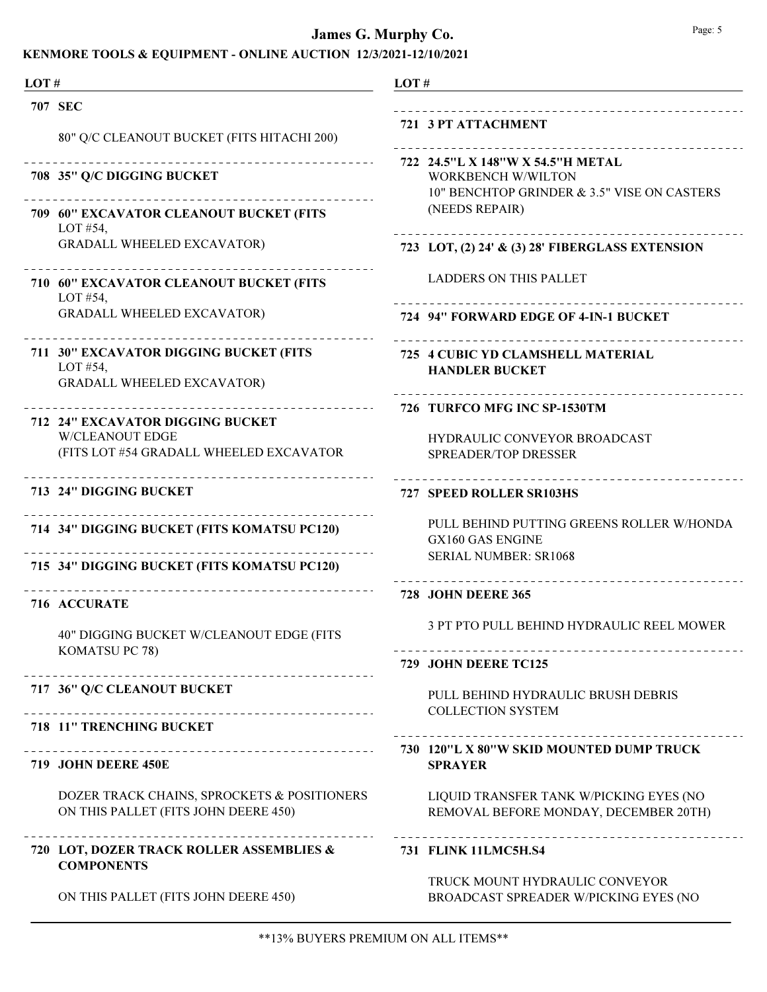| LOT# |                                                                                                       | LOT# |                                                                                                               |
|------|-------------------------------------------------------------------------------------------------------|------|---------------------------------------------------------------------------------------------------------------|
|      | 707 SEC                                                                                               |      |                                                                                                               |
|      | 80" Q/C CLEANOUT BUCKET (FITS HITACHI 200)                                                            |      | 721 3 PT ATTACHMENT<br>_______________________                                                                |
|      | 708 35" Q/C DIGGING BUCKET                                                                            |      | 722 24.5"L X 148"W X 54.5"H METAL<br><b>WORKBENCH W/WILTON</b><br>10" BENCHTOP GRINDER & 3.5" VISE ON CASTERS |
|      | ------------------<br>709 60" EXCAVATOR CLEANOUT BUCKET (FITS<br>LOT #54,                             |      | (NEEDS REPAIR)                                                                                                |
|      | <b>GRADALL WHEELED EXCAVATOR)</b>                                                                     |      | 723 LOT, (2) 24' & (3) 28' FIBERGLASS EXTENSION                                                               |
|      | 710 60" EXCAVATOR CLEANOUT BUCKET (FITS<br>LOT $#54$ ,                                                |      | <b>LADDERS ON THIS PALLET</b>                                                                                 |
|      | <b>GRADALL WHEELED EXCAVATOR)</b>                                                                     |      | 724 94" FORWARD EDGE OF 4-IN-1 BUCKET                                                                         |
|      | 711 30" EXCAVATOR DIGGING BUCKET (FITS<br>LOT #54,<br><b>GRADALL WHEELED EXCAVATOR)</b>               |      | 725 4 CUBIC YD CLAMSHELL MATERIAL<br><b>HANDLER BUCKET</b>                                                    |
|      |                                                                                                       |      | 726 TURFCO MFG INC SP-1530TM                                                                                  |
|      | 712 24" EXCAVATOR DIGGING BUCKET<br><b>W/CLEANOUT EDGE</b><br>(FITS LOT #54 GRADALL WHEELED EXCAVATOR |      | <b>HYDRAULIC CONVEYOR BROADCAST</b><br><b>SPREADER/TOP DRESSER</b>                                            |
|      | 713 24" DIGGING BUCKET                                                                                |      | _______________<br>727 SPEED ROLLER SR103HS                                                                   |
|      | 714 34" DIGGING BUCKET (FITS KOMATSU PC120)                                                           |      | PULL BEHIND PUTTING GREENS ROLLER W/HONDA<br><b>GX160 GAS ENGINE</b>                                          |
|      | 715 34" DIGGING BUCKET (FITS KOMATSU PC120)                                                           |      | <b>SERIAL NUMBER: SR1068</b>                                                                                  |
|      | <b>716 ACCURATE</b>                                                                                   |      | <b>728 JOHN DEERE 365</b>                                                                                     |
|      | 40" DIGGING BUCKET W/CLEANOUT EDGE (FITS                                                              |      | 3 PT PTO PULL BEHIND HYDRAULIC REEL MOWER                                                                     |
|      | KOMATSU PC 78)                                                                                        |      | 729 JOHN DEERE TC125                                                                                          |
|      | 717 36" Q/C CLEANOUT BUCKET<br>________________________                                               |      | PULL BEHIND HYDRAULIC BRUSH DEBRIS<br><b>COLLECTION SYSTEM</b>                                                |
|      | 718 11" TRENCHING BUCKET                                                                              |      |                                                                                                               |
|      | _______________________________<br>719 JOHN DEERE 450E                                                |      | 730 120"L X 80"W SKID MOUNTED DUMP TRUCK<br><b>SPRAYER</b>                                                    |
|      | DOZER TRACK CHAINS, SPROCKETS & POSITIONERS<br>ON THIS PALLET (FITS JOHN DEERE 450)                   |      | LIQUID TRANSFER TANK W/PICKING EYES (NO<br>REMOVAL BEFORE MONDAY, DECEMBER 20TH)                              |
|      | 720 LOT, DOZER TRACK ROLLER ASSEMBLIES &<br><b>COMPONENTS</b>                                         |      | 731 FLINK 11LMC5H.S4                                                                                          |
|      | ON THIS PALLET (FITS JOHN DEERE 450)                                                                  |      | TRUCK MOUNT HYDRAULIC CONVEYOR<br>BROADCAST SPREADER W/PICKING EYES (NO                                       |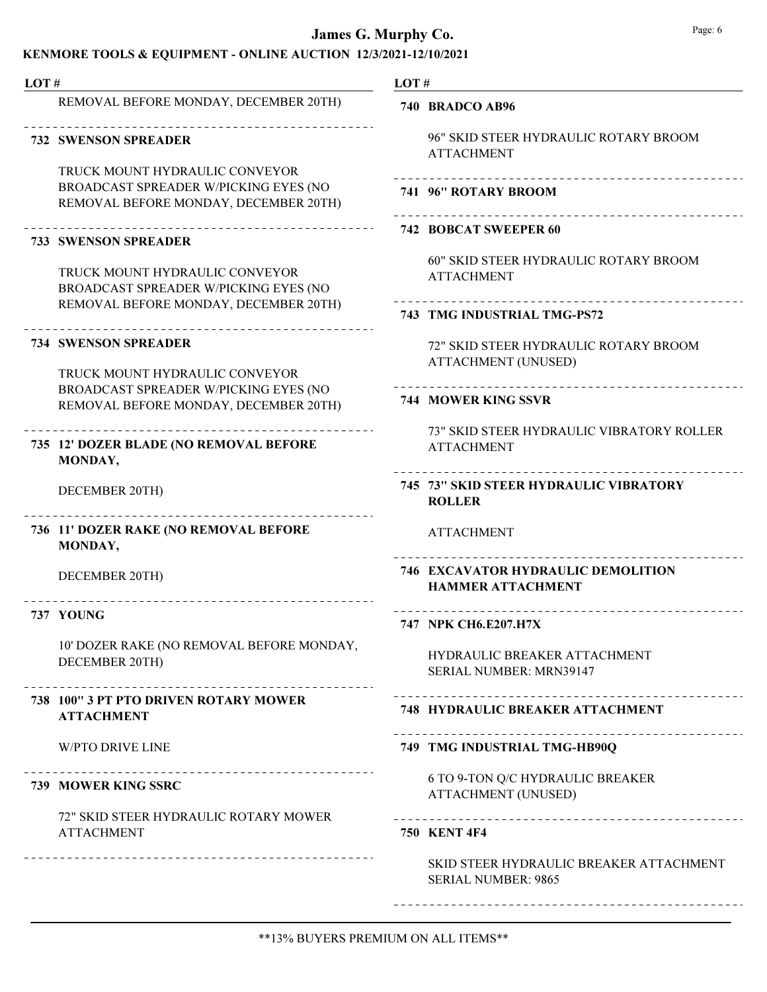## James G. Murphy Co. **Page: 6** Page: 6

### KENMORE TOOLS & EQUIPMENT - ONLINE AUCTION 12/3/2021-12/10/2021

| LOT# |                                                                                                                  | LOT# |                                                                       |
|------|------------------------------------------------------------------------------------------------------------------|------|-----------------------------------------------------------------------|
|      | REMOVAL BEFORE MONDAY, DECEMBER 20TH)                                                                            |      | 740 BRADCO AB96                                                       |
|      | <b>732 SWENSON SPREADER</b>                                                                                      |      | 96" SKID STEER HYDRAULIC ROTARY BROOM<br><b>ATTACHMENT</b>            |
|      | TRUCK MOUNT HYDRAULIC CONVEYOR<br>BROADCAST SPREADER W/PICKING EYES (NO<br>REMOVAL BEFORE MONDAY, DECEMBER 20TH) |      | ____________________<br>741 96" ROTARY BROOM                          |
|      | <b>733 SWENSON SPREADER</b>                                                                                      |      | <b>742 BOBCAT SWEEPER 60</b>                                          |
|      | TRUCK MOUNT HYDRAULIC CONVEYOR<br>BROADCAST SPREADER W/PICKING EYES (NO<br>REMOVAL BEFORE MONDAY, DECEMBER 20TH) |      | 60" SKID STEER HYDRAULIC ROTARY BROOM<br><b>ATTACHMENT</b>            |
|      |                                                                                                                  |      | <b>743 TMG INDUSTRIAL TMG-PS72</b>                                    |
|      | <b>734 SWENSON SPREADER</b>                                                                                      |      | 72" SKID STEER HYDRAULIC ROTARY BROOM<br><b>ATTACHMENT (UNUSED)</b>   |
|      | TRUCK MOUNT HYDRAULIC CONVEYOR<br>BROADCAST SPREADER W/PICKING EYES (NO<br>REMOVAL BEFORE MONDAY, DECEMBER 20TH) |      | <b>744 MOWER KING SSVR</b>                                            |
|      | 735 12' DOZER BLADE (NO REMOVAL BEFORE<br>MONDAY,                                                                |      | 73" SKID STEER HYDRAULIC VIBRATORY ROLLER<br><b>ATTACHMENT</b>        |
|      | DECEMBER 20TH)                                                                                                   |      | 745 73" SKID STEER HYDRAULIC VIBRATORY<br><b>ROLLER</b>               |
|      | 736 11' DOZER RAKE (NO REMOVAL BEFORE<br>MONDAY,                                                                 |      | <b>ATTACHMENT</b>                                                     |
|      | DECEMBER 20TH)                                                                                                   |      | <b>746 EXCAVATOR HYDRAULIC DEMOLITION</b><br><b>HAMMER ATTACHMENT</b> |
|      | 737 YOUNG                                                                                                        |      | 747 NPK CH6.E207.H7X                                                  |
|      | 10' DOZER RAKE (NO REMOVAL BEFORE MONDAY,<br>DECEMBER 20TH)                                                      |      | HYDRAULIC BREAKER ATTACHMENT<br><b>SERIAL NUMBER: MRN39147</b>        |
|      | 738 100" 3 PT PTO DRIVEN ROTARY MOWER<br><b>ATTACHMENT</b>                                                       |      | <b>748 HYDRAULIC BREAKER ATTACHMENT</b>                               |
|      | <b>W/PTO DRIVE LINE</b>                                                                                          |      | 749 TMG INDUSTRIAL TMG-HB90Q                                          |
|      | 739 MOWER KING SSRC                                                                                              |      | 6 TO 9-TON Q/C HYDRAULIC BREAKER<br><b>ATTACHMENT (UNUSED)</b>        |
|      | 72" SKID STEER HYDRAULIC ROTARY MOWER<br><b>ATTACHMENT</b>                                                       |      | <b>750 KENT 4F4</b>                                                   |
|      | ---------------------------------                                                                                |      | SKID STEER HYDRAULIC BREAKER ATTACHMENT<br><b>SERIAL NUMBER: 9865</b> |

\_\_\_\_\_\_\_\_\_\_\_\_\_\_\_\_\_\_\_\_\_

\_\_\_\_\_\_\_\_\_\_\_\_\_\_\_\_\_\_\_\_\_

\_\_\_\_\_\_\_\_\_\_\_\_\_\_\_\_\_\_\_\_\_

---------------------

----------------------

\_\_\_\_\_\_\_\_\_\_\_\_\_\_\_\_\_\_\_\_\_\_

\_\_\_\_\_\_\_\_\_\_\_\_\_\_\_\_\_\_\_\_\_\_\_

---------------------

\_\_\_\_\_\_\_\_\_\_\_\_\_\_\_\_\_\_\_\_\_

\_\_\_\_\_\_\_\_\_\_\_\_\_\_\_\_\_\_\_\_\_\_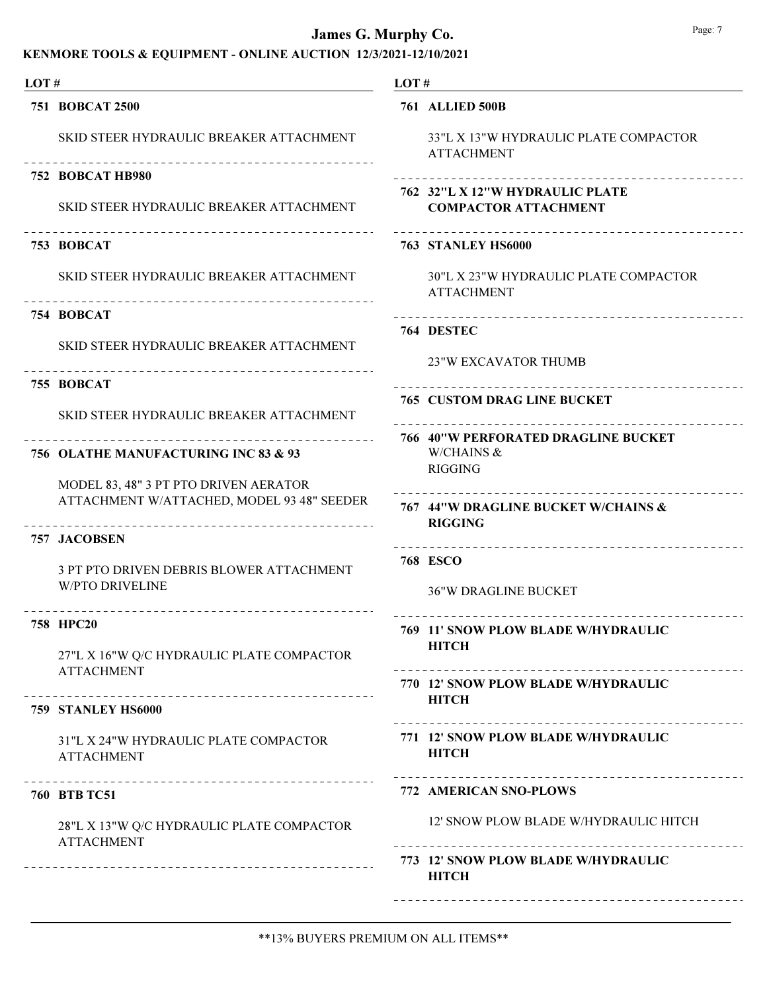| LOT# |                                                                                                            | LOT#                                                           |  |
|------|------------------------------------------------------------------------------------------------------------|----------------------------------------------------------------|--|
|      | 751 BOBCAT 2500                                                                                            | <b>761 ALLIED 500B</b>                                         |  |
|      | SKID STEER HYDRAULIC BREAKER ATTACHMENT                                                                    | 33"L X 13"W HYDRAULIC PLATE COMPACTOR<br><b>ATTACHMENT</b>     |  |
|      | 752 BOBCAT HB980                                                                                           | --------------------------------                               |  |
|      | SKID STEER HYDRAULIC BREAKER ATTACHMENT                                                                    | 762 32"L X 12"W HYDRAULIC PLATE<br><b>COMPACTOR ATTACHMENT</b> |  |
|      | 753 BOBCAT                                                                                                 | <b>763 STANLEY HS6000</b>                                      |  |
|      | SKID STEER HYDRAULIC BREAKER ATTACHMENT                                                                    | 30"L X 23"W HYDRAULIC PLATE COMPACTOR<br><b>ATTACHMENT</b>     |  |
|      | 754 BOBCAT                                                                                                 |                                                                |  |
|      | SKID STEER HYDRAULIC BREAKER ATTACHMENT                                                                    | 764 DESTEC                                                     |  |
|      | ---------------------------------                                                                          | <b>23"W EXCAVATOR THUMB</b>                                    |  |
|      | 755 BOBCAT                                                                                                 | ______________________<br><b>765 CUSTOM DRAG LINE BUCKET</b>   |  |
|      | SKID STEER HYDRAULIC BREAKER ATTACHMENT                                                                    |                                                                |  |
|      |                                                                                                            | <b>766 40"W PERFORATED DRAGLINE BUCKET</b>                     |  |
|      | 756 OLATHE MANUFACTURING INC 83 & 93                                                                       | W/CHAINS &<br><b>RIGGING</b>                                   |  |
|      | MODEL 83, 48" 3 PT PTO DRIVEN AERATOR                                                                      |                                                                |  |
|      | ATTACHMENT W/ATTACHED, MODEL 93 48" SEEDER                                                                 | 767 44"W DRAGLINE BUCKET W/CHAINS &<br><b>RIGGING</b>          |  |
|      | <b>757 JACOBSEN</b>                                                                                        | ----------------------------------                             |  |
|      | 3 PT PTO DRIVEN DEBRIS BLOWER ATTACHMENT<br><b>W/PTO DRIVELINE</b><br>------------------------------------ | <b>768 ESCO</b>                                                |  |
|      |                                                                                                            | <b>36"W DRAGLINE BUCKET</b>                                    |  |
|      | 758 HPC20                                                                                                  | 769 11' SNOW PLOW BLADE W/HYDRAULIC                            |  |
|      | 27"L X 16"W Q/C HYDRAULIC PLATE COMPACTOR                                                                  | <b>HITCH</b>                                                   |  |
|      | <b>ATTACHMENT</b>                                                                                          | 770 12' SNOW PLOW BLADE W/HYDRAULIC                            |  |
|      | 759 STANLEY HS6000                                                                                         | <b>HITCH</b>                                                   |  |
|      |                                                                                                            |                                                                |  |
|      | 31"L X 24"W HYDRAULIC PLATE COMPACTOR<br><b>ATTACHMENT</b>                                                 | 771 12' SNOW PLOW BLADE W/HYDRAULIC<br><b>HITCH</b>            |  |
|      |                                                                                                            |                                                                |  |
|      | <b>760 BTB TC51</b>                                                                                        | 772 AMERICAN SNO-PLOWS                                         |  |
|      | 28"L X 13"W Q/C HYDRAULIC PLATE COMPACTOR<br><b>ATTACHMENT</b>                                             | 12' SNOW PLOW BLADE W/HYDRAULIC HITCH                          |  |
|      |                                                                                                            | 773 12' SNOW PLOW BLADE W/HYDRAULIC<br><b>HITCH</b>            |  |
|      |                                                                                                            |                                                                |  |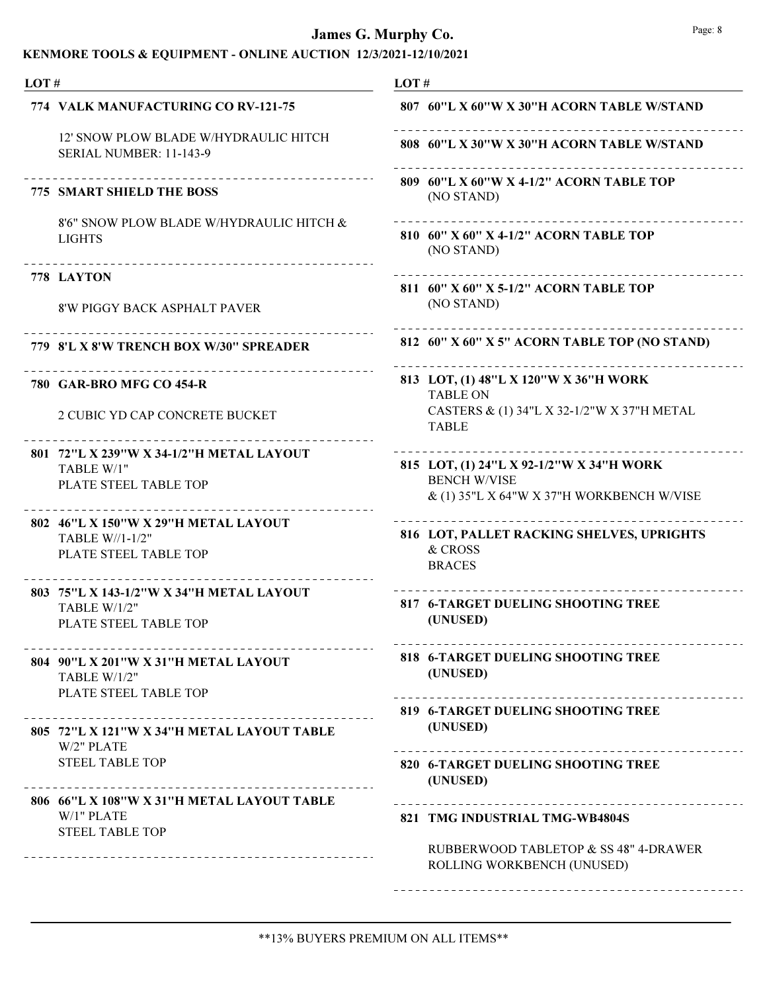| LOT# |                                                                                                         | LOT#                                                                 |
|------|---------------------------------------------------------------------------------------------------------|----------------------------------------------------------------------|
|      | 774 VALK MANUFACTURING CO RV-121-75                                                                     | 807 60"L X 60"W X 30"H ACORN TABLE W/STAND                           |
|      | 12' SNOW PLOW BLADE W/HYDRAULIC HITCH<br>SERIAL NUMBER: 11-143-9                                        | 808 60"L X 30"W X 30"H ACORN TABLE W/STAND                           |
|      | <b>775 SMART SHIELD THE BOSS</b>                                                                        | 809 60"L X 60"W X 4-1/2" ACORN TABLE TOP<br>(NO STAND)               |
|      | 8'6" SNOW PLOW BLADE W/HYDRAULIC HITCH &<br><b>LIGHTS</b>                                               | 810 60" X 60" X 4-1/2" ACORN TABLE TOP<br>(NO STAND)                 |
|      | 778 LAYTON                                                                                              | 811 60" X 60" X 5-1/2" ACORN TABLE TOP                               |
|      | 8'W PIGGY BACK ASPHALT PAVER                                                                            | (NO STAND)                                                           |
|      | 779 8'L X 8'W TRENCH BOX W/30" SPREADER                                                                 | 812 60" X 60" X 5" ACORN TABLE TOP (NO STAND)                        |
|      | 780 GAR-BRO MFG CO 454-R                                                                                | 813 LOT, (1) 48"L X 120"W X 36"H WORK<br><b>TABLE ON</b>             |
|      | 2 CUBIC YD CAP CONCRETE BUCKET                                                                          | CASTERS & (1) 34"L X 32-1/2"W X 37"H METAL<br><b>TABLE</b>           |
|      | 801 72"L X 239"W X 34-1/2"H METAL LAYOUT                                                                | 815 LOT, (1) 24"L X 92-1/2"W X 34"H WORK                             |
|      | TABLE W/1"<br>PLATE STEEL TABLE TOP                                                                     | <b>BENCH W/VISE</b><br>& (1) 35"L X 64"W X 37"H WORKBENCH W/VISE     |
|      | 802 46"L X 150"W X 29"H METAL LAYOUT                                                                    | 816 LOT, PALLET RACKING SHELVES, UPRIGHTS                            |
|      | TABLE W//1-1/2"<br>PLATE STEEL TABLE TOP                                                                | & CROSS<br><b>BRACES</b>                                             |
|      | 803 75"L X 143-1/2"W X 34"H METAL LAYOUT<br>TABLE W/1/2"<br>PLATE STEEL TABLE TOP                       | 817 6-TARGET DUELING SHOOTING TREE<br>(UNUSED)                       |
|      | ______________________<br>804 90"L X 201"W X 31"H METAL LAYOUT<br>TABLE W/1/2"<br>PLATE STEEL TABLE TOP | 818 6-TARGET DUELING SHOOTING TREE<br>(UNUSED)                       |
|      |                                                                                                         | 819 6-TARGET DUELING SHOOTING TREE                                   |
|      | 805 72"L X 121"W X 34"H METAL LAYOUT TABLE<br>W/2" PLATE                                                | (UNUSED)                                                             |
|      | <b>STEEL TABLE TOP</b>                                                                                  | 820 6-TARGET DUELING SHOOTING TREE<br>(UNUSED)                       |
|      | 806 66"L X 108"W X 31"H METAL LAYOUT TABLE<br>W/1" PLATE<br><b>STEEL TABLE TOP</b>                      | __________________________________<br>821 TMG INDUSTRIAL TMG-WB4804S |
|      |                                                                                                         | RUBBERWOOD TABLETOP & SS 48" 4-DRAWER<br>ROLLING WORKBENCH (UNUSED)  |
|      |                                                                                                         |                                                                      |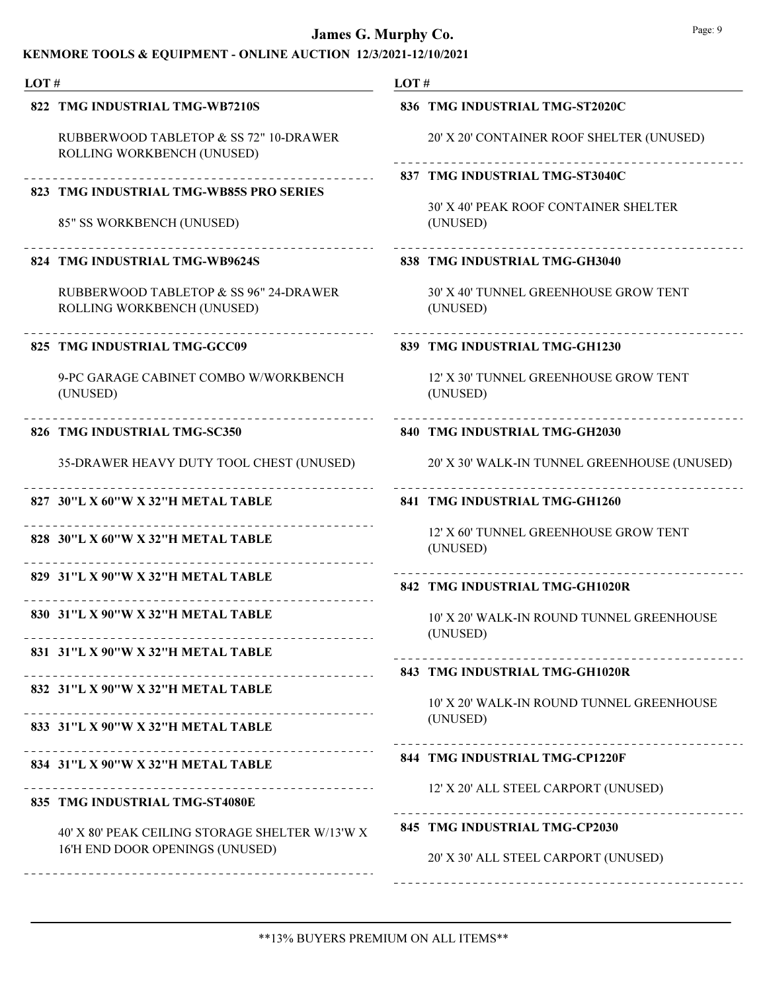## KENMORE TOOLS & EQUIPMENT - ONLINE AUCTION 12/3/2021-12/10/2021

| LOT# |                                                                      | LOT $#$ |                                                                             |
|------|----------------------------------------------------------------------|---------|-----------------------------------------------------------------------------|
|      | 822 TMG INDUSTRIAL TMG-WB7210S                                       |         | 836 TMG INDUSTRIAL TMG-ST2020C                                              |
|      | RUBBERWOOD TABLETOP & SS 72" 10-DRAWER<br>ROLLING WORKBENCH (UNUSED) |         | 20' X 20' CONTAINER ROOF SHELTER (UNUSED)                                   |
|      | 823 TMG INDUSTRIAL TMG-WB85S PRO SERIES                              |         | 837 TMG INDUSTRIAL TMG-ST3040C                                              |
|      | 85" SS WORKBENCH (UNUSED)                                            |         | 30' X 40' PEAK ROOF CONTAINER SHELTER<br>(UNUSED)                           |
|      | 824 TMG INDUSTRIAL TMG-WB9624S                                       |         | 838 TMG INDUSTRIAL TMG-GH3040                                               |
|      | RUBBERWOOD TABLETOP & SS 96" 24-DRAWER<br>ROLLING WORKBENCH (UNUSED) |         | 30' X 40' TUNNEL GREENHOUSE GROW TENT<br>(UNUSED)                           |
|      | 825 TMG INDUSTRIAL TMG-GCC09                                         |         | 839 TMG INDUSTRIAL TMG-GH1230                                               |
|      | 9-PC GARAGE CABINET COMBO W/WORKBENCH<br>(UNUSED)                    |         | 12' X 30' TUNNEL GREENHOUSE GROW TENT<br>(UNUSED)                           |
|      | 826 TMG INDUSTRIAL TMG-SC350                                         |         | 840 TMG INDUSTRIAL TMG-GH2030                                               |
|      | 35-DRAWER HEAVY DUTY TOOL CHEST (UNUSED)                             |         | 20' X 30' WALK-IN TUNNEL GREENHOUSE (UNUSED)                                |
|      | 827 30"L X 60"W X 32"H METAL TABLE                                   |         | 841 TMG INDUSTRIAL TMG-GH1260                                               |
|      | 828 30"L X 60"W X 32"H METAL TABLE<br>_ _ _ _ _ _ _ _ _ _ _ _ _ _    |         | 12' X 60' TUNNEL GREENHOUSE GROW TENT<br>(UNUSED)                           |
|      | 829 31"L X 90"W X 32"H METAL TABLE                                   |         | 842 TMG INDUSTRIAL TMG-GH1020R                                              |
|      | 830 31"L X 90"W X 32"H METAL TABLE                                   |         | 10' X 20' WALK-IN ROUND TUNNEL GREENHOUSE<br>(UNUSED)                       |
|      | 831 31"L X 90"W X 32"H METAL TABLE                                   |         |                                                                             |
|      | ________________<br>832 31"L X 90"W X 32"H METAL TABLE               |         | 843 TMG INDUSTRIAL TMG-GH1020R<br>10' X 20' WALK-IN ROUND TUNNEL GREENHOUSE |
|      | 833 31"L X 90"W X 32"H METAL TABLE                                   |         | (UNUSED)                                                                    |
|      | 834 31"L X 90"W X 32"H METAL TABLE                                   |         | 844 TMG INDUSTRIAL TMG-CP1220F                                              |
|      | 835 TMG INDUSTRIAL TMG-ST4080E                                       |         | 12' X 20' ALL STEEL CARPORT (UNUSED)                                        |
|      | 40' X 80' PEAK CEILING STORAGE SHELTER W/13'W X                      |         | 845 TMG INDUSTRIAL TMG-CP2030                                               |
|      | 16'H END DOOR OPENINGS (UNUSED)                                      |         | 20' X 30' ALL STEEL CARPORT (UNUSED)                                        |
|      |                                                                      |         |                                                                             |

\*\*13% BUYERS PREMIUM ON ALL ITEMS\*\*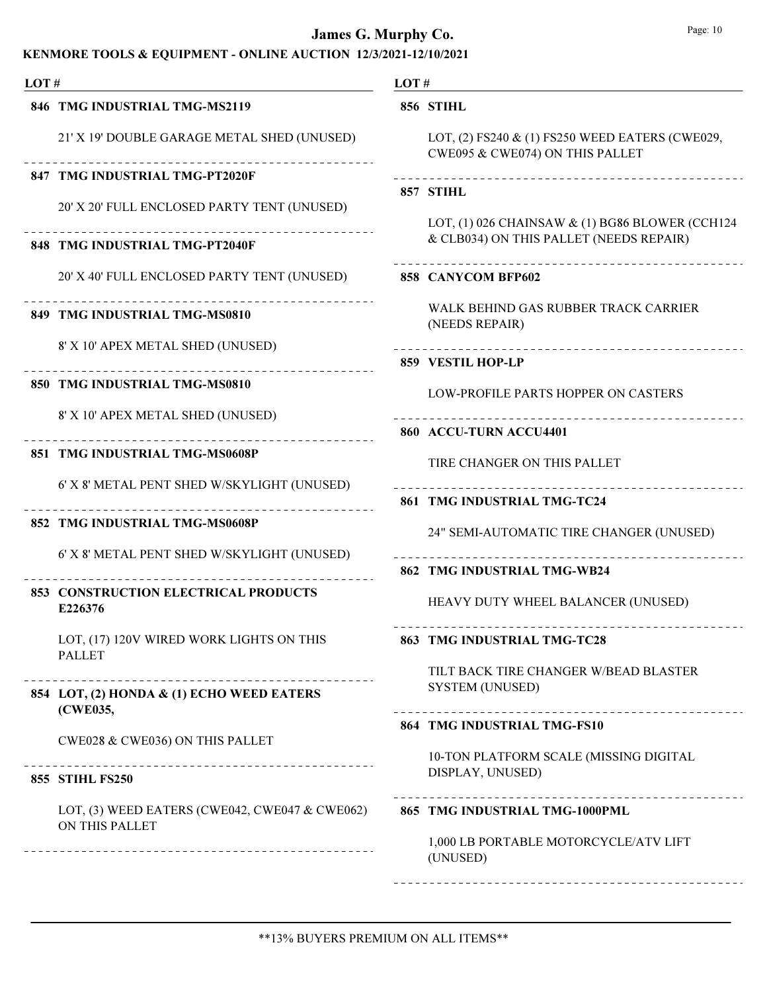| LOT $#$ |                                                                  | LOT# |                                                                                    |
|---------|------------------------------------------------------------------|------|------------------------------------------------------------------------------------|
|         | 846 TMG INDUSTRIAL TMG-MS2119                                    |      | 856 STIHL                                                                          |
|         | 21' X 19' DOUBLE GARAGE METAL SHED (UNUSED)                      |      | LOT, (2) FS240 & (1) FS250 WEED EATERS (CWE029,<br>CWE095 & CWE074) ON THIS PALLET |
|         | 847 TMG INDUSTRIAL TMG-PT2020F                                   |      |                                                                                    |
|         | 20' X 20' FULL ENCLOSED PARTY TENT (UNUSED)                      |      | 857 STIHL<br>LOT, (1) 026 CHAINSAW $\&$ (1) BG86 BLOWER (CCH124                    |
|         | 848 TMG INDUSTRIAL TMG-PT2040F                                   |      | & CLB034) ON THIS PALLET (NEEDS REPAIR)                                            |
|         | 20' X 40' FULL ENCLOSED PARTY TENT (UNUSED)                      |      | 858 CANYCOM BFP602                                                                 |
|         | 849 TMG INDUSTRIAL TMG-MS0810                                    |      | WALK BEHIND GAS RUBBER TRACK CARRIER<br>(NEEDS REPAIR)                             |
|         | 8' X 10' APEX METAL SHED (UNUSED)                                |      | 859 VESTIL HOP-LP                                                                  |
|         | 850 TMG INDUSTRIAL TMG-MS0810                                    |      | LOW-PROFILE PARTS HOPPER ON CASTERS                                                |
|         | 8' X 10' APEX METAL SHED (UNUSED)                                |      | 860 ACCU-TURN ACCU4401                                                             |
|         | 851 TMG INDUSTRIAL TMG-MS0608P                                   |      | TIRE CHANGER ON THIS PALLET                                                        |
|         | 6' X 8' METAL PENT SHED W/SKYLIGHT (UNUSED)                      |      | 861 TMG INDUSTRIAL TMG-TC24                                                        |
|         | 852 TMG INDUSTRIAL TMG-MS0608P                                   |      | 24" SEMI-AUTOMATIC TIRE CHANGER (UNUSED)                                           |
|         | 6' X 8' METAL PENT SHED W/SKYLIGHT (UNUSED)                      |      | 862 TMG INDUSTRIAL TMG-WB24                                                        |
|         | <b>853 CONSTRUCTION ELECTRICAL PRODUCTS</b><br>E226376           |      | HEAVY DUTY WHEEL BALANCER (UNUSED)                                                 |
|         | LOT, (17) 120V WIRED WORK LIGHTS ON THIS<br><b>PALLET</b>        |      | 863 TMG INDUSTRIAL TMG-TC28                                                        |
|         |                                                                  |      | TILT BACK TIRE CHANGER W/BEAD BLASTER                                              |
|         | 854 LOT, (2) HONDA & (1) ECHO WEED EATERS<br>(CWE035,            |      | <b>SYSTEM (UNUSED)</b>                                                             |
|         | <b>CWE028 &amp; CWE036) ON THIS PALLET</b>                       |      | 864 TMG INDUSTRIAL TMG-FS10                                                        |
|         | __________________________________<br><b>855 STIHL FS250</b>     |      | 10-TON PLATFORM SCALE (MISSING DIGITAL<br>DISPLAY, UNUSED)                         |
|         |                                                                  |      |                                                                                    |
|         | LOT, (3) WEED EATERS (CWE042, CWE047 & CWE062)<br>ON THIS PALLET |      | 865 TMG INDUSTRIAL TMG-1000PML                                                     |
|         |                                                                  |      | 1,000 LB PORTABLE MOTORCYCLE/ATV LIFT<br>(UNUSED)                                  |
|         |                                                                  |      |                                                                                    |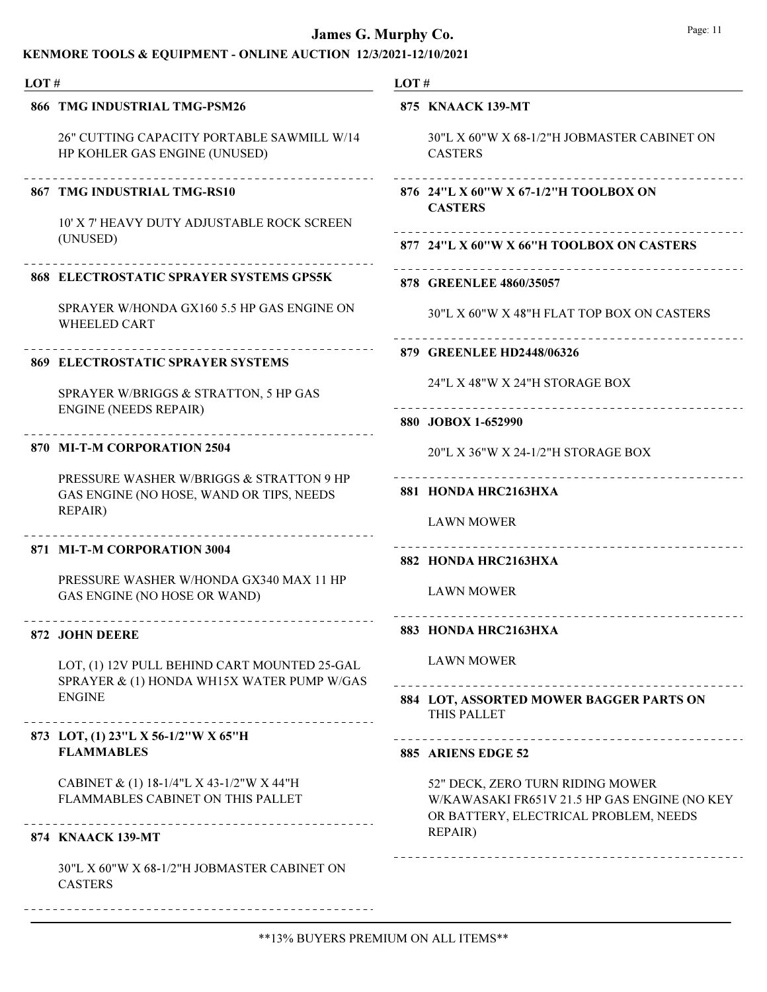## KENMORE TOOLS & EQUIPMENT - ONLINE AUCTION 12/3/2021-12/10/2021

| 866 TMG INDUSTRIAL TMG-PSM26                                                               | 875 KNAACK 139-MT                                                                                                         |
|--------------------------------------------------------------------------------------------|---------------------------------------------------------------------------------------------------------------------------|
| 26" CUTTING CAPACITY PORTABLE SAWMILL W/14<br>HP KOHLER GAS ENGINE (UNUSED)                | 30"L X 60"W X 68-1/2"H JOBMASTER CABINET ON<br><b>CASTERS</b>                                                             |
| 867 TMG INDUSTRIAL TMG-RS10                                                                | 876 24"L X 60"W X 67-1/2"H TOOLBOX ON<br><b>CASTERS</b>                                                                   |
| 10' X 7' HEAVY DUTY ADJUSTABLE ROCK SCREEN<br>(UNUSED)                                     | 877 24"L X 60"W X 66"H TOOLBOX ON CASTERS                                                                                 |
| 868 ELECTROSTATIC SPRAYER SYSTEMS GPS5K                                                    | 878 GREENLEE 4860/35057                                                                                                   |
| SPRAYER W/HONDA GX160 5.5 HP GAS ENGINE ON<br><b>WHEELED CART</b>                          | 30"L X 60"W X 48"H FLAT TOP BOX ON CASTERS                                                                                |
| <b>869 ELECTROSTATIC SPRAYER SYSTEMS</b>                                                   | 879 GREENLEE HD2448/06326                                                                                                 |
| SPRAYER W/BRIGGS & STRATTON, 5 HP GAS                                                      | 24"L X 48"W X 24"H STORAGE BOX<br>_________________________                                                               |
| <b>ENGINE (NEEDS REPAIR)</b>                                                               | 880 JOBOX 1-652990                                                                                                        |
| 870 MI-T-M CORPORATION 2504                                                                | 20"L X 36"W X 24-1/2"H STORAGE BOX                                                                                        |
| PRESSURE WASHER W/BRIGGS & STRATTON 9 HP<br>GAS ENGINE (NO HOSE, WAND OR TIPS, NEEDS       | 881 HONDA HRC2163HXA                                                                                                      |
| <b>REPAIR)</b>                                                                             | <b>LAWN MOWER</b>                                                                                                         |
| 871 MI-T-M CORPORATION 3004                                                                | 882 HONDA HRC2163HXA                                                                                                      |
| PRESSURE WASHER W/HONDA GX340 MAX 11 HP<br>GAS ENGINE (NO HOSE OR WAND)                    | <b>LAWN MOWER</b>                                                                                                         |
| 872 JOHN DEERE                                                                             | 883 HONDA HRC2163HXA                                                                                                      |
| LOT, (1) 12V PULL BEHIND CART MOUNTED 25-GAL<br>SPRAYER & (1) HONDA WH15X WATER PUMP W/GAS | <b>LAWN MOWER</b>                                                                                                         |
| <b>ENGINE</b><br>______________________________________                                    | 884 LOT, ASSORTED MOWER BAGGER PARTS ON<br>THIS PALLET                                                                    |
| 873 LOT, (1) 23"L X 56-1/2"W X 65"H                                                        | ------------------------------                                                                                            |
| <b>FLAMMABLES</b>                                                                          | 885 ARIENS EDGE 52                                                                                                        |
| CABINET & (1) 18-1/4"L X 43-1/2"W X 44"H<br>FLAMMABLES CABINET ON THIS PALLET              | 52" DECK, ZERO TURN RIDING MOWER<br>W/KAWASAKI FR651V 21.5 HP GAS ENGINE (NO KEY<br>OR BATTERY, ELECTRICAL PROBLEM, NEEDS |
| 874 KNAACK 139-MT                                                                          | REPAIR)                                                                                                                   |
| 30"L X 60"W X 68-1/2"H JOBMASTER CABINET ON<br><b>CASTERS</b>                              |                                                                                                                           |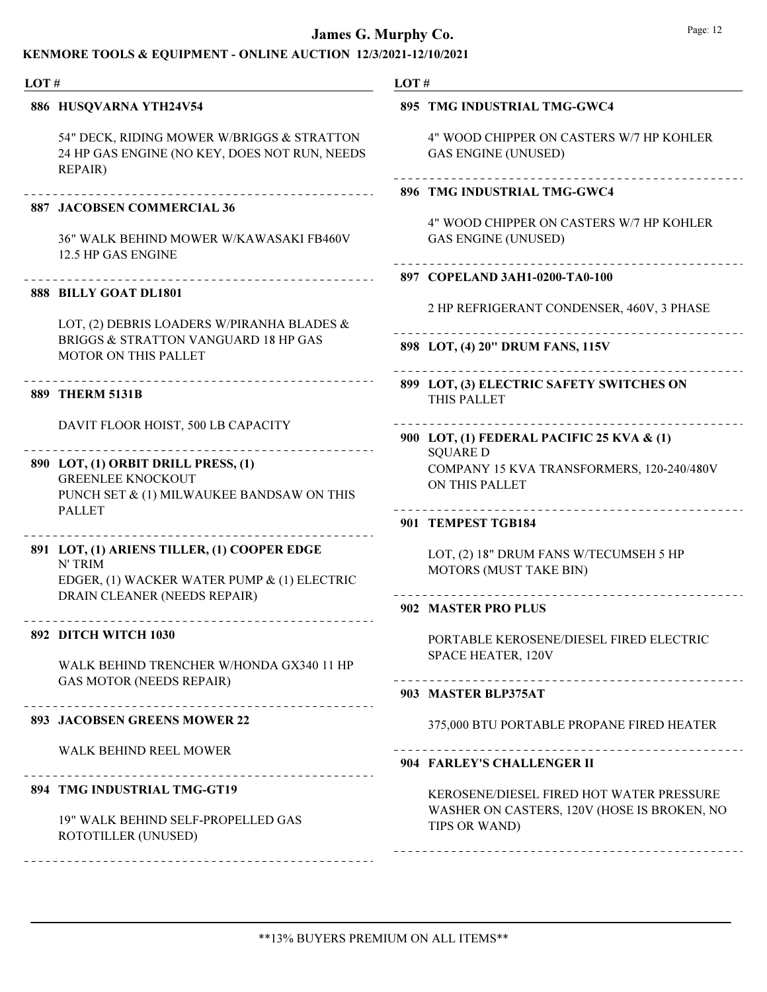| LOT# |                                                                                                               | LOT#                                                                           |
|------|---------------------------------------------------------------------------------------------------------------|--------------------------------------------------------------------------------|
|      | 886 HUSQVARNA YTH24V54                                                                                        | 895 TMG INDUSTRIAL TMG-GWC4                                                    |
|      | 54" DECK, RIDING MOWER W/BRIGGS & STRATTON<br>24 HP GAS ENGINE (NO KEY, DOES NOT RUN, NEEDS<br><b>REPAIR)</b> | 4" WOOD CHIPPER ON CASTERS W/7 HP KOHLER<br><b>GAS ENGINE (UNUSED)</b>         |
|      |                                                                                                               | 896 TMG INDUSTRIAL TMG-GWC4                                                    |
|      | <b>887 JACOBSEN COMMERCIAL 36</b><br><b>36" WALK BEHIND MOWER W/KAWASAKI FB460V</b><br>12.5 HP GAS ENGINE     | 4" WOOD CHIPPER ON CASTERS W/7 HP KOHLER<br><b>GAS ENGINE (UNUSED)</b>         |
|      | ------------------------------                                                                                | 897 COPELAND 3AH1-0200-TA0-100                                                 |
|      | 888 BILLY GOAT DL1801                                                                                         | 2 HP REFRIGERANT CONDENSER, 460V, 3 PHASE                                      |
|      | LOT, (2) DEBRIS LOADERS W/PIRANHA BLADES &<br>BRIGGS & STRATTON VANGUARD 18 HP GAS                            |                                                                                |
|      | <b>MOTOR ON THIS PALLET</b>                                                                                   | 898 LOT, (4) 20" DRUM FANS, 115V                                               |
|      | 889 THERM 5131B                                                                                               | 899 LOT, (3) ELECTRIC SAFETY SWITCHES ON<br>THIS PALLET                        |
|      | DAVIT FLOOR HOIST, 500 LB CAPACITY                                                                            | 900 LOT, (1) FEDERAL PACIFIC 25 KVA & (1)                                      |
|      | 890 LOT, (1) ORBIT DRILL PRESS, (1)<br><b>GREENLEE KNOCKOUT</b><br>PUNCH SET & (1) MILWAUKEE BANDSAW ON THIS  | <b>SQUARE D</b><br>COMPANY 15 KVA TRANSFORMERS, 120-240/480V<br>ON THIS PALLET |
|      | <b>PALLET</b>                                                                                                 | 901 TEMPEST TGB184                                                             |
|      | 891 LOT, (1) ARIENS TILLER, (1) COOPER EDGE<br>N' TRIM<br>EDGER, (1) WACKER WATER PUMP & (1) ELECTRIC         | LOT, (2) 18" DRUM FANS W/TECUMSEH 5 HP<br>MOTORS (MUST TAKE BIN)               |
|      | DRAIN CLEANER (NEEDS REPAIR)                                                                                  | 902 MASTER PRO PLUS                                                            |
|      | 892 DITCH WITCH 1030<br>WALK BEHIND TRENCHER W/HONDA GX340 11 HP                                              | PORTABLE KEROSENE/DIESEL FIRED ELECTRIC<br>SPACE HEATER, 120V                  |
|      | <b>GAS MOTOR (NEEDS REPAIR)</b>                                                                               | 903 MASTER BLP375AT                                                            |
|      | 893 JACOBSEN GREENS MOWER 22                                                                                  | 375,000 BTU PORTABLE PROPANE FIRED HEATER                                      |
|      | <b>WALK BEHIND REEL MOWER</b>                                                                                 | 904 FARLEY'S CHALLENGER II                                                     |
|      | . <u>_ _ _ _ _ _ _ _ _ _ _ _ _ _ _ _ _ _</u> _ _ _<br>894 TMG INDUSTRIAL TMG-GT19                             | KEROSENE/DIESEL FIRED HOT WATER PRESSURE                                       |
|      | 19" WALK BEHIND SELF-PROPELLED GAS<br>ROTOTILLER (UNUSED)                                                     | WASHER ON CASTERS, 120V (HOSE IS BROKEN, NO<br>TIPS OR WAND)                   |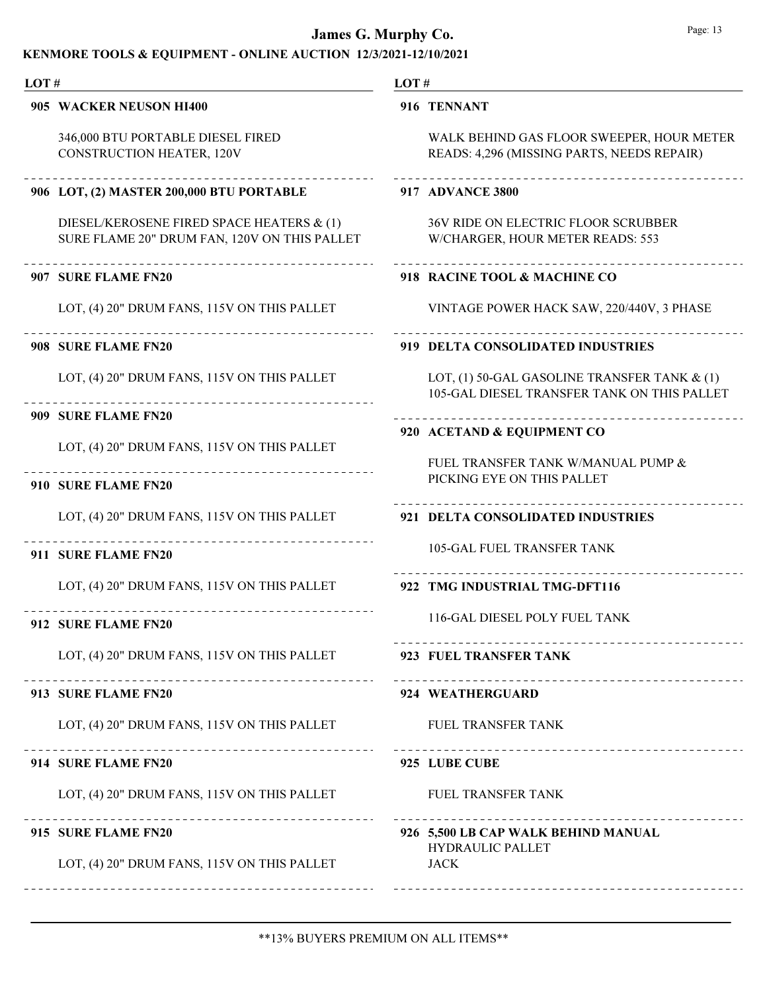| LOT# |                                                                                           | LOT#                                                                                        |  |  |
|------|-------------------------------------------------------------------------------------------|---------------------------------------------------------------------------------------------|--|--|
|      | 905 WACKER NEUSON HI400                                                                   | 916 TENNANT                                                                                 |  |  |
|      | 346,000 BTU PORTABLE DIESEL FIRED<br><b>CONSTRUCTION HEATER, 120V</b>                     | WALK BEHIND GAS FLOOR SWEEPER, HOUR METER<br>READS: 4,296 (MISSING PARTS, NEEDS REPAIR)     |  |  |
|      | 906 LOT, (2) MASTER 200,000 BTU PORTABLE                                                  | 917 ADVANCE 3800                                                                            |  |  |
|      | DIESEL/KEROSENE FIRED SPACE HEATERS & (1)<br>SURE FLAME 20" DRUM FAN, 120V ON THIS PALLET | <b>36V RIDE ON ELECTRIC FLOOR SCRUBBER</b><br>W/CHARGER, HOUR METER READS: 553              |  |  |
|      | 907 SURE FLAME FN20                                                                       | 918 RACINE TOOL & MACHINE CO                                                                |  |  |
|      | LOT, (4) 20" DRUM FANS, 115V ON THIS PALLET                                               | VINTAGE POWER HACK SAW, 220/440V, 3 PHASE                                                   |  |  |
|      | 908 SURE FLAME FN20                                                                       | 919 DELTA CONSOLIDATED INDUSTRIES                                                           |  |  |
|      | LOT, (4) 20" DRUM FANS, 115V ON THIS PALLET                                               | LOT, (1) 50-GAL GASOLINE TRANSFER TANK & (1)<br>105-GAL DIESEL TRANSFER TANK ON THIS PALLET |  |  |
|      | 909 SURE FLAME FN20                                                                       | 920 ACETAND & EQUIPMENT CO                                                                  |  |  |
|      | LOT, (4) 20" DRUM FANS, 115V ON THIS PALLET                                               |                                                                                             |  |  |
|      | 910 SURE FLAME FN20                                                                       | FUEL TRANSFER TANK W/MANUAL PUMP &<br>PICKING EYE ON THIS PALLET                            |  |  |
|      | LOT, (4) 20" DRUM FANS, 115V ON THIS PALLET                                               | 921 DELTA CONSOLIDATED INDUSTRIES                                                           |  |  |
|      | 911 SURE FLAME FN20                                                                       | <b>105-GAL FUEL TRANSFER TANK</b>                                                           |  |  |
|      | LOT, (4) 20" DRUM FANS, 115V ON THIS PALLET                                               | 922 TMG INDUSTRIAL TMG-DFT116                                                               |  |  |
|      | 912 SURE FLAME FN20                                                                       | 116-GAL DIESEL POLY FUEL TANK                                                               |  |  |
|      | LOT, (4) 20" DRUM FANS, 115V ON THIS PALLET 923 FUEL TRANSFER TANK                        |                                                                                             |  |  |
|      | 913 SURE FLAME FN20                                                                       | --------------------------------<br>924 WEATHERGUARD                                        |  |  |
|      | LOT, (4) 20" DRUM FANS, 115V ON THIS PALLET                                               | <b>FUEL TRANSFER TANK</b>                                                                   |  |  |
|      | ______________________________<br>914 SURE FLAME FN20                                     | ____________________________________<br>925 LUBE CUBE                                       |  |  |
|      | LOT, (4) 20" DRUM FANS, 115V ON THIS PALLET                                               | <b>FUEL TRANSFER TANK</b>                                                                   |  |  |
|      | 915 SURE FLAME FN20                                                                       | 926 5,500 LB CAP WALK BEHIND MANUAL<br><b>HYDRAULIC PALLET</b>                              |  |  |
|      | LOT, (4) 20" DRUM FANS, 115V ON THIS PALLET                                               | <b>JACK</b>                                                                                 |  |  |
|      |                                                                                           |                                                                                             |  |  |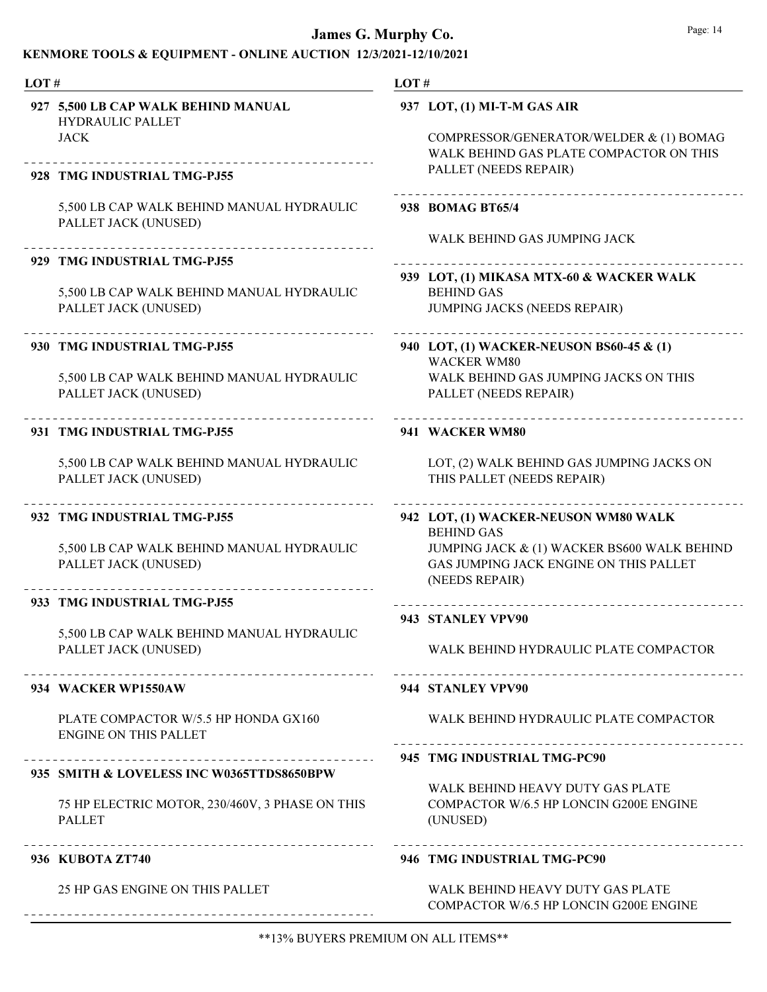| LOT# |                                                                               | LOT#                        |                                                                                                             |
|------|-------------------------------------------------------------------------------|-----------------------------|-------------------------------------------------------------------------------------------------------------|
|      | 927 5,500 LB CAP WALK BEHIND MANUAL<br><b>HYDRAULIC PALLET</b><br><b>JACK</b> | 937 LOT, (1) MI-T-M GAS AIR | COMPRESSOR/GENERATOR/WELDER & (1) BOMAG<br>WALK BEHIND GAS PLATE COMPACTOR ON THIS<br>PALLET (NEEDS REPAIR) |
|      | 928 TMG INDUSTRIAL TMG-PJ55                                                   |                             |                                                                                                             |
|      | 5,500 LB CAP WALK BEHIND MANUAL HYDRAULIC<br>PALLET JACK (UNUSED)             | 938 BOMAG BT65/4            | WALK BEHIND GAS JUMPING JACK                                                                                |
|      | 929 TMG INDUSTRIAL TMG-PJ55                                                   |                             |                                                                                                             |
|      | 5,500 LB CAP WALK BEHIND MANUAL HYDRAULIC<br>PALLET JACK (UNUSED)             | <b>BEHIND GAS</b>           | 939 LOT, (1) MIKASA MTX-60 & WACKER WALK<br><b>JUMPING JACKS (NEEDS REPAIR)</b>                             |
|      | 930 TMG INDUSTRIAL TMG-PJ55                                                   | <b>WACKER WM80</b>          | 940 LOT, (1) WACKER-NEUSON BS60-45 & (1)                                                                    |
|      | 5,500 LB CAP WALK BEHIND MANUAL HYDRAULIC<br>PALLET JACK (UNUSED)             |                             | WALK BEHIND GAS JUMPING JACKS ON THIS<br>PALLET (NEEDS REPAIR)                                              |
|      | 931 TMG INDUSTRIAL TMG-PJ55                                                   | 941 WACKER WM80             |                                                                                                             |
|      | 5,500 LB CAP WALK BEHIND MANUAL HYDRAULIC<br>PALLET JACK (UNUSED)             |                             | LOT, (2) WALK BEHIND GAS JUMPING JACKS ON<br>THIS PALLET (NEEDS REPAIR)                                     |
|      | 932 TMG INDUSTRIAL TMG-PJ55                                                   | <b>BEHIND GAS</b>           | 942 LOT, (1) WACKER-NEUSON WM80 WALK                                                                        |
|      | 5,500 LB CAP WALK BEHIND MANUAL HYDRAULIC<br>PALLET JACK (UNUSED)             | (NEEDS REPAIR)              | JUMPING JACK & (1) WACKER BS600 WALK BEHIND<br>GAS JUMPING JACK ENGINE ON THIS PALLET                       |
|      | 933 TMG INDUSTRIAL TMG-PJ55                                                   |                             |                                                                                                             |
|      | 5,500 LB CAP WALK BEHIND MANUAL HYDRAULIC                                     | 943 STANLEY VPV90           |                                                                                                             |
|      | PALLET JACK (UNUSED)                                                          |                             | WALK BEHIND HYDRAULIC PLATE COMPACTOR                                                                       |
|      | 934 WACKER WP1550AW                                                           | 944 STANLEY VPV90           |                                                                                                             |
|      | PLATE COMPACTOR W/5.5 HP HONDA GX160<br><b>ENGINE ON THIS PALLET</b>          |                             | WALK BEHIND HYDRAULIC PLATE COMPACTOR                                                                       |
|      |                                                                               |                             | 945 TMG INDUSTRIAL TMG-PC90                                                                                 |
|      | 935 SMITH & LOVELESS INC W0365TTDS8650BPW                                     |                             | WALK BEHIND HEAVY DUTY GAS PLATE                                                                            |
|      | 75 HP ELECTRIC MOTOR, 230/460V, 3 PHASE ON THIS<br><b>PALLET</b>              | (UNUSED)                    | COMPACTOR W/6.5 HP LONCIN G200E ENGINE                                                                      |
|      | 936 KUBOTA ZT740                                                              |                             | 946 TMG INDUSTRIAL TMG-PC90                                                                                 |
|      | 25 HP GAS ENGINE ON THIS PALLET                                               |                             | WALK BEHIND HEAVY DUTY GAS PLATE<br>COMPACTOR W/6.5 HP LONCIN G200E ENGINE                                  |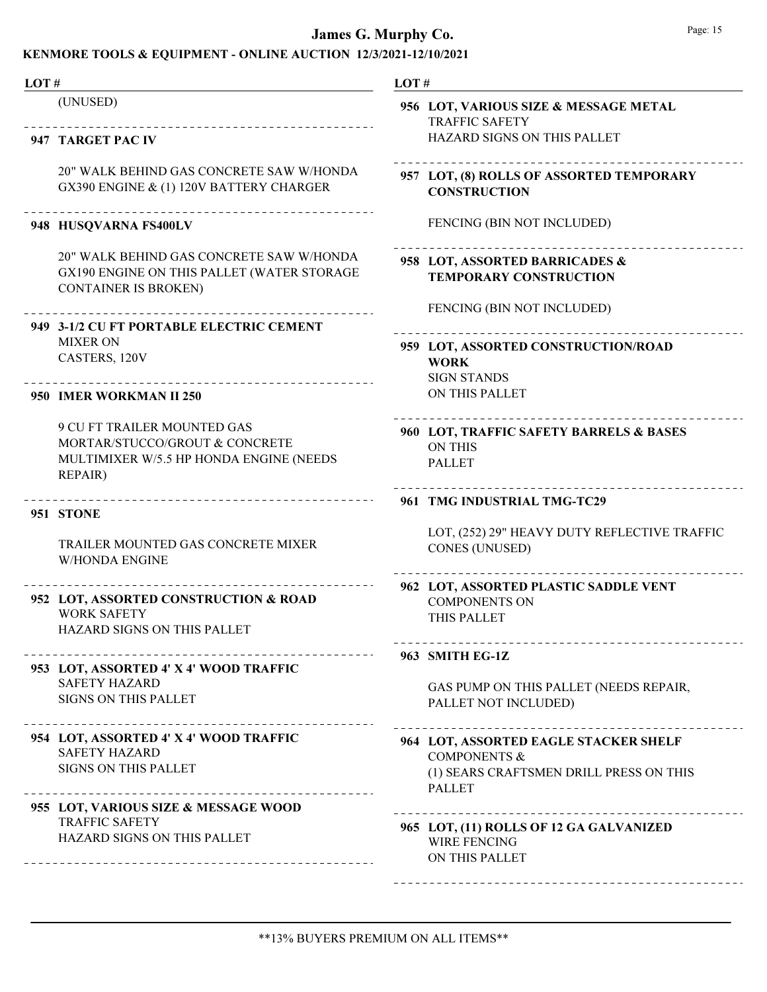| LOT# |                                                                                                                            | LOT#                                                                                                                                                            |  |
|------|----------------------------------------------------------------------------------------------------------------------------|-----------------------------------------------------------------------------------------------------------------------------------------------------------------|--|
|      | (UNUSED)<br>_______________________________                                                                                | 956 LOT, VARIOUS SIZE & MESSAGE METAL<br><b>TRAFFIC SAFETY</b>                                                                                                  |  |
|      | 947 TARGET PAC IV                                                                                                          | HAZARD SIGNS ON THIS PALLET                                                                                                                                     |  |
|      | 20" WALK BEHIND GAS CONCRETE SAW W/HONDA<br>GX390 ENGINE & (1) 120V BATTERY CHARGER                                        | 957 LOT, (8) ROLLS OF ASSORTED TEMPORARY<br><b>CONSTRUCTION</b>                                                                                                 |  |
|      | 948 HUSQVARNA FS400LV                                                                                                      | FENCING (BIN NOT INCLUDED)                                                                                                                                      |  |
|      | 20" WALK BEHIND GAS CONCRETE SAW W/HONDA<br>GX190 ENGINE ON THIS PALLET (WATER STORAGE<br><b>CONTAINER IS BROKEN)</b>      | 958 LOT, ASSORTED BARRICADES &<br><b>TEMPORARY CONSTRUCTION</b>                                                                                                 |  |
|      | 949 3-1/2 CU FT PORTABLE ELECTRIC CEMENT                                                                                   | FENCING (BIN NOT INCLUDED)                                                                                                                                      |  |
|      | <b>MIXER ON</b><br>CASTERS, 120V                                                                                           | 959 LOT, ASSORTED CONSTRUCTION/ROAD<br><b>WORK</b><br><b>SIGN STANDS</b>                                                                                        |  |
|      | __________________________________<br>950 IMER WORKMAN II 250                                                              | ON THIS PALLET                                                                                                                                                  |  |
|      | 9 CU FT TRAILER MOUNTED GAS<br>MORTAR/STUCCO/GROUT & CONCRETE<br>MULTIMIXER W/5.5 HP HONDA ENGINE (NEEDS<br><b>REPAIR)</b> | -----------------<br>960 LOT, TRAFFIC SAFETY BARRELS & BASES<br><b>ON THIS</b><br><b>PALLET</b>                                                                 |  |
|      | ____________________________________<br>951 STONE                                                                          | 961 TMG INDUSTRIAL TMG-TC29                                                                                                                                     |  |
|      | TRAILER MOUNTED GAS CONCRETE MIXER<br><b>W/HONDA ENGINE</b>                                                                | LOT, (252) 29" HEAVY DUTY REFLECTIVE TRAFFIC<br><b>CONES (UNUSED)</b>                                                                                           |  |
|      | 952 LOT, ASSORTED CONSTRUCTION & ROAD<br><b>WORK SAFETY</b><br>HAZARD SIGNS ON THIS PALLET                                 | 962 LOT, ASSORTED PLASTIC SADDLE VENT<br><b>COMPONENTS ON</b><br>THIS PALLET                                                                                    |  |
|      |                                                                                                                            | . _ _ _ _ _ _ _ _ _ _ _ _ _ _ _ _<br>963 SMITH EG-1Z                                                                                                            |  |
|      | 953 LOT, ASSORTED 4' X 4' WOOD TRAFFIC<br><b>SAFETY HAZARD</b><br><b>SIGNS ON THIS PALLET</b>                              | GAS PUMP ON THIS PALLET (NEEDS REPAIR,<br>PALLET NOT INCLUDED)                                                                                                  |  |
|      | 954 LOT, ASSORTED 4' X 4' WOOD TRAFFIC<br><b>SAFETY HAZARD</b><br><b>SIGNS ON THIS PALLET</b>                              | _______________________________<br>964 LOT, ASSORTED EAGLE STACKER SHELF<br><b>COMPONENTS &amp;</b><br>(1) SEARS CRAFTSMEN DRILL PRESS ON THIS<br><b>PALLET</b> |  |
|      | 955 LOT, VARIOUS SIZE & MESSAGE WOOD<br><b>TRAFFIC SAFETY</b><br>HAZARD SIGNS ON THIS PALLET                               | 965 LOT, (11) ROLLS OF 12 GA GALVANIZED<br><b>WIRE FENCING</b><br>ON THIS PALLET                                                                                |  |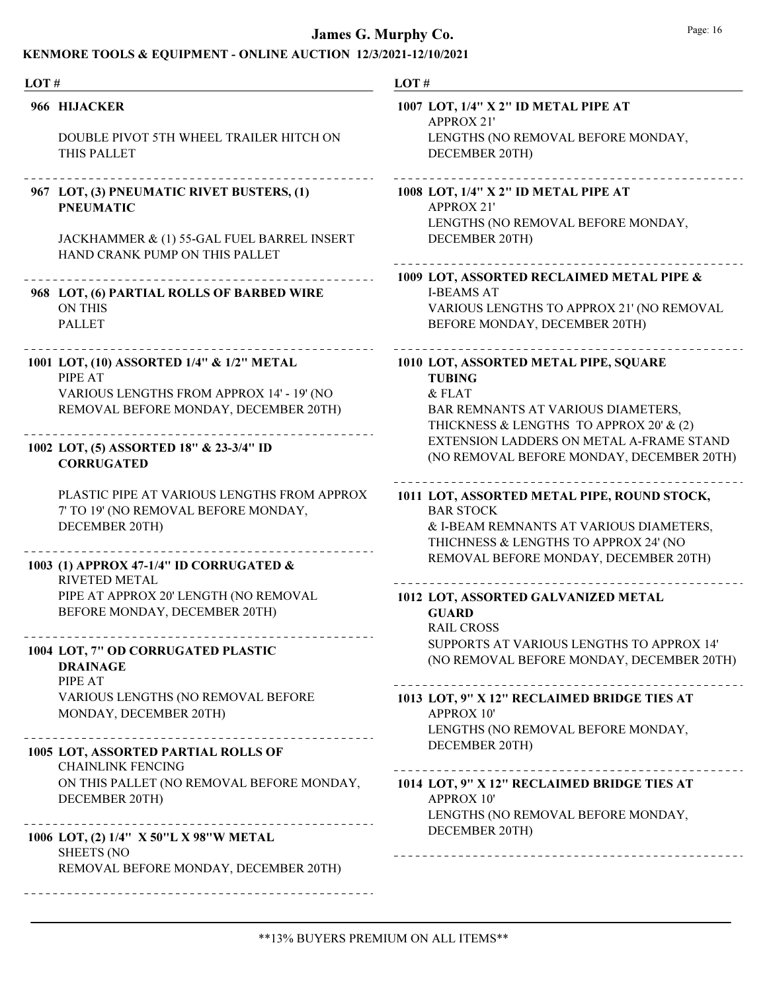| LOT # |                                                                                                                                            | LOT#                                                                                                                                                |
|-------|--------------------------------------------------------------------------------------------------------------------------------------------|-----------------------------------------------------------------------------------------------------------------------------------------------------|
|       | 966 HIJACKER                                                                                                                               | 1007 LOT, 1/4" X 2" ID METAL PIPE AT<br><b>APPROX 21'</b>                                                                                           |
|       | DOUBLE PIVOT 5TH WHEEL TRAILER HITCH ON<br>THIS PALLET                                                                                     | LENGTHS (NO REMOVAL BEFORE MONDAY,<br>DECEMBER 20TH)                                                                                                |
|       | 967 LOT, (3) PNEUMATIC RIVET BUSTERS, (1)<br><b>PNEUMATIC</b>                                                                              | 1008 LOT, 1/4" X 2" ID METAL PIPE AT<br><b>APPROX 21'</b><br>LENGTHS (NO REMOVAL BEFORE MONDAY,                                                     |
|       | JACKHAMMER & (1) 55-GAL FUEL BARREL INSERT<br>HAND CRANK PUMP ON THIS PALLET                                                               | DECEMBER 20TH)                                                                                                                                      |
|       | 968 LOT, (6) PARTIAL ROLLS OF BARBED WIRE<br><b>ON THIS</b><br><b>PALLET</b>                                                               | 1009 LOT, ASSORTED RECLAIMED METAL PIPE &<br><b>I-BEAMS AT</b><br>VARIOUS LENGTHS TO APPROX 21' (NO REMOVAL<br>BEFORE MONDAY, DECEMBER 20TH)        |
|       | 1001 LOT, (10) ASSORTED 1/4" & 1/2" METAL<br>PIPE AT<br>VARIOUS LENGTHS FROM APPROX 14' - 19' (NO<br>REMOVAL BEFORE MONDAY, DECEMBER 20TH) | 1010 LOT, ASSORTED METAL PIPE, SQUARE<br><b>TUBING</b><br>& FLAT<br>BAR REMNANTS AT VARIOUS DIAMETERS,<br>THICKNESS & LENGTHS TO APPROX 20' & (2)   |
|       | 1002 LOT, (5) ASSORTED 18" & 23-3/4" ID<br><b>CORRUGATED</b>                                                                               | EXTENSION LADDERS ON METAL A-FRAME STAND<br>(NO REMOVAL BEFORE MONDAY, DECEMBER 20TH)                                                               |
|       | PLASTIC PIPE AT VARIOUS LENGTHS FROM APPROX<br>7' TO 19' (NO REMOVAL BEFORE MONDAY,<br>DECEMBER 20TH)                                      | 1011 LOT, ASSORTED METAL PIPE, ROUND STOCK,<br><b>BAR STOCK</b><br>& I-BEAM REMNANTS AT VARIOUS DIAMETERS,<br>THICHNESS & LENGTHS TO APPROX 24' (NO |
|       | 1003 (1) APPROX 47-1/4" ID CORRUGATED &<br><b>RIVETED METAL</b>                                                                            | REMOVAL BEFORE MONDAY, DECEMBER 20TH)                                                                                                               |
|       | PIPE AT APPROX 20' LENGTH (NO REMOVAL<br>BEFORE MONDAY, DECEMBER 20TH)                                                                     | 1012 LOT, ASSORTED GALVANIZED METAL<br><b>GUARD</b><br><b>RAIL CROSS</b>                                                                            |
|       | 1004 LOT, 7" OD CORRUGATED PLASTIC<br><b>DRAINAGE</b><br>PIPE AT                                                                           | SUPPORTS AT VARIOUS LENGTHS TO APPROX 14'<br>(NO REMOVAL BEFORE MONDAY, DECEMBER 20TH)                                                              |
|       | VARIOUS LENGTHS (NO REMOVAL BEFORE<br>MONDAY, DECEMBER 20TH)                                                                               | 1013 LOT, 9" X 12" RECLAIMED BRIDGE TIES AT<br><b>APPROX 10'</b><br>LENGTHS (NO REMOVAL BEFORE MONDAY,                                              |
|       | 1005 LOT, ASSORTED PARTIAL ROLLS OF<br><b>CHAINLINK FENCING</b>                                                                            | DECEMBER 20TH)                                                                                                                                      |
|       | ON THIS PALLET (NO REMOVAL BEFORE MONDAY,<br>DECEMBER 20TH)                                                                                | 1014 LOT, 9" X 12" RECLAIMED BRIDGE TIES AT<br><b>APPROX 10'</b><br>LENGTHS (NO REMOVAL BEFORE MONDAY,                                              |
|       | 1006 LOT, (2) 1/4" X 50"L X 98"W METAL<br><b>SHEETS (NO</b>                                                                                | DECEMBER 20TH)                                                                                                                                      |
|       | REMOVAL BEFORE MONDAY, DECEMBER 20TH)                                                                                                      |                                                                                                                                                     |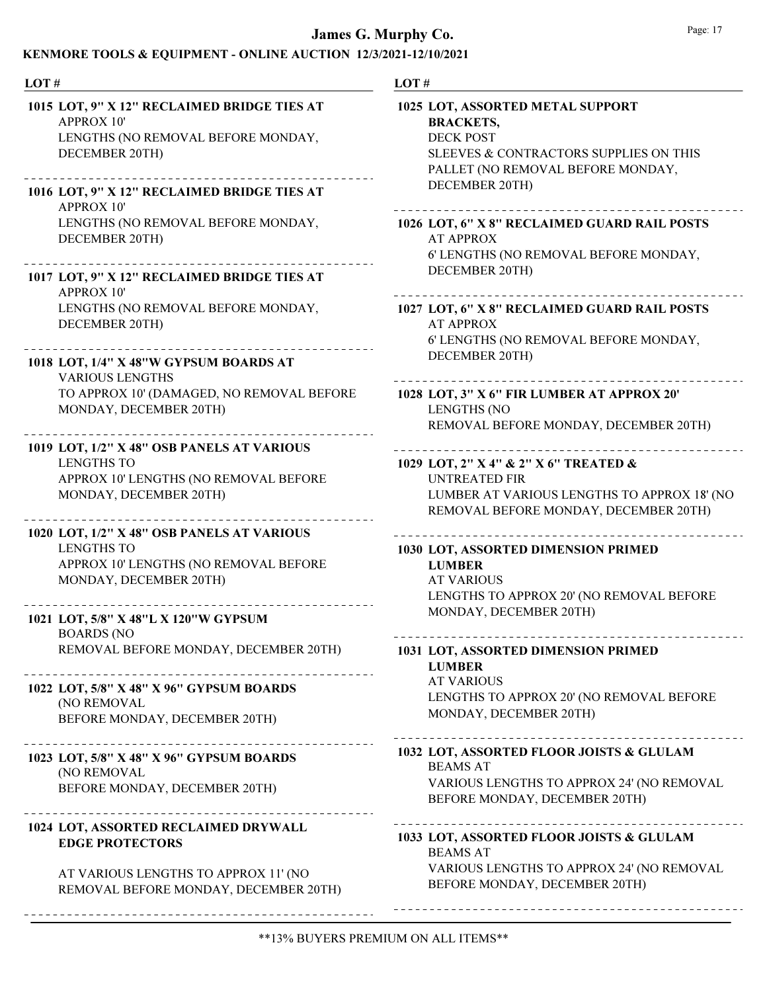## KENMORE TOOLS & EQUIPMENT - ONLINE AUCTION 12/3/2021-12/10/2021

| LOT#                                                                                                                                                                    | LOT#                                                                                                                                                                      |  |  |
|-------------------------------------------------------------------------------------------------------------------------------------------------------------------------|---------------------------------------------------------------------------------------------------------------------------------------------------------------------------|--|--|
| 1015 LOT, 9" X 12" RECLAIMED BRIDGE TIES AT<br><b>APPROX 10'</b><br>LENGTHS (NO REMOVAL BEFORE MONDAY,<br>DECEMBER 20TH)<br>1016 LOT, 9" X 12" RECLAIMED BRIDGE TIES AT | 1025 LOT, ASSORTED METAL SUPPORT<br><b>BRACKETS,</b><br><b>DECK POST</b><br>SLEEVES & CONTRACTORS SUPPLIES ON THIS<br>PALLET (NO REMOVAL BEFORE MONDAY,<br>DECEMBER 20TH) |  |  |
| <b>APPROX 10'</b><br>LENGTHS (NO REMOVAL BEFORE MONDAY,<br>DECEMBER 20TH)                                                                                               | 1026 LOT, 6" X 8" RECLAIMED GUARD RAIL POSTS<br><b>AT APPROX</b><br>6' LENGTHS (NO REMOVAL BEFORE MONDAY,<br>DECEMBER 20TH)                                               |  |  |
| 1017 LOT, 9" X 12" RECLAIMED BRIDGE TIES AT<br><b>APPROX 10'</b>                                                                                                        |                                                                                                                                                                           |  |  |
| LENGTHS (NO REMOVAL BEFORE MONDAY,<br>DECEMBER 20TH)                                                                                                                    | 1027 LOT, 6" X 8" RECLAIMED GUARD RAIL POSTS<br><b>AT APPROX</b><br>6' LENGTHS (NO REMOVAL BEFORE MONDAY,                                                                 |  |  |
| 1018 LOT, 1/4" X 48"W GYPSUM BOARDS AT<br><b>VARIOUS LENGTHS</b>                                                                                                        | DECEMBER 20TH)                                                                                                                                                            |  |  |
| TO APPROX 10' (DAMAGED, NO REMOVAL BEFORE<br>MONDAY, DECEMBER 20TH)                                                                                                     | 1028 LOT, 3" X 6" FIR LUMBER AT APPROX 20'<br><b>LENGTHS (NO</b><br>REMOVAL BEFORE MONDAY, DECEMBER 20TH)                                                                 |  |  |
| 1019 LOT, 1/2" X 48" OSB PANELS AT VARIOUS                                                                                                                              |                                                                                                                                                                           |  |  |
| <b>LENGTHS TO</b><br>APPROX 10' LENGTHS (NO REMOVAL BEFORE<br>MONDAY, DECEMBER 20TH)                                                                                    | 1029 LOT, 2" X 4" & 2" X 6" TREATED &<br><b>UNTREATED FIR</b><br>LUMBER AT VARIOUS LENGTHS TO APPROX 18' (NO<br>REMOVAL BEFORE MONDAY, DECEMBER 20TH)                     |  |  |
| 1020 LOT, 1/2" X 48" OSB PANELS AT VARIOUS<br><b>LENGTHS TO</b><br>APPROX 10' LENGTHS (NO REMOVAL BEFORE<br>MONDAY, DECEMBER 20TH)                                      | 1030 LOT, ASSORTED DIMENSION PRIMED<br><b>LUMBER</b><br><b>AT VARIOUS</b><br>LENGTHS TO APPROX 20' (NO REMOVAL BEFORE                                                     |  |  |
| 1021 LOT, 5/8" X 48"L X 120"W GYPSUM<br><b>BOARDS</b> (NO                                                                                                               | MONDAY, DECEMBER 20TH)                                                                                                                                                    |  |  |
| REMOVAL BEFORE MONDAY, DECEMBER 20TH)                                                                                                                                   | ----------------------------------<br>1031 LOT, ASSORTED DIMENSION PRIMED<br><b>LUMBER</b>                                                                                |  |  |
| 1022 LOT, 5/8" X 48" X 96" GYPSUM BOARDS<br>(NO REMOVAL<br>BEFORE MONDAY, DECEMBER 20TH)                                                                                | <b>AT VARIOUS</b><br>LENGTHS TO APPROX 20' (NO REMOVAL BEFORE<br>MONDAY, DECEMBER 20TH)                                                                                   |  |  |
| 1023 LOT, 5/8" X 48" X 96" GYPSUM BOARDS<br>(NO REMOVAL                                                                                                                 | 1032 LOT, ASSORTED FLOOR JOISTS & GLULAM<br><b>BEAMS AT</b>                                                                                                               |  |  |
| BEFORE MONDAY, DECEMBER 20TH)                                                                                                                                           | VARIOUS LENGTHS TO APPROX 24' (NO REMOVAL<br>BEFORE MONDAY, DECEMBER 20TH)                                                                                                |  |  |
| 1024 LOT, ASSORTED RECLAIMED DRYWALL<br><b>EDGE PROTECTORS</b>                                                                                                          | 1033 LOT, ASSORTED FLOOR JOISTS & GLULAM<br><b>BEAMS AT</b>                                                                                                               |  |  |
| AT VARIOUS LENGTHS TO APPROX 11' (NO<br>REMOVAL BEFORE MONDAY, DECEMBER 20TH)                                                                                           | VARIOUS LENGTHS TO APPROX 24' (NO REMOVAL<br>BEFORE MONDAY, DECEMBER 20TH)                                                                                                |  |  |
| -----------------------------------                                                                                                                                     |                                                                                                                                                                           |  |  |

 $\perp$   $\perp$   $\perp$ 

 $- - -$ 

 $\omega = \omega$ 

 $\frac{1}{2}$ 

 $= -1$ 

 $\frac{1}{2}$ 

 $- - -$ 

 $\frac{1}{2}$  =  $\frac{1}{2}$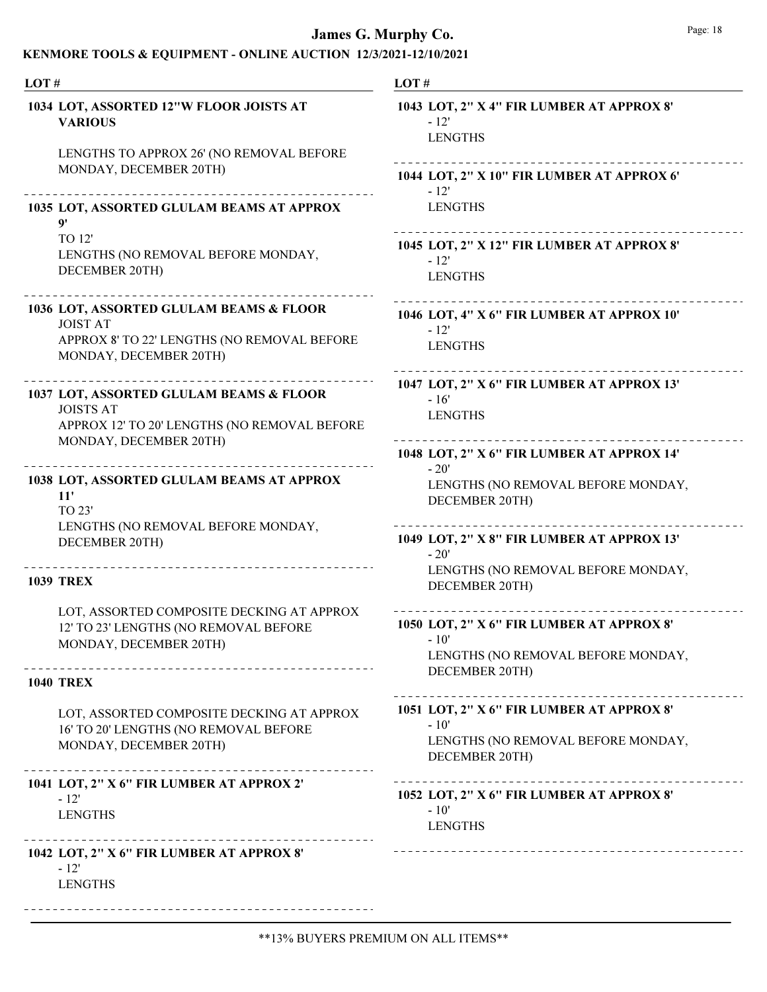| LOT#                     |                                                                                                                  | LOT# |                                                                           |
|--------------------------|------------------------------------------------------------------------------------------------------------------|------|---------------------------------------------------------------------------|
| <b>VARIOUS</b>           | 1034 LOT, ASSORTED 12"W FLOOR JOISTS AT                                                                          |      | 1043 LOT, 2" X 4" F<br>$-12'$<br><b>LENGTHS</b>                           |
|                          | LENGTHS TO APPROX 26' (NO REMOVAL BEFORE<br>MONDAY, DECEMBER 20TH)                                               |      | 1044 LOT, 2" X 10"<br>$-12'$                                              |
| $\mathbf{Q}$             | 1035 LOT, ASSORTED GLULAM BEAMS AT APPROX                                                                        |      | <b>LENGTHS</b>                                                            |
| TO 12'                   | LENGTHS (NO REMOVAL BEFORE MONDAY,<br>DECEMBER 20TH)                                                             |      | 1045 LOT, 2" X 12"<br>$-12'$<br><b>LENGTHS</b>                            |
| <b>JOIST AT</b>          | 1036 LOT, ASSORTED GLULAM BEAMS & FLOOR<br>APPROX 8' TO 22' LENGTHS (NO REMOVAL BEFORE<br>MONDAY, DECEMBER 20TH) |      | 1046 LOT, 4" X 6" F<br>$-12'$<br><b>LENGTHS</b>                           |
| <b>JOISTS AT</b>         | 1037 LOT, ASSORTED GLULAM BEAMS & FLOOR<br>APPROX 12' TO 20' LENGTHS (NO REMOVAL BEFORE                          |      | 1047 LOT, 2" X 6" F<br>$-16'$<br><b>LENGTHS</b><br>---------------        |
| 11'<br>TO 23'            | MONDAY, DECEMBER 20TH)<br>1038 LOT, ASSORTED GLULAM BEAMS AT APPROX                                              |      | 1048 LOT, 2" X 6" F<br>$-20'$<br><b>LENGTHS (NO</b><br><b>DECEMBER 20</b> |
|                          | LENGTHS (NO REMOVAL BEFORE MONDAY,<br>DECEMBER 20TH)                                                             |      | . <u>.</u> .<br>1049 LOT, 2" X 8" F<br>$-20'$<br><b>LENGTHS (NO</b>       |
| <b>1039 TREX</b>         |                                                                                                                  |      | <b>DECEMBER 20</b>                                                        |
|                          | LOT, ASSORTED COMPOSITE DECKING AT APPROX<br>12' TO 23' LENGTHS (NO REMOVAL BEFORE<br>MONDAY, DECEMBER 20TH)     |      | 1050 LOT, 2" X 6" F<br>- 10'<br>LENGTHS (NO<br><b>DECEMBER 20</b>         |
| <b>1040 TREX</b>         |                                                                                                                  |      |                                                                           |
|                          | LOT, ASSORTED COMPOSITE DECKING AT APPROX<br>16' TO 20' LENGTHS (NO REMOVAL BEFORE<br>MONDAY, DECEMBER 20TH)     |      | 1051 LOT, 2" X 6" F<br>$-10'$<br>LENGTHS (NO<br><b>DECEMBER 20</b>        |
| $-12'$<br><b>LENGTHS</b> | 1041 LOT, 2" X 6" FIR LUMBER AT APPROX 2'                                                                        |      | . <u>.</u> .<br>1052 LOT, 2" X 6" F<br>$-10'$<br><b>LENGTHS</b>           |
| $-12'$<br><b>LENGTHS</b> | 1042 LOT, 2" X 6" FIR LUMBER AT APPROX 8"                                                                        |      | -----------------                                                         |

| 1043 LOT, 2" X 4" FIR LUMBER AT APPROX 8'<br>- 12'<br><b>LENGTHS</b>                                         |
|--------------------------------------------------------------------------------------------------------------|
| 1044 LOT, 2" X 10" FIR LUMBER AT APPROX 6'<br>$-12'$<br><b>LENGTHS</b>                                       |
| 1045 LOT, 2" X 12" FIR LUMBER AT APPROX 8'<br>$-12'$<br><b>LENGTHS</b>                                       |
| 1046 LOT, 4" X 6" FIR LUMBER AT APPROX 10'<br>$-12'$<br><b>LENGTHS</b>                                       |
| 1047 LOT, 2" X 6" FIR LUMBER AT APPROX 13'<br>$-16'$<br><b>LENGTHS</b>                                       |
| 1048 LOT, 2" X 6" FIR LUMBER AT APPROX 14"<br>$-20'$<br>LENGTHS (NO REMOVAL BEFORE MONDAY,<br>DECEMBER 20TH) |
| 1049 LOT, 2" X 8" FIR LUMBER AT APPROX 13'<br>$-20'$<br>LENGTHS (NO REMOVAL BEFORE MONDAY,<br>DECEMBER 20TH) |
| 1050 LOT, 2" X 6" FIR LUMBER AT APPROX 8"<br>- 10'<br>LENGTHS (NO REMOVAL BEFORE MONDAY,<br>DECEMBER 20TH)   |
| 1051 LOT, 2" X 6" FIR LUMBER AT APPROX 8"<br>$-10'$<br>LENGTHS (NO REMOVAL BEFORE MONDAY,<br>DECEMBER 20TH)  |
| 1052 LOT, 2" X 6" FIR LUMBER AT APPROX 8"<br>$-10'$<br><b>LENGTHS</b>                                        |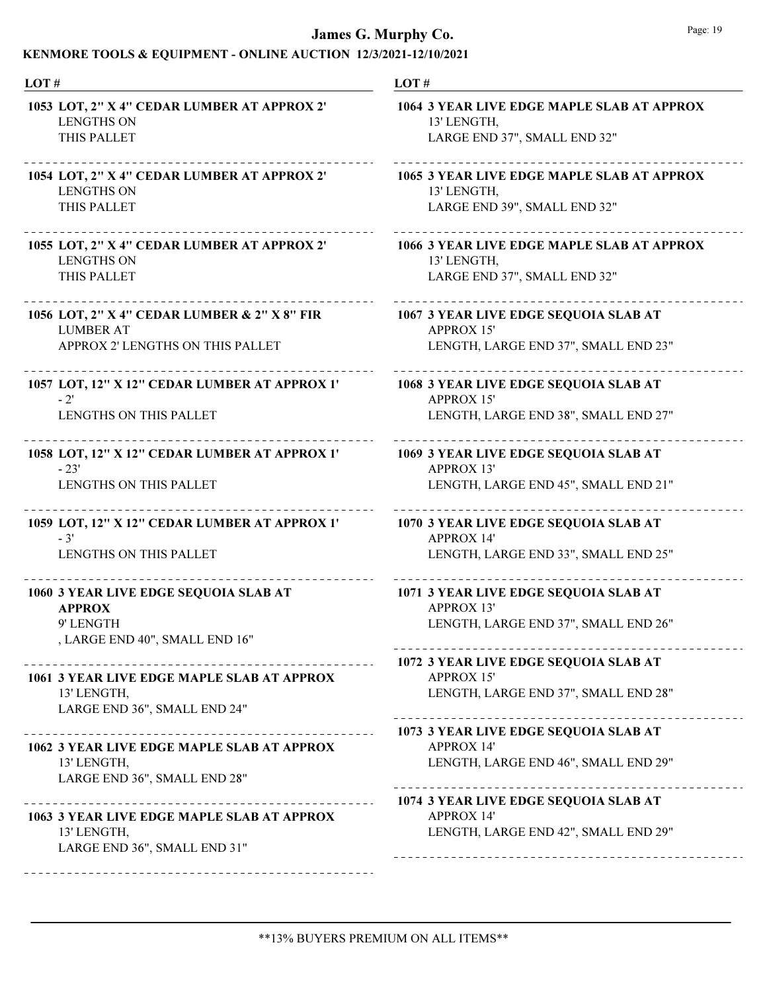| LOT#                                                                                      | LOT#                                                                                               |  |
|-------------------------------------------------------------------------------------------|----------------------------------------------------------------------------------------------------|--|
| 1053 LOT, 2" X 4" CEDAR LUMBER AT APPROX 2"                                               | 1064 3 YEAR LIVE EDGE MAPLE SLAB AT APPROX                                                         |  |
| <b>LENGTHS ON</b>                                                                         | 13' LENGTH,                                                                                        |  |
| THIS PALLET                                                                               | LARGE END 37", SMALL END 32"                                                                       |  |
| 1054 LOT, 2" X 4" CEDAR LUMBER AT APPROX 2'                                               | 1065 3 YEAR LIVE EDGE MAPLE SLAB AT APPROX                                                         |  |
| <b>LENGTHS ON</b>                                                                         | 13' LENGTH,                                                                                        |  |
| THIS PALLET                                                                               | LARGE END 39", SMALL END 32"                                                                       |  |
| 1055 LOT, 2" X 4" CEDAR LUMBER AT APPROX 2"                                               | 1066 3 YEAR LIVE EDGE MAPLE SLAB AT APPROX                                                         |  |
| <b>LENGTHS ON</b>                                                                         | 13' LENGTH,                                                                                        |  |
| THIS PALLET                                                                               | LARGE END 37", SMALL END 32"                                                                       |  |
| 1056 LOT, 2" X 4" CEDAR LUMBER & 2" X 8" FIR                                              | 1067 3 YEAR LIVE EDGE SEQUOIA SLAB AT                                                              |  |
| <b>LUMBER AT</b>                                                                          | <b>APPROX 15'</b>                                                                                  |  |
| APPROX 2' LENGTHS ON THIS PALLET                                                          | LENGTH, LARGE END 37", SMALL END 23"                                                               |  |
| 1057 LOT, 12" X 12" CEDAR LUMBER AT APPROX 1'                                             | 1068 3 YEAR LIVE EDGE SEQUOIA SLAB AT                                                              |  |
| $-2'$                                                                                     | <b>APPROX 15'</b>                                                                                  |  |
| <b>LENGTHS ON THIS PALLET</b>                                                             | LENGTH, LARGE END 38", SMALL END 27"                                                               |  |
| 1058 LOT, 12" X 12" CEDAR LUMBER AT APPROX 1'                                             | 1069 3 YEAR LIVE EDGE SEQUOIA SLAB AT                                                              |  |
| $-23'$                                                                                    | <b>APPROX 13'</b>                                                                                  |  |
| LENGTHS ON THIS PALLET                                                                    | LENGTH, LARGE END 45", SMALL END 21"                                                               |  |
| 1059 LOT, 12" X 12" CEDAR LUMBER AT APPROX 1'                                             | 1070 3 YEAR LIVE EDGE SEQUOIA SLAB AT                                                              |  |
| $-3'$                                                                                     | <b>APPROX 14'</b>                                                                                  |  |
| LENGTHS ON THIS PALLET                                                                    | LENGTH, LARGE END 33", SMALL END 25"                                                               |  |
| 1060 3 YEAR LIVE EDGE SEQUOIA SLAB AT                                                     | 1071 3 YEAR LIVE EDGE SEQUOIA SLAB AT                                                              |  |
| <b>APPROX</b>                                                                             | <b>APPROX 13'</b>                                                                                  |  |
| 9' LENGTH                                                                                 | LENGTH, LARGE END 37", SMALL END 26"                                                               |  |
| , LARGE END 40", SMALL END 16"                                                            |                                                                                                    |  |
| 1061 3 YEAR LIVE EDGE MAPLE SLAB AT APPROX<br>13' LENGTH,<br>LARGE END 36", SMALL END 24" | 1072 3 YEAR LIVE EDGE SEQUOIA SLAB AT<br><b>APPROX 15'</b><br>LENGTH, LARGE END 37", SMALL END 28" |  |
|                                                                                           | 1073 3 YEAR LIVE EDGE SEQUOIA SLAB AT                                                              |  |
| 1062 3 YEAR LIVE EDGE MAPLE SLAB AT APPROX                                                | <b>APPROX 14'</b>                                                                                  |  |
| 13' LENGTH,                                                                               | LENGTH, LARGE END 46", SMALL END 29"                                                               |  |
| LARGE END 36", SMALL END 28"                                                              |                                                                                                    |  |
|                                                                                           | 1074 3 YEAR LIVE EDGE SEQUOIA SLAB AT                                                              |  |
| 1063 3 YEAR LIVE EDGE MAPLE SLAB AT APPROX                                                | <b>APPROX 14'</b>                                                                                  |  |
| 13' LENGTH,                                                                               | LENGTH, LARGE END 42", SMALL END 29"                                                               |  |
| LARGE END 36", SMALL END 31"                                                              |                                                                                                    |  |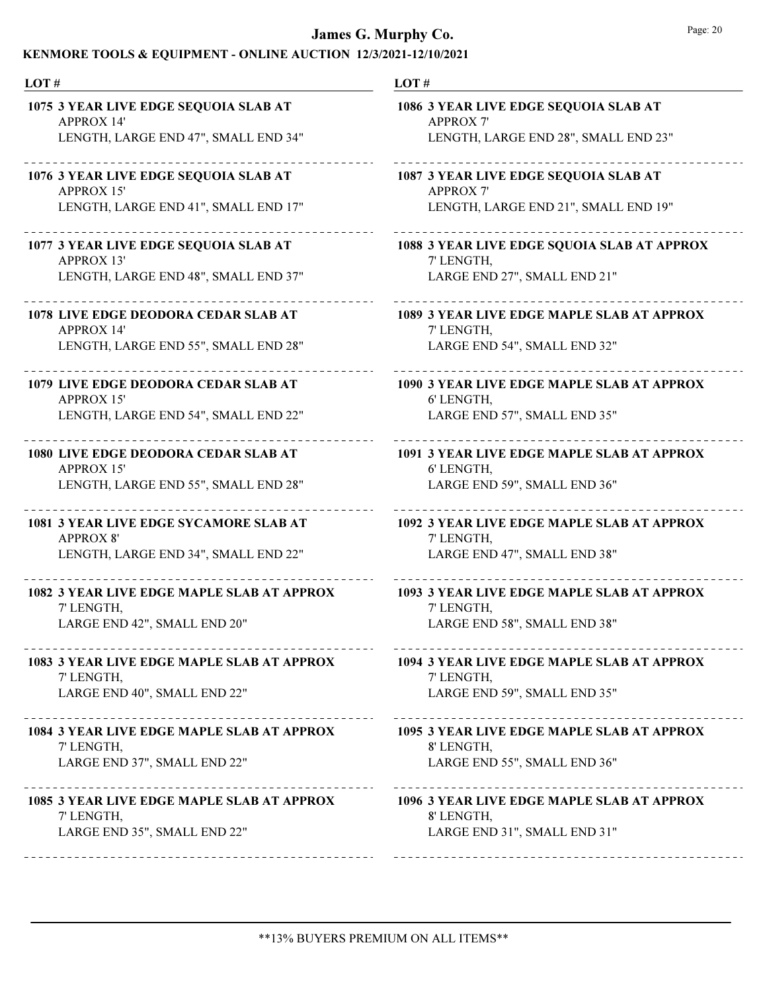| LOT#                                        | LOT#                                                                                                                                |  |  |
|---------------------------------------------|-------------------------------------------------------------------------------------------------------------------------------------|--|--|
| 1075 3 YEAR LIVE EDGE SEQUOIA SLAB AT       | 1086 3 YEAR LIVE EDGE SEQUOIA SLAB AT                                                                                               |  |  |
| <b>APPROX 14'</b>                           | <b>APPROX 7'</b>                                                                                                                    |  |  |
| LENGTH, LARGE END 47", SMALL END 34"        | LENGTH, LARGE END 28", SMALL END 23"                                                                                                |  |  |
| 1076 3 YEAR LIVE EDGE SEQUOIA SLAB AT       | 1087 3 YEAR LIVE EDGE SEQUOIA SLAB AT                                                                                               |  |  |
| <b>APPROX 15'</b>                           | <b>APPROX 7'</b>                                                                                                                    |  |  |
| LENGTH, LARGE END 41", SMALL END 17"        | LENGTH, LARGE END 21", SMALL END 19"                                                                                                |  |  |
| 1077 3 YEAR LIVE EDGE SEQUOIA SLAB AT       | 1088 3 YEAR LIVE EDGE SQUOIA SLAB AT APPROX                                                                                         |  |  |
| <b>APPROX 13'</b>                           | 7' LENGTH,                                                                                                                          |  |  |
| LENGTH, LARGE END 48", SMALL END 37"        | LARGE END 27", SMALL END 21"                                                                                                        |  |  |
| 1078 LIVE EDGE DEODORA CEDAR SLAB AT        | 1089 3 YEAR LIVE EDGE MAPLE SLAB AT APPROX                                                                                          |  |  |
| <b>APPROX 14'</b>                           | 7' LENGTH,                                                                                                                          |  |  |
| LENGTH, LARGE END 55", SMALL END 28"        | LARGE END 54", SMALL END 32"                                                                                                        |  |  |
| 1079 LIVE EDGE DEODORA CEDAR SLAB AT        | 1090 3 YEAR LIVE EDGE MAPLE SLAB AT APPROX                                                                                          |  |  |
| <b>APPROX 15'</b>                           | 6' LENGTH,                                                                                                                          |  |  |
| LENGTH, LARGE END 54", SMALL END 22"        | LARGE END 57", SMALL END 35"                                                                                                        |  |  |
| <b>1080 LIVE EDGE DEODORA CEDAR SLAB AT</b> | 1091 3 YEAR LIVE EDGE MAPLE SLAB AT APPROX                                                                                          |  |  |
| <b>APPROX 15'</b>                           | 6' LENGTH,                                                                                                                          |  |  |
| LENGTH, LARGE END 55", SMALL END 28"        | LARGE END 59", SMALL END 36"                                                                                                        |  |  |
| 1081 3 YEAR LIVE EDGE SYCAMORE SLAB AT      | 1092 3 YEAR LIVE EDGE MAPLE SLAB AT APPROX                                                                                          |  |  |
| <b>APPROX 8'</b>                            | 7' LENGTH,                                                                                                                          |  |  |
| LENGTH, LARGE END 34", SMALL END 22"        | LARGE END 47", SMALL END 38"                                                                                                        |  |  |
| 1082 3 YEAR LIVE EDGE MAPLE SLAB AT APPROX  | 1093 3 YEAR LIVE EDGE MAPLE SLAB AT APPROX                                                                                          |  |  |
| 7' LENGTH,                                  | 7' LENGTH,                                                                                                                          |  |  |
| LARGE END 42", SMALL END 20"                | LARGE END 58", SMALL END 38"                                                                                                        |  |  |
| 7' LENGTH,<br>LARGE END 40", SMALL END 22"  | 1083 3 YEAR LIVE EDGE MAPLE SLAB AT APPROX 1094 3 YEAR LIVE EDGE MAPLE SLAB AT APPROX<br>7' LENGTH,<br>LARGE END 59", SMALL END 35" |  |  |
| 1084 3 YEAR LIVE EDGE MAPLE SLAB AT APPROX  | 1095 3 YEAR LIVE EDGE MAPLE SLAB AT APPROX                                                                                          |  |  |
| 7' LENGTH,                                  | 8' LENGTH,                                                                                                                          |  |  |
| LARGE END 37", SMALL END 22"                | LARGE END 55", SMALL END 36"                                                                                                        |  |  |
| 1085 3 YEAR LIVE EDGE MAPLE SLAB AT APPROX  | 1096 3 YEAR LIVE EDGE MAPLE SLAB AT APPROX                                                                                          |  |  |
| 7' LENGTH,                                  | 8' LENGTH,                                                                                                                          |  |  |
| LARGE END 35", SMALL END 22"                | LARGE END 31", SMALL END 31"                                                                                                        |  |  |
| -------------------------------------       |                                                                                                                                     |  |  |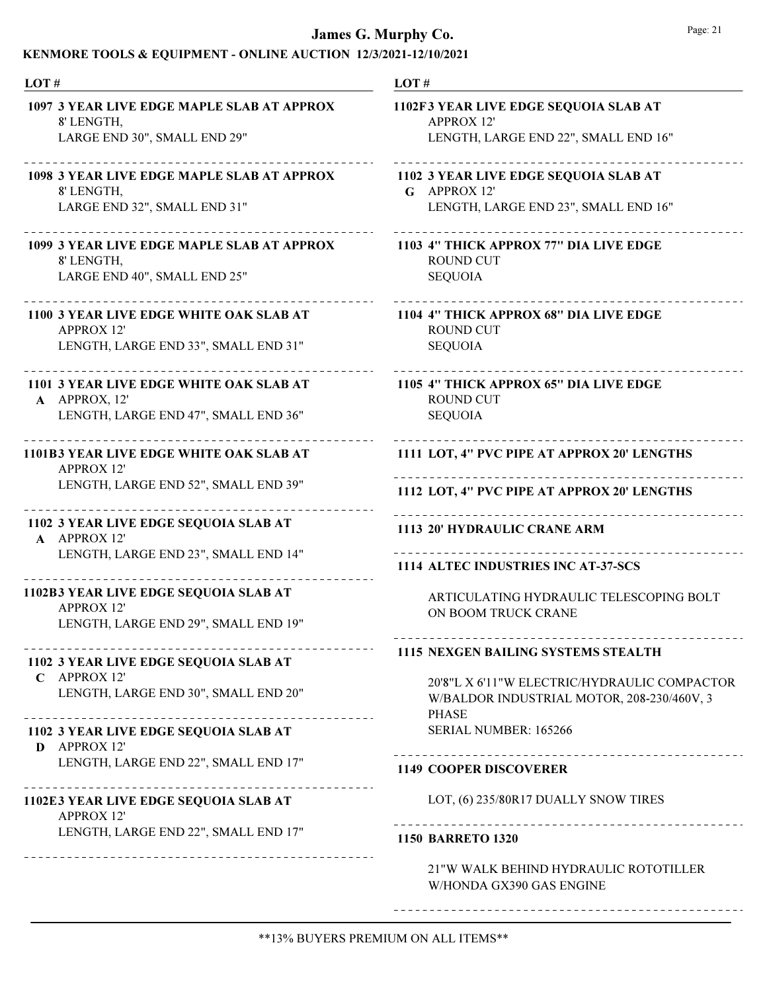### KENMORE TOOLS & EQUIPMENT - ONLINE AUCTION 12/3/2021-12/10/2021

| LOT#                                                                                               | LOT#                                                                                             |  |
|----------------------------------------------------------------------------------------------------|--------------------------------------------------------------------------------------------------|--|
| 1097 3 YEAR LIVE EDGE MAPLE SLAB AT APPROX<br>8' LENGTH,                                           | 1102F3 YEAR LIVE EDGE SEQUOIA SLAB AT<br><b>APPROX 12'</b>                                       |  |
| LARGE END 30", SMALL END 29"                                                                       | LENGTH, LARGE END 22", SMALL END 16"                                                             |  |
| 1098 3 YEAR LIVE EDGE MAPLE SLAB AT APPROX<br>8' LENGTH,                                           | 1102 3 YEAR LIVE EDGE SEQUOIA SLAB AT<br>$G$ APPROX 12'                                          |  |
| LARGE END 32", SMALL END 31"                                                                       | LENGTH, LARGE END 23", SMALL END 16"                                                             |  |
| 1099 3 YEAR LIVE EDGE MAPLE SLAB AT APPROX<br>8' LENGTH,                                           | 1103 4" THICK APPROX 77" DIA LIVE EDGE<br><b>ROUND CUT</b>                                       |  |
| LARGE END 40", SMALL END 25"                                                                       | <b>SEQUOIA</b>                                                                                   |  |
| 1100 3 YEAR LIVE EDGE WHITE OAK SLAB AT<br><b>APPROX 12'</b>                                       | 1104 4" THICK APPROX 68" DIA LIVE EDGE<br><b>ROUND CUT</b>                                       |  |
| LENGTH, LARGE END 33", SMALL END 31"                                                               | <b>SEQUOIA</b>                                                                                   |  |
| 1101 3 YEAR LIVE EDGE WHITE OAK SLAB AT<br>A APPROX, 12'                                           | __________________________________<br>1105 4" THICK APPROX 65" DIA LIVE EDGE<br><b>ROUND CUT</b> |  |
| LENGTH, LARGE END 47", SMALL END 36"                                                               | <b>SEQUOIA</b>                                                                                   |  |
| <b>1101B3 YEAR LIVE EDGE WHITE OAK SLAB AT</b><br><b>APPROX 12'</b>                                | 1111 LOT, 4" PVC PIPE AT APPROX 20' LENGTHS                                                      |  |
| LENGTH, LARGE END 52", SMALL END 39"                                                               | 1112 LOT, 4" PVC PIPE AT APPROX 20' LENGTHS                                                      |  |
| 1102 3 YEAR LIVE EDGE SEQUOIA SLAB AT<br>A APPROX 12'                                              | 1113 20' HYDRAULIC CRANE ARM                                                                     |  |
| LENGTH, LARGE END 23", SMALL END 14"                                                               | 1114 ALTEC INDUSTRIES INC AT-37-SCS                                                              |  |
| 1102B3 YEAR LIVE EDGE SEQUOIA SLAB AT<br><b>APPROX 12'</b><br>LENGTH, LARGE END 29", SMALL END 19" | ARTICULATING HYDRAULIC TELESCOPING BOLT<br>ON BOOM TRUCK CRANE                                   |  |
|                                                                                                    | <b>1115 NEXGEN BAILING SYSTEMS STEALTH</b>                                                       |  |
| 1102 3 YEAR LIVE EDGE SEQUOIA SLAB AT<br>$C$ APPROX 12'                                            | 20'8"L X 6'11"W ELECTRIC/HYDRAULIC COMPACTOR                                                     |  |
| LENGTH, LARGE END 30", SMALL END 20"                                                               | W/BALDOR INDUSTRIAL MOTOR, 208-230/460V, 3<br><b>PHASE</b>                                       |  |
| 1102 3 YEAR LIVE EDGE SEQUOIA SLAB AT<br>D APPROX 12'                                              | SERIAL NUMBER: 165266                                                                            |  |
| LENGTH, LARGE END 22", SMALL END 17"                                                               | <b>1149 COOPER DISCOVERER</b>                                                                    |  |
| 1102E3 YEAR LIVE EDGE SEQUOIA SLAB AT<br><b>APPROX 12'</b>                                         | LOT, (6) 235/80R17 DUALLY SNOW TIRES                                                             |  |
| LENGTH, LARGE END 22", SMALL END 17"                                                               | <b>1150 BARRETO 1320</b>                                                                         |  |
|                                                                                                    | 21"W WALK BEHIND HYDRAULIC ROTOTILLER<br>W/HONDA GX390 GAS ENGINE                                |  |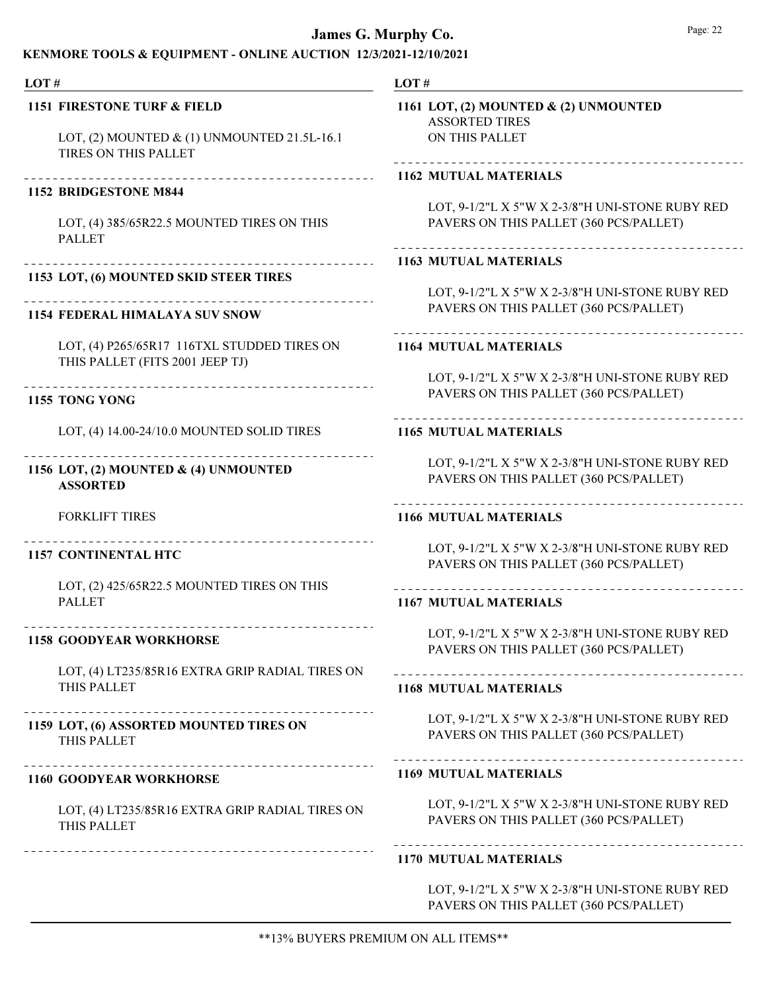### KENMORE TOOLS & EQUIPMENT - ONLINE AUCTION 12/3/2021-12/10/2021

#### LOT #

#### 1151 FIRESTONE TURF & FIELD

LOT, (2) MOUNTED & (1) UNMOUNTED 21.5L-16.1 TIRES ON THIS PALLET

#### 1152 BRIDGESTONE M844

LOT, (4) 385/65R22.5 MOUNTED TIRES ON THIS PALLET

## 1153 LOT, (6) MOUNTED SKID STEER TIRES

Ne

#### 1154 FEDERAL HIMALAYA SUV SNOW

LOT, (4) P265/65R17 116TXL STUDDED TIRES ON THIS PALLET (FITS 2001 JEEP TJ)

1155 TONG YONG

LOT, (4) 14.00-24/10.0 MOUNTED SOLID TIRES

## 1156 LOT, (2) MOUNTED & (4) UNMOUNTED ASSORTED

FORKLIFT TIRES

#### 1157 CONTINENTAL HTC

LOT, (2) 425/65R22.5 MOUNTED TIRES ON THIS PALLET

#### 1158 GOODYEAR WORKHORSE

LOT, (4) LT235/85R16 EXTRA GRIP RADIAL TIRES ON THIS PALLET

## THIS PALLET 1159 LOT, (6) ASSORTED MOUNTED TIRES ON

#### 1160 GOODYEAR WORKHORSE

LOT, (4) LT235/85R16 EXTRA GRIP RADIAL TIRES ON THIS PALLET

--------------------------------------

#### LOT #

ASSORTED TIRES ON THIS PALLET 1161 LOT, (2) MOUNTED & (2) UNMOUNTED

#### 1162 MUTUAL MATERIALS

LOT, 9-1/2"L X 5"W X 2-3/8"H UNI-STONE RUBY RED PAVERS ON THIS PALLET (360 PCS/PALLET)

## 1163 MUTUAL MATERIALS

LOT, 9-1/2"L X 5"W X 2-3/8"H UNI-STONE RUBY RED PAVERS ON THIS PALLET (360 PCS/PALLET)

#### 1164 MUTUAL MATERIALS

LOT, 9-1/2"L X 5"W X 2-3/8"H UNI-STONE RUBY RED PAVERS ON THIS PALLET (360 PCS/PALLET)

#### 1165 MUTUAL MATERIALS

LOT, 9-1/2"L X 5"W X 2-3/8"H UNI-STONE RUBY RED PAVERS ON THIS PALLET (360 PCS/PALLET)

#### 1166 MUTUAL MATERIALS

LOT, 9-1/2"L X 5"W X 2-3/8"H UNI-STONE RUBY RED PAVERS ON THIS PALLET (360 PCS/PALLET)

#### 1167 MUTUAL MATERIALS

LOT, 9-1/2"L X 5"W X 2-3/8"H UNI-STONE RUBY RED PAVERS ON THIS PALLET (360 PCS/PALLET)

#### 1168 MUTUAL MATERIALS

LOT, 9-1/2"L X 5"W X 2-3/8"H UNI-STONE RUBY RED PAVERS ON THIS PALLET (360 PCS/PALLET)

#### 1169 MUTUAL MATERIALS

LOT, 9-1/2"L X 5"W X 2-3/8"H UNI-STONE RUBY RED PAVERS ON THIS PALLET (360 PCS/PALLET)

## 1170 MUTUAL MATERIALS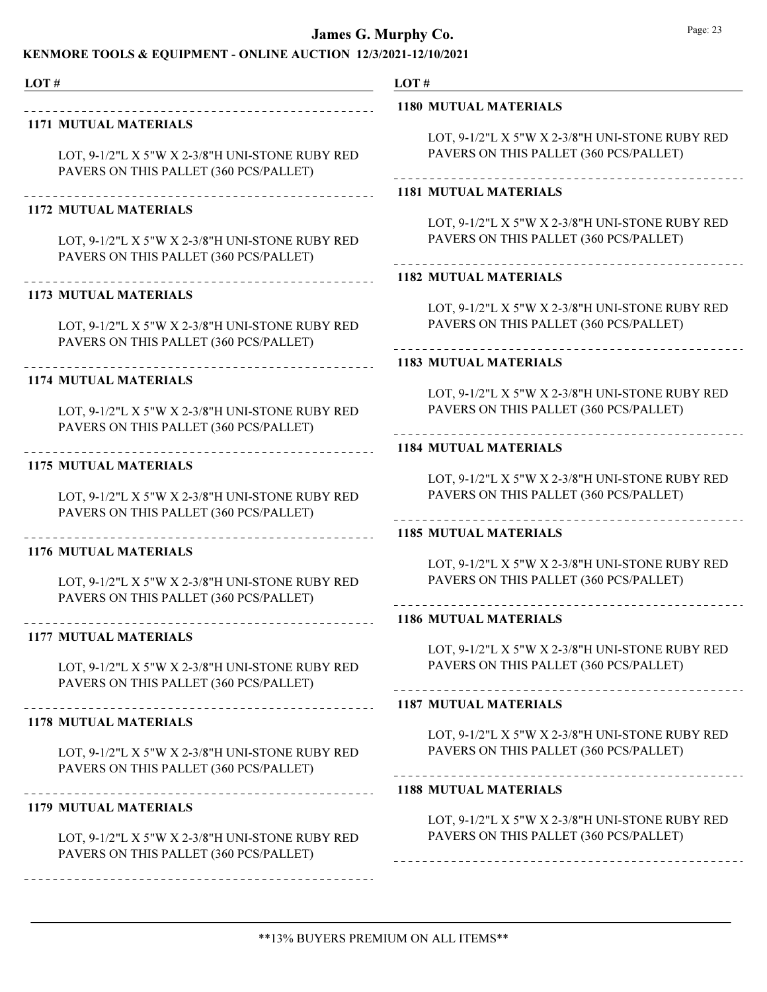### KENMORE TOOLS & EQUIPMENT - ONLINE AUCTION 12/3/2021-12/10/2021

LOT #

### 1171 MUTUAL MATERIALS

LOT, 9-1/2"L X 5"W X 2-3/8"H UNI-STONE RUBY RED PAVERS ON THIS PALLET (360 PCS/PALLET)

### 1172 MUTUAL MATERIALS

\_\_\_\_\_\_\_\_\_\_\_\_\_\_\_\_\_\_\_\_\_\_

LOT, 9-1/2"L X 5"W X 2-3/8"H UNI-STONE RUBY RED PAVERS ON THIS PALLET (360 PCS/PALLET)

### 1173 MUTUAL MATERIALS

LOT, 9-1/2"L X 5"W X 2-3/8"H UNI-STONE RUBY RED PAVERS ON THIS PALLET (360 PCS/PALLET)

#### 1174 MUTUAL MATERIALS

LOT, 9-1/2"L X 5"W X 2-3/8"H UNI-STONE RUBY RED PAVERS ON THIS PALLET (360 PCS/PALLET)

#### 1175 MUTUAL MATERIALS

LOT, 9-1/2"L X 5"W X 2-3/8"H UNI-STONE RUBY RED PAVERS ON THIS PALLET (360 PCS/PALLET)

### 1176 MUTUAL MATERIALS

---------------------

LOT, 9-1/2"L X 5"W X 2-3/8"H UNI-STONE RUBY RED PAVERS ON THIS PALLET (360 PCS/PALLET)

#### 1177 MUTUAL MATERIALS

LOT, 9-1/2"L X 5"W X 2-3/8"H UNI-STONE RUBY RED PAVERS ON THIS PALLET (360 PCS/PALLET)

### 1178 MUTUAL MATERIALS

LOT, 9-1/2"L X 5"W X 2-3/8"H UNI-STONE RUBY RED PAVERS ON THIS PALLET (360 PCS/PALLET)

#### 1179 MUTUAL MATERIALS

LOT, 9-1/2"L X 5"W X 2-3/8"H UNI-STONE RUBY RED PAVERS ON THIS PALLET (360 PCS/PALLET)

LOT #

#### 1180 MUTUAL MATERIALS

LOT, 9-1/2"L X 5"W X 2-3/8"H UNI-STONE RUBY RED PAVERS ON THIS PALLET (360 PCS/PALLET)

#### 1181 MUTUAL MATERIALS

LOT, 9-1/2"L X 5"W X 2-3/8"H UNI-STONE RUBY RED PAVERS ON THIS PALLET (360 PCS/PALLET)

#### 1182 MUTUAL MATERIALS

LOT, 9-1/2"L X 5"W X 2-3/8"H UNI-STONE RUBY RED PAVERS ON THIS PALLET (360 PCS/PALLET)

#### 1183 MUTUAL MATERIALS

LOT, 9-1/2"L X 5"W X 2-3/8"H UNI-STONE RUBY RED PAVERS ON THIS PALLET (360 PCS/PALLET)

## 1184 MUTUAL MATERIALS

LOT, 9-1/2"L X 5"W X 2-3/8"H UNI-STONE RUBY RED PAVERS ON THIS PALLET (360 PCS/PALLET)

#### 1185 MUTUAL MATERIALS

LOT, 9-1/2"L X 5"W X 2-3/8"H UNI-STONE RUBY RED PAVERS ON THIS PALLET (360 PCS/PALLET)

#### 1186 MUTUAL MATERIALS

LOT, 9-1/2"L X 5"W X 2-3/8"H UNI-STONE RUBY RED PAVERS ON THIS PALLET (360 PCS/PALLET)

#### 1187 MUTUAL MATERIALS

LOT, 9-1/2"L X 5"W X 2-3/8"H UNI-STONE RUBY RED PAVERS ON THIS PALLET (360 PCS/PALLET)

## \_\_\_\_\_\_\_\_\_\_\_\_\_\_\_\_\_\_\_\_\_\_\_\_\_\_\_\_\_\_\_\_

#### 1188 MUTUAL MATERIALS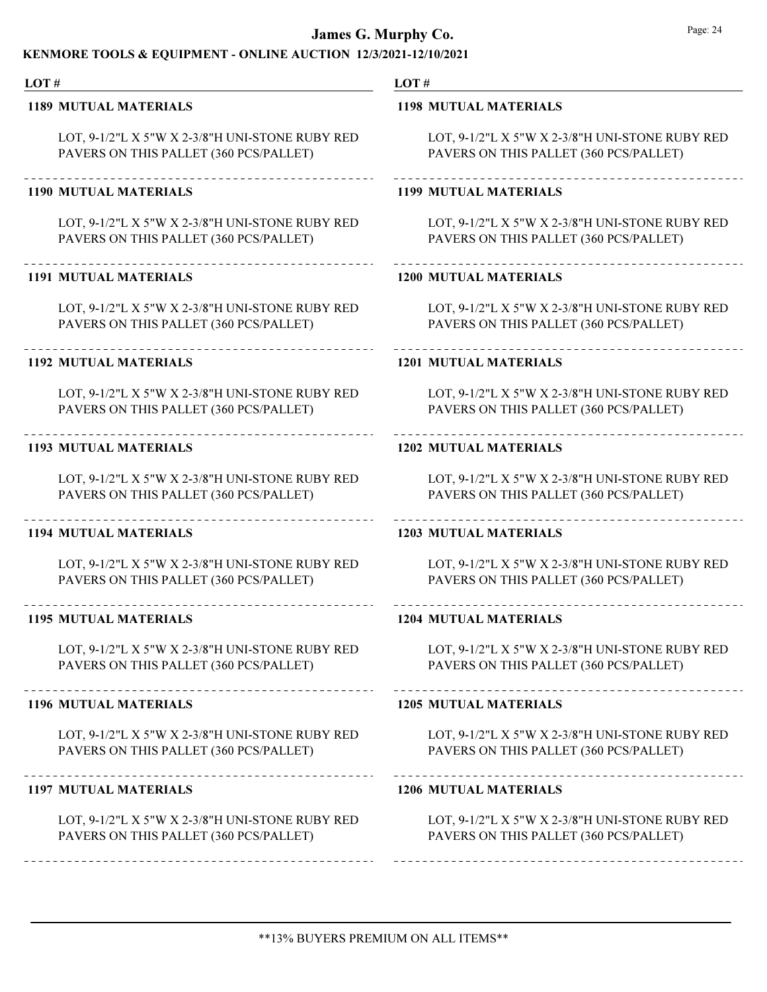### KENMORE TOOLS & EQUIPMENT - ONLINE AUCTION 12/3/2021-12/10/2021

#### LOT #

#### 1189 MUTUAL MATERIALS

LOT, 9-1/2"L X 5"W X 2-3/8"H UNI-STONE RUBY RED PAVERS ON THIS PALLET (360 PCS/PALLET)

#### 1190 MUTUAL MATERIALS

LOT, 9-1/2"L X 5"W X 2-3/8"H UNI-STONE RUBY RED PAVERS ON THIS PALLET (360 PCS/PALLET)

#### 1191 MUTUAL MATERIALS

LOT, 9-1/2"L X 5"W X 2-3/8"H UNI-STONE RUBY RED PAVERS ON THIS PALLET (360 PCS/PALLET)

#### 1192 MUTUAL MATERIALS

LOT, 9-1/2"L X 5"W X 2-3/8"H UNI-STONE RUBY RED PAVERS ON THIS PALLET (360 PCS/PALLET)

#### 1193 MUTUAL MATERIALS

LOT, 9-1/2"L X 5"W X 2-3/8"H UNI-STONE RUBY RED PAVERS ON THIS PALLET (360 PCS/PALLET)

#### 1194 MUTUAL MATERIALS

LOT, 9-1/2"L X 5"W X 2-3/8"H UNI-STONE RUBY RED PAVERS ON THIS PALLET (360 PCS/PALLET)

### 1195 MUTUAL MATERIALS

LOT, 9-1/2"L X 5"W X 2-3/8"H UNI-STONE RUBY RED PAVERS ON THIS PALLET (360 PCS/PALLET)

#### 1196 MUTUAL MATERIALS

LOT, 9-1/2"L X 5"W X 2-3/8"H UNI-STONE RUBY RED PAVERS ON THIS PALLET (360 PCS/PALLET)

#### 1197 MUTUAL MATERIALS

----------------------------

LOT, 9-1/2"L X 5"W X 2-3/8"H UNI-STONE RUBY RED PAVERS ON THIS PALLET (360 PCS/PALLET)

#### LOT #

#### 1198 MUTUAL MATERIALS

LOT, 9-1/2"L X 5"W X 2-3/8"H UNI-STONE RUBY RED PAVERS ON THIS PALLET (360 PCS/PALLET)

## 1199 MUTUAL MATERIALS

LOT, 9-1/2"L X 5"W X 2-3/8"H UNI-STONE RUBY RED PAVERS ON THIS PALLET (360 PCS/PALLET)

## 1200 MUTUAL MATERIALS

LOT, 9-1/2"L X 5"W X 2-3/8"H UNI-STONE RUBY RED PAVERS ON THIS PALLET (360 PCS/PALLET)

#### 1201 MUTUAL MATERIALS

LOT, 9-1/2"L X 5"W X 2-3/8"H UNI-STONE RUBY RED PAVERS ON THIS PALLET (360 PCS/PALLET)

## 1202 MUTUAL MATERIALS

LOT, 9-1/2"L X 5"W X 2-3/8"H UNI-STONE RUBY RED PAVERS ON THIS PALLET (360 PCS/PALLET)

## 1203 MUTUAL MATERIALS

LOT, 9-1/2"L X 5"W X 2-3/8"H UNI-STONE RUBY RED PAVERS ON THIS PALLET (360 PCS/PALLET)

#### 1204 MUTUAL MATERIALS

LOT, 9-1/2"L X 5"W X 2-3/8"H UNI-STONE RUBY RED PAVERS ON THIS PALLET (360 PCS/PALLET)

#### 1205 MUTUAL MATERIALS

LOT, 9-1/2"L X 5"W X 2-3/8"H UNI-STONE RUBY RED PAVERS ON THIS PALLET (360 PCS/PALLET)

#### 1206 MUTUAL MATERIALS

\_\_\_\_\_\_\_\_\_\_\_\_\_\_\_\_\_\_\_\_\_\_\_\_\_\_\_\_\_\_\_\_\_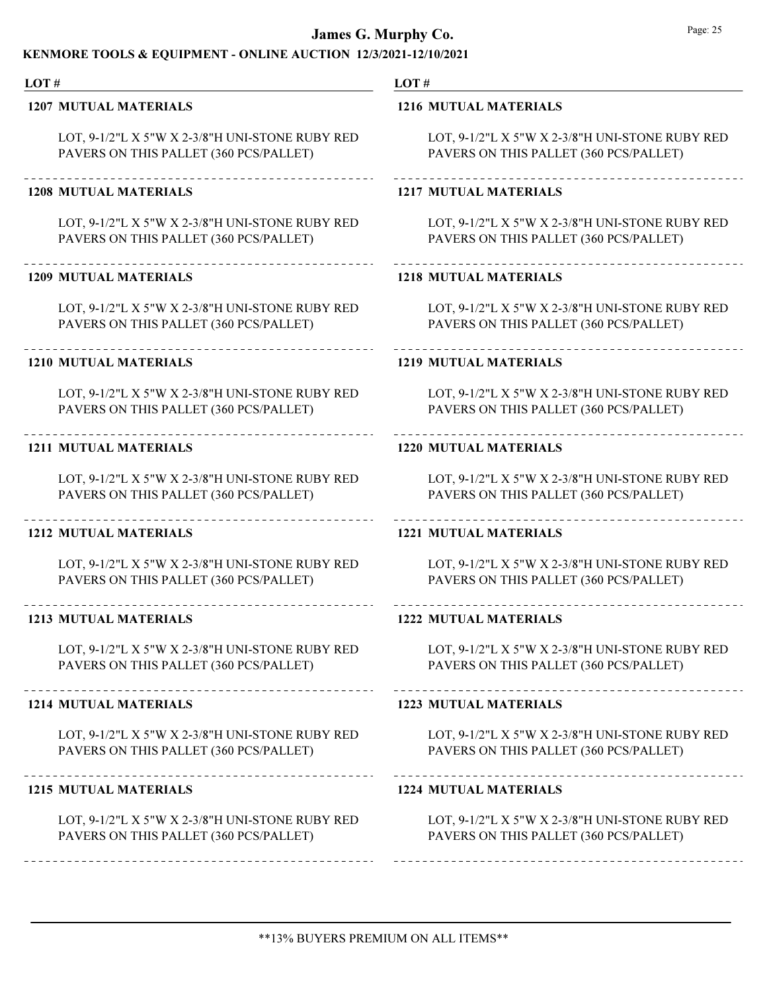### KENMORE TOOLS & EQUIPMENT - ONLINE AUCTION 12/3/2021-12/10/2021

#### LOT #

#### 1207 MUTUAL MATERIALS

LOT, 9-1/2"L X 5"W X 2-3/8"H UNI-STONE RUBY RED PAVERS ON THIS PALLET (360 PCS/PALLET)

#### 1208 MUTUAL MATERIALS

LOT, 9-1/2"L X 5"W X 2-3/8"H UNI-STONE RUBY RED PAVERS ON THIS PALLET (360 PCS/PALLET)

#### 1209 MUTUAL MATERIALS

LOT, 9-1/2"L X 5"W X 2-3/8"H UNI-STONE RUBY RED PAVERS ON THIS PALLET (360 PCS/PALLET)

#### 1210 MUTUAL MATERIALS

LOT, 9-1/2"L X 5"W X 2-3/8"H UNI-STONE RUBY RED PAVERS ON THIS PALLET (360 PCS/PALLET)

#### 1211 MUTUAL MATERIALS

LOT, 9-1/2"L X 5"W X 2-3/8"H UNI-STONE RUBY RED PAVERS ON THIS PALLET (360 PCS/PALLET)

#### 1212 MUTUAL MATERIALS

LOT, 9-1/2"L X 5"W X 2-3/8"H UNI-STONE RUBY RED PAVERS ON THIS PALLET (360 PCS/PALLET)

### 1213 MUTUAL MATERIALS

LOT, 9-1/2"L X 5"W X 2-3/8"H UNI-STONE RUBY RED PAVERS ON THIS PALLET (360 PCS/PALLET)

#### 1214 MUTUAL MATERIALS

LOT, 9-1/2"L X 5"W X 2-3/8"H UNI-STONE RUBY RED PAVERS ON THIS PALLET (360 PCS/PALLET)

#### 1215 MUTUAL MATERIALS

-----------------------------

LOT, 9-1/2"L X 5"W X 2-3/8"H UNI-STONE RUBY RED PAVERS ON THIS PALLET (360 PCS/PALLET)

#### LOT #

#### 1216 MUTUAL MATERIALS

LOT, 9-1/2"L X 5"W X 2-3/8"H UNI-STONE RUBY RED PAVERS ON THIS PALLET (360 PCS/PALLET)

## 1217 MUTUAL MATERIALS

LOT, 9-1/2"L X 5"W X 2-3/8"H UNI-STONE RUBY RED PAVERS ON THIS PALLET (360 PCS/PALLET)

## 1218 MUTUAL MATERIALS

LOT, 9-1/2"L X 5"W X 2-3/8"H UNI-STONE RUBY RED PAVERS ON THIS PALLET (360 PCS/PALLET)

#### 1219 MUTUAL MATERIALS

LOT, 9-1/2"L X 5"W X 2-3/8"H UNI-STONE RUBY RED PAVERS ON THIS PALLET (360 PCS/PALLET)

## 1220 MUTUAL MATERIALS

LOT, 9-1/2"L X 5"W X 2-3/8"H UNI-STONE RUBY RED PAVERS ON THIS PALLET (360 PCS/PALLET)

## 1221 MUTUAL MATERIALS

LOT, 9-1/2"L X 5"W X 2-3/8"H UNI-STONE RUBY RED PAVERS ON THIS PALLET (360 PCS/PALLET)

#### 1222 MUTUAL MATERIALS

LOT, 9-1/2"L X 5"W X 2-3/8"H UNI-STONE RUBY RED PAVERS ON THIS PALLET (360 PCS/PALLET)

#### 1223 MUTUAL MATERIALS

LOT, 9-1/2"L X 5"W X 2-3/8"H UNI-STONE RUBY RED PAVERS ON THIS PALLET (360 PCS/PALLET)

#### 1224 MUTUAL MATERIALS

\_\_\_\_\_\_\_\_\_\_\_\_\_\_\_\_\_\_\_\_\_\_\_\_\_\_\_\_\_\_\_\_\_\_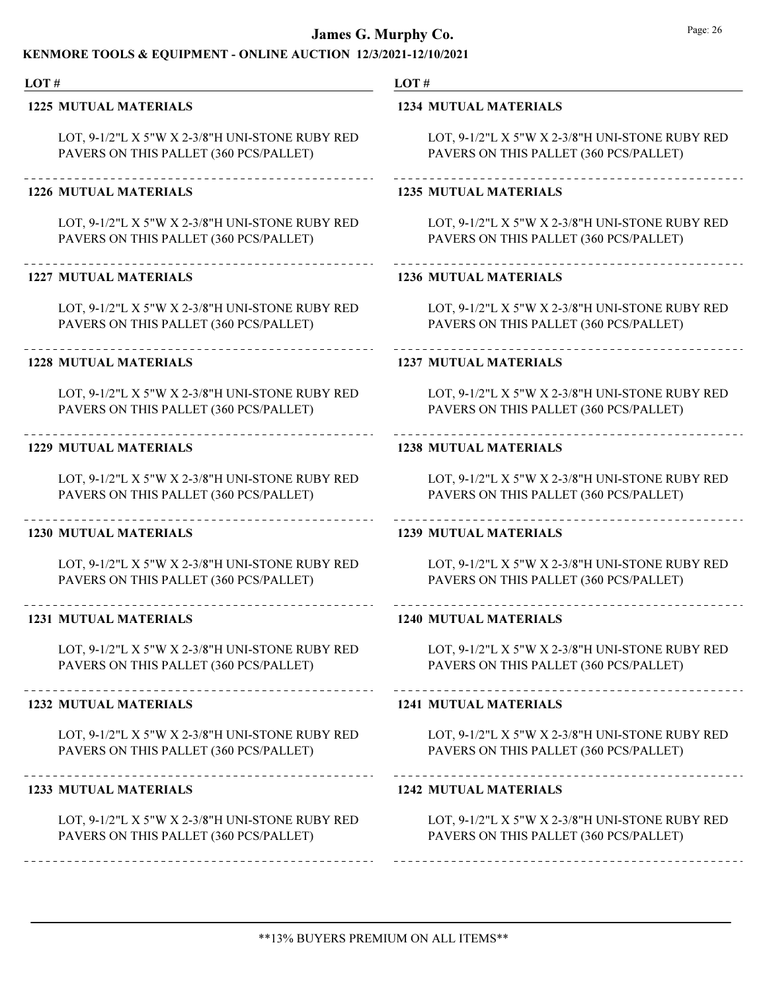### KENMORE TOOLS & EQUIPMENT - ONLINE AUCTION 12/3/2021-12/10/2021

#### LOT #

#### 1225 MUTUAL MATERIALS

LOT, 9-1/2"L X 5"W X 2-3/8"H UNI-STONE RUBY RED PAVERS ON THIS PALLET (360 PCS/PALLET)

#### 1226 MUTUAL MATERIALS

LOT, 9-1/2"L X 5"W X 2-3/8"H UNI-STONE RUBY RED PAVERS ON THIS PALLET (360 PCS/PALLET)

#### 1227 MUTUAL MATERIALS

LOT, 9-1/2"L X 5"W X 2-3/8"H UNI-STONE RUBY RED PAVERS ON THIS PALLET (360 PCS/PALLET)

#### 1228 MUTUAL MATERIALS

LOT, 9-1/2"L X 5"W X 2-3/8"H UNI-STONE RUBY RED PAVERS ON THIS PALLET (360 PCS/PALLET)

#### 1229 MUTUAL MATERIALS

LOT, 9-1/2"L X 5"W X 2-3/8"H UNI-STONE RUBY RED PAVERS ON THIS PALLET (360 PCS/PALLET)

#### 1230 MUTUAL MATERIALS

LOT, 9-1/2"L X 5"W X 2-3/8"H UNI-STONE RUBY RED PAVERS ON THIS PALLET (360 PCS/PALLET)

### 1231 MUTUAL MATERIALS

LOT, 9-1/2"L X 5"W X 2-3/8"H UNI-STONE RUBY RED PAVERS ON THIS PALLET (360 PCS/PALLET)

#### 1232 MUTUAL MATERIALS

LOT, 9-1/2"L X 5"W X 2-3/8"H UNI-STONE RUBY RED PAVERS ON THIS PALLET (360 PCS/PALLET)

#### 1233 MUTUAL MATERIALS

LOT, 9-1/2"L X 5"W X 2-3/8"H UNI-STONE RUBY RED PAVERS ON THIS PALLET (360 PCS/PALLET)

#### LOT #

#### 1234 MUTUAL MATERIALS

LOT, 9-1/2"L X 5"W X 2-3/8"H UNI-STONE RUBY RED PAVERS ON THIS PALLET (360 PCS/PALLET)

### 1235 MUTUAL MATERIALS

LOT, 9-1/2"L X 5"W X 2-3/8"H UNI-STONE RUBY RED PAVERS ON THIS PALLET (360 PCS/PALLET)

## 1236 MUTUAL MATERIALS

LOT, 9-1/2"L X 5"W X 2-3/8"H UNI-STONE RUBY RED PAVERS ON THIS PALLET (360 PCS/PALLET)

#### 1237 MUTUAL MATERIALS

LOT, 9-1/2"L X 5"W X 2-3/8"H UNI-STONE RUBY RED PAVERS ON THIS PALLET (360 PCS/PALLET)

## 1238 MUTUAL MATERIALS

LOT, 9-1/2"L X 5"W X 2-3/8"H UNI-STONE RUBY RED PAVERS ON THIS PALLET (360 PCS/PALLET)

### 1239 MUTUAL MATERIALS

LOT, 9-1/2"L X 5"W X 2-3/8"H UNI-STONE RUBY RED PAVERS ON THIS PALLET (360 PCS/PALLET)

#### 1240 MUTUAL MATERIALS

LOT, 9-1/2"L X 5"W X 2-3/8"H UNI-STONE RUBY RED PAVERS ON THIS PALLET (360 PCS/PALLET)

#### 1241 MUTUAL MATERIALS

LOT, 9-1/2"L X 5"W X 2-3/8"H UNI-STONE RUBY RED PAVERS ON THIS PALLET (360 PCS/PALLET)

#### 1242 MUTUAL MATERIALS

\_\_\_\_\_\_\_\_\_\_\_\_\_\_\_\_\_\_\_\_\_\_\_\_\_\_\_\_\_\_\_\_\_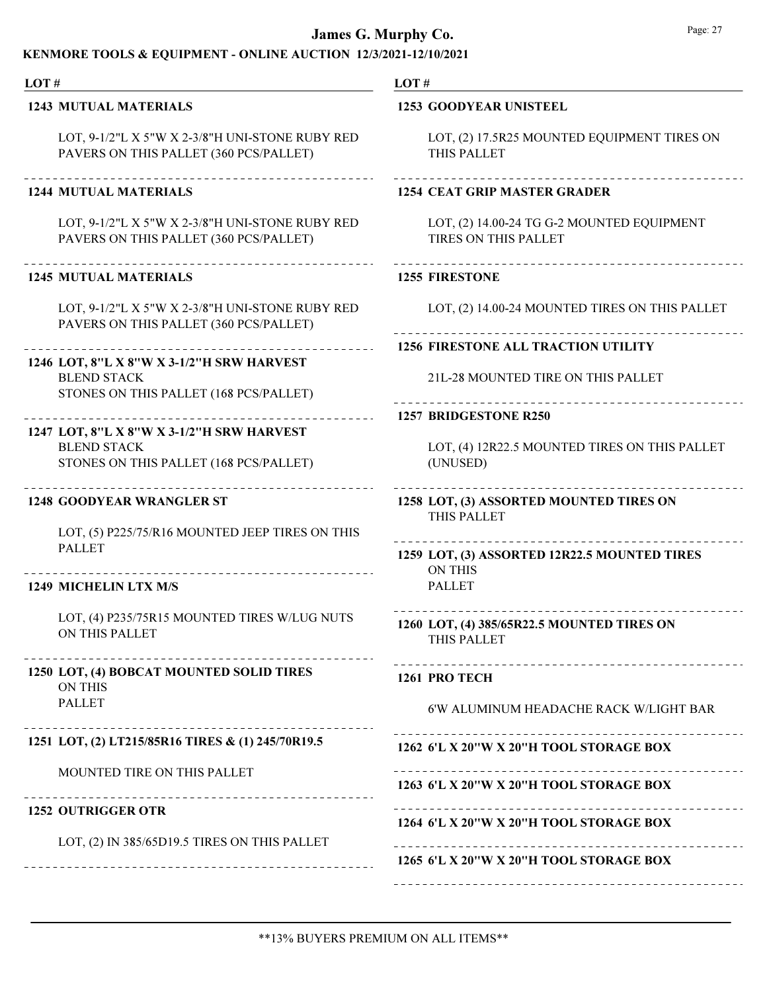| LOT#                                                               |  |
|--------------------------------------------------------------------|--|
| <b>1253 GOODYEAR UNISTEEL</b>                                      |  |
| LOT, (2) 17.5R25 MOUNTED EQUIPMENT TIRES ON<br>THIS PALLET         |  |
| <b>1254 CEAT GRIP MASTER GRADER</b>                                |  |
| LOT, (2) 14.00-24 TG G-2 MOUNTED EQUIPMENT<br>TIRES ON THIS PALLET |  |
| <b>1255 FIRESTONE</b>                                              |  |
| LOT, (2) 14.00-24 MOUNTED TIRES ON THIS PALLET                     |  |
| <b>1256 FIRESTONE ALL TRACTION UTILITY</b>                         |  |
| 21L-28 MOUNTED TIRE ON THIS PALLET                                 |  |
| 1257 BRIDGESTONE R250<br>---------                                 |  |
| LOT, (4) 12R22.5 MOUNTED TIRES ON THIS PALLET<br>(UNUSED)          |  |
| 1258 LOT, (3) ASSORTED MOUNTED TIRES ON<br>THIS PALLET             |  |
| 1259 LOT, (3) ASSORTED 12R22.5 MOUNTED TIRES<br><b>ON THIS</b>     |  |
| <b>PALLET</b>                                                      |  |
| 1260 LOT, (4) 385/65R22.5 MOUNTED TIRES ON<br>THIS PALLET          |  |
| 1261 PRO TECH                                                      |  |
| 6'W ALUMINUM HEADACHE RACK W/LIGHT BAR                             |  |
| 1262 6'L X 20"W X 20"H TOOL STORAGE BOX                            |  |
| 1263 6'L X 20"W X 20"H TOOL STORAGE BOX                            |  |
| 1264 6'L X 20"W X 20"H TOOL STORAGE BOX                            |  |
| 1265 6'L X 20"W X 20"H TOOL STORAGE BOX                            |  |
|                                                                    |  |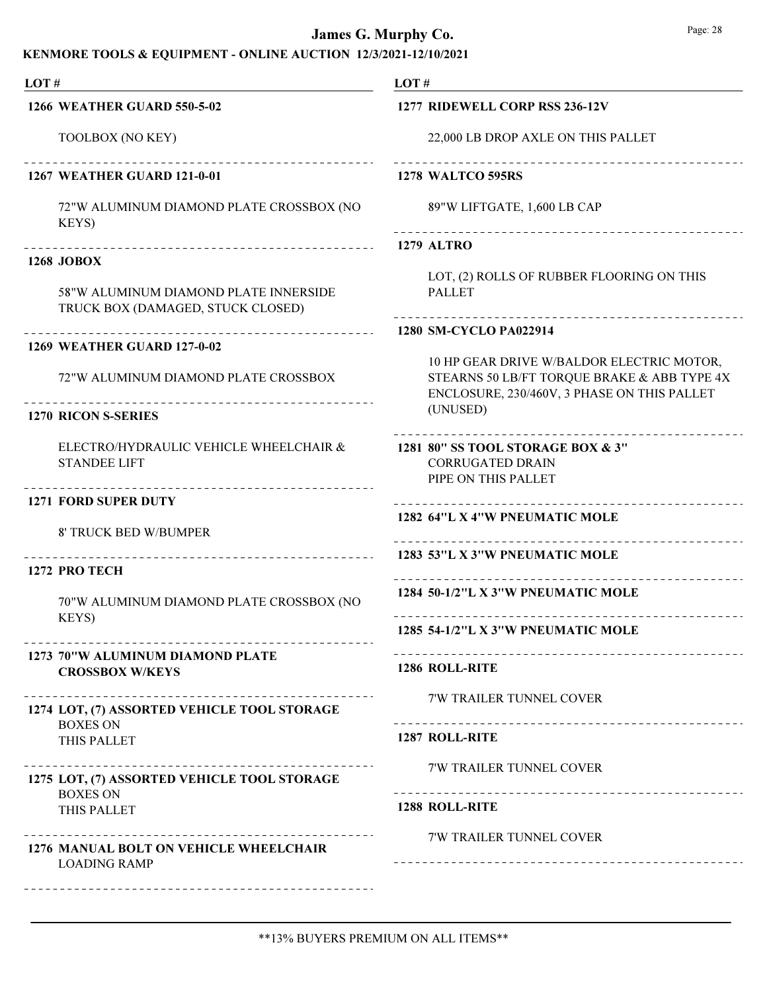| LOT#                                                                       | LOT#                                                                                       |  |  |
|----------------------------------------------------------------------------|--------------------------------------------------------------------------------------------|--|--|
| <b>1266 WEATHER GUARD 550-5-02</b>                                         | 1277 RIDEWELL CORP RSS 236-12V                                                             |  |  |
| TOOLBOX (NO KEY)                                                           | 22,000 LB DROP AXLE ON THIS PALLET                                                         |  |  |
| _______________________________<br><b>1267 WEATHER GUARD 121-0-01</b>      | <b>1278 WALTCO 595RS</b>                                                                   |  |  |
| 72"W ALUMINUM DIAMOND PLATE CROSSBOX (NO<br>KEYS)                          | 89"W LIFTGATE, 1,600 LB CAP                                                                |  |  |
|                                                                            | <b>1279 ALTRO</b>                                                                          |  |  |
| <b>1268 JOBOX</b>                                                          | LOT, (2) ROLLS OF RUBBER FLOORING ON THIS                                                  |  |  |
| 58"W ALUMINUM DIAMOND PLATE INNERSIDE<br>TRUCK BOX (DAMAGED, STUCK CLOSED) | <b>PALLET</b>                                                                              |  |  |
| ____________________                                                       | 1280 SM-CYCLO PA022914                                                                     |  |  |
| 1269 WEATHER GUARD 127-0-02                                                | 10 HP GEAR DRIVE W/BALDOR ELECTRIC MOTOR,                                                  |  |  |
| 72"W ALUMINUM DIAMOND PLATE CROSSBOX                                       | STEARNS 50 LB/FT TORQUE BRAKE & ABB TYPE 4X<br>ENCLOSURE, 230/460V, 3 PHASE ON THIS PALLET |  |  |
| <b>1270 RICON S-SERIES</b>                                                 | (UNUSED)                                                                                   |  |  |
| ELECTRO/HYDRAULIC VEHICLE WHEELCHAIR &<br><b>STANDEE LIFT</b>              | 1281 80" SS TOOL STORAGE BOX & 3"<br><b>CORRUGATED DRAIN</b><br>PIPE ON THIS PALLET        |  |  |
| ----------------------------<br><b>1271 FORD SUPER DUTY</b>                | ____________________________                                                               |  |  |
| 8' TRUCK BED W/BUMPER                                                      | 1282 64"L X 4"W PNEUMATIC MOLE                                                             |  |  |
| ____________________________________<br>1272 PRO TECH                      | 1283 53"L X 3"W PNEUMATIC MOLE                                                             |  |  |
| 70"W ALUMINUM DIAMOND PLATE CROSSBOX (NO                                   | 1284 50-1/2"L X 3"W PNEUMATIC MOLE                                                         |  |  |
| KEYS)                                                                      | 1285 54-1/2"L X 3"W PNEUMATIC MOLE                                                         |  |  |
| 1273 70"W ALUMINUM DIAMOND PLATE<br><b>CROSSBOX W/KEYS</b>                 | <b>1286 ROLL-RITE</b>                                                                      |  |  |
|                                                                            | 7'W TRAILER TUNNEL COVER                                                                   |  |  |
| 1274 LOT, (7) ASSORTED VEHICLE TOOL STORAGE<br><b>BOXES ON</b>             |                                                                                            |  |  |
| THIS PALLET                                                                | 1287 ROLL-RITE                                                                             |  |  |
| 1275 LOT, (7) ASSORTED VEHICLE TOOL STORAGE                                | 7'W TRAILER TUNNEL COVER                                                                   |  |  |
| <b>BOXES ON</b><br>THIS PALLET                                             | 1288 ROLL-RITE                                                                             |  |  |
| - - - - - - - - - <sup>-</sup>                                             | <b>7'W TRAILER TUNNEL COVER</b>                                                            |  |  |
| <b>1276 MANUAL BOLT ON VEHICLE WHEELCHAIR</b><br><b>LOADING RAMP</b>       |                                                                                            |  |  |
|                                                                            |                                                                                            |  |  |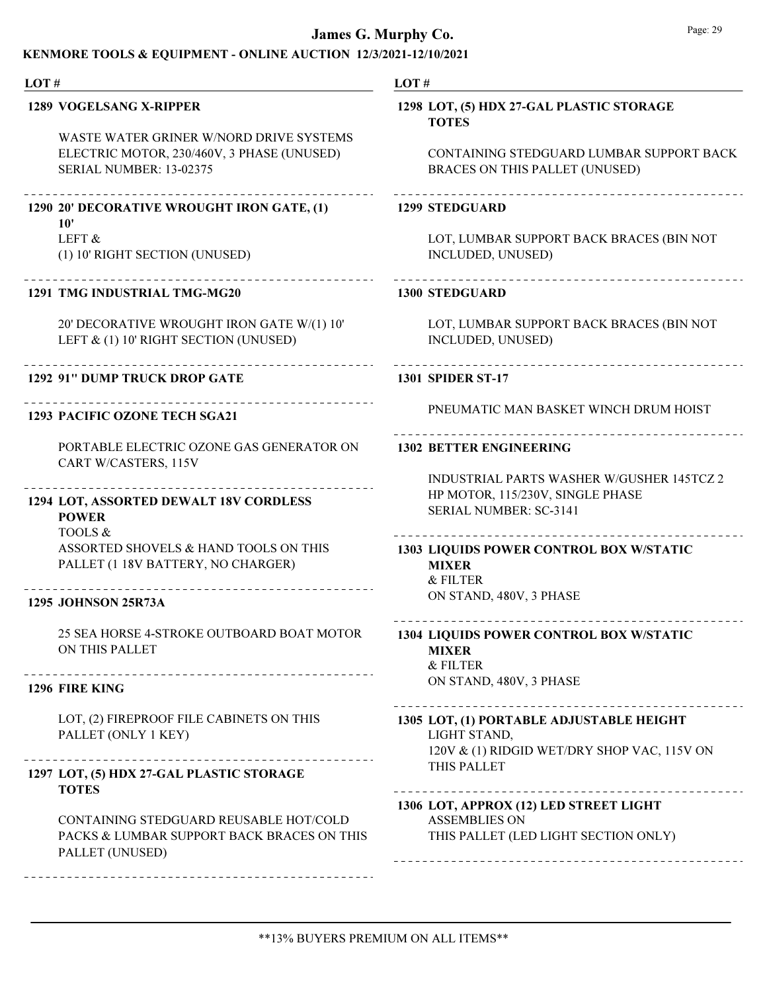#### KENMORE TOOLS & EQUIPMENT - ONLINE AUCTION 12/3/2021-12/10/2021

LOT #

### 1289 VOGELSANG X-RIPPER

WASTE WATER GRINER W/NORD DRIVE SYSTEMS ELECTRIC MOTOR, 230/460V, 3 PHASE (UNUSED) SERIAL NUMBER: 13-02375

## 1290 20' DECORATIVE WROUGHT IRON GATE, (1)

LEFT & 10'

(1) 10' RIGHT SECTION (UNUSED)

## 1291 TMG INDUSTRIAL TMG-MG20

20' DECORATIVE WROUGHT IRON GATE W/(1) 10' LEFT & (1) 10' RIGHT SECTION (UNUSED)

### 1292 91" DUMP TRUCK DROP GATE

Ne

## 1293 PACIFIC OZONE TECH SGA21

PORTABLE ELECTRIC OZONE GAS GENERATOR ON CART W/CASTERS, 115V

### LOT, ASSORTED DEWALT 18V CORDLESS 1294

TOOLS & POWER

ASSORTED SHOVELS & HAND TOOLS ON THIS PALLET (1 18V BATTERY, NO CHARGER)

## 1295 JOHNSON 25R73A

25 SEA HORSE 4-STROKE OUTBOARD BOAT MOTOR ON THIS PALLET

## 1296 FIRE KING

LOT, (2) FIREPROOF FILE CABINETS ON THIS PALLET (ONLY 1 KEY)

## 1297 LOT, (5) HDX 27-GAL PLASTIC STORAGE TOTES

CONTAINING STEDGUARD REUSABLE HOT/COLD PACKS & LUMBAR SUPPORT BACK BRACES ON THIS PALLET (UNUSED)

------------------------------

#### LOT #

### 1298 LOT, (5) HDX 27-GAL PLASTIC STORAGE TOTES

CONTAINING STEDGUARD LUMBAR SUPPORT BACK BRACES ON THIS PALLET (UNUSED)

#### 1299 STEDGUARD

LOT, LUMBAR SUPPORT BACK BRACES (BIN NOT INCLUDED, UNUSED)

#### 1300 STEDGUARD

LOT, LUMBAR SUPPORT BACK BRACES (BIN NOT INCLUDED, UNUSED)

#### 1301 SPIDER ST-17

PNEUMATIC MAN BASKET WINCH DRUM HOIST

## 1302 BETTER ENGINEERING

INDUSTRIAL PARTS WASHER W/GUSHER 145TCZ 2 HP MOTOR, 115/230V, SINGLE PHASE SERIAL NUMBER: SC-3141

#### 

& FILTER ON STAND, 480V, 3 PHASE 1303 LIQUIDS POWER CONTROL BOX W/STATIC MIXER

### 

& FILTER ON STAND, 480V, 3 PHASE 1304 LIQUIDS POWER CONTROL BOX W/STATIC MIXER

#### 

LIGHT STAND, 120V & (1) RIDGID WET/DRY SHOP VAC, 115V ON THIS PALLET 1305 LOT, (1) PORTABLE ADJUSTABLE HEIGHT

### 1306 LOT, APPROX (12) LED STREET LIGHT

ASSEMBLIES ON THIS PALLET (LED LIGHT SECTION ONLY)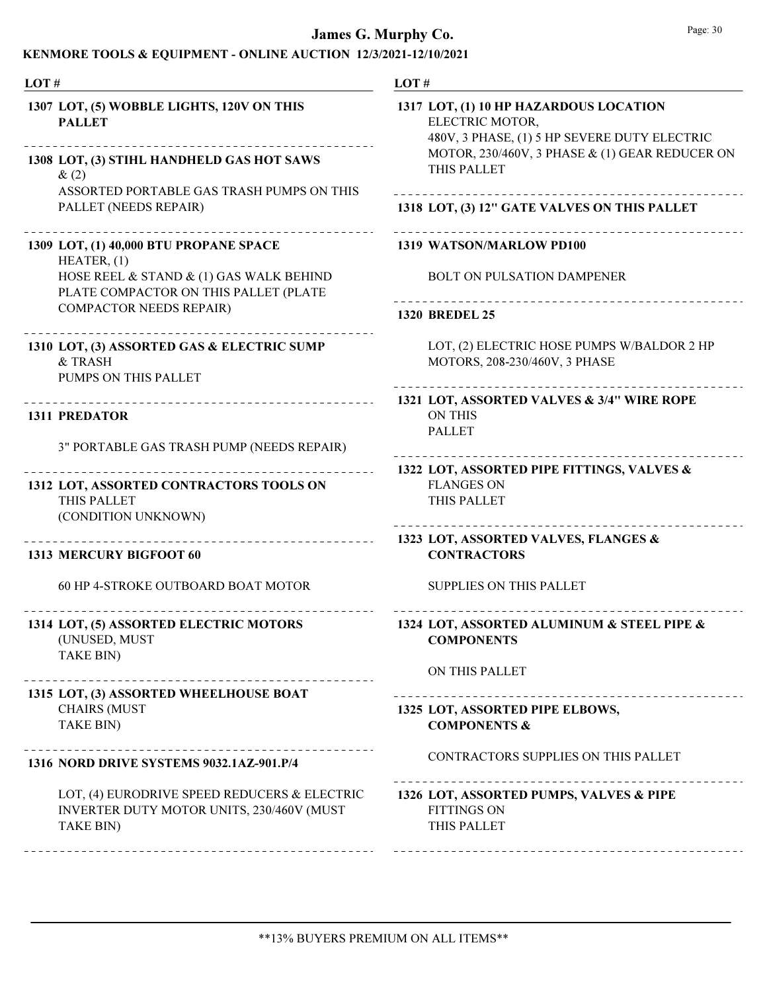| LOT#                                                                                                            | LOT#                                                                                                                                                                       |
|-----------------------------------------------------------------------------------------------------------------|----------------------------------------------------------------------------------------------------------------------------------------------------------------------------|
| 1307 LOT, (5) WOBBLE LIGHTS, 120V ON THIS<br><b>PALLET</b><br>1308 LOT, (3) STIHL HANDHELD GAS HOT SAWS<br>&(2) | 1317 LOT, (1) 10 HP HAZARDOUS LOCATION<br>ELECTRIC MOTOR,<br>480V, 3 PHASE, (1) 5 HP SEVERE DUTY ELECTRIC<br>MOTOR, 230/460V, 3 PHASE & (1) GEAR REDUCER ON<br>THIS PALLET |
| ASSORTED PORTABLE GAS TRASH PUMPS ON THIS<br>PALLET (NEEDS REPAIR)                                              | 1318 LOT, (3) 12" GATE VALVES ON THIS PALLET                                                                                                                               |
| 1309 LOT, (1) 40,000 BTU PROPANE SPACE<br>HEATER, (1)                                                           | 1319 WATSON/MARLOW PD100                                                                                                                                                   |
| HOSE REEL & STAND & (1) GAS WALK BEHIND<br>PLATE COMPACTOR ON THIS PALLET (PLATE                                | <b>BOLT ON PULSATION DAMPENER</b><br>___________________________                                                                                                           |
| <b>COMPACTOR NEEDS REPAIR)</b>                                                                                  | <b>1320 BREDEL 25</b>                                                                                                                                                      |
| 1310 LOT, (3) ASSORTED GAS & ELECTRIC SUMP<br>& TRASH<br>PUMPS ON THIS PALLET                                   | LOT, (2) ELECTRIC HOSE PUMPS W/BALDOR 2 HP<br>MOTORS, 208-230/460V, 3 PHASE                                                                                                |
| <b>1311 PREDATOR</b>                                                                                            | 1321 LOT, ASSORTED VALVES & 3/4" WIRE ROPE<br><b>ON THIS</b><br><b>PALLET</b>                                                                                              |
| 3" PORTABLE GAS TRASH PUMP (NEEDS REPAIR)                                                                       |                                                                                                                                                                            |
| 1312 LOT, ASSORTED CONTRACTORS TOOLS ON<br>THIS PALLET<br>(CONDITION UNKNOWN)                                   | 1322 LOT, ASSORTED PIPE FITTINGS, VALVES &<br><b>FLANGES ON</b><br>THIS PALLET                                                                                             |
| ______________<br><b>1313 MERCURY BIGFOOT 60</b>                                                                | 1323 LOT, ASSORTED VALVES, FLANGES &<br><b>CONTRACTORS</b>                                                                                                                 |
| 60 HP 4-STROKE OUTBOARD BOAT MOTOR                                                                              | <b>SUPPLIES ON THIS PALLET</b>                                                                                                                                             |
| 1314 LOT, (5) ASSORTED ELECTRIC MOTORS<br>(UNUSED, MUST<br>TAKE BIN)                                            | 1324 LOT, ASSORTED ALUMINUM & STEEL PIPE &<br><b>COMPONENTS</b>                                                                                                            |
|                                                                                                                 | ON THIS PALLET                                                                                                                                                             |
| 1315 LOT, (3) ASSORTED WHEELHOUSE BOAT<br><b>CHAIRS (MUST</b><br>TAKE BIN)                                      | ____________________________<br>1325 LOT, ASSORTED PIPE ELBOWS,<br><b>COMPONENTS &amp;</b>                                                                                 |
| 1316 NORD DRIVE SYSTEMS 9032.1AZ-901.P/4                                                                        | CONTRACTORS SUPPLIES ON THIS PALLET                                                                                                                                        |
| LOT, (4) EURODRIVE SPEED REDUCERS & ELECTRIC<br>INVERTER DUTY MOTOR UNITS, 230/460V (MUST<br>TAKE BIN)          | 1326 LOT, ASSORTED PUMPS, VALVES & PIPE<br><b>FITTINGS ON</b><br>THIS PALLET                                                                                               |
|                                                                                                                 |                                                                                                                                                                            |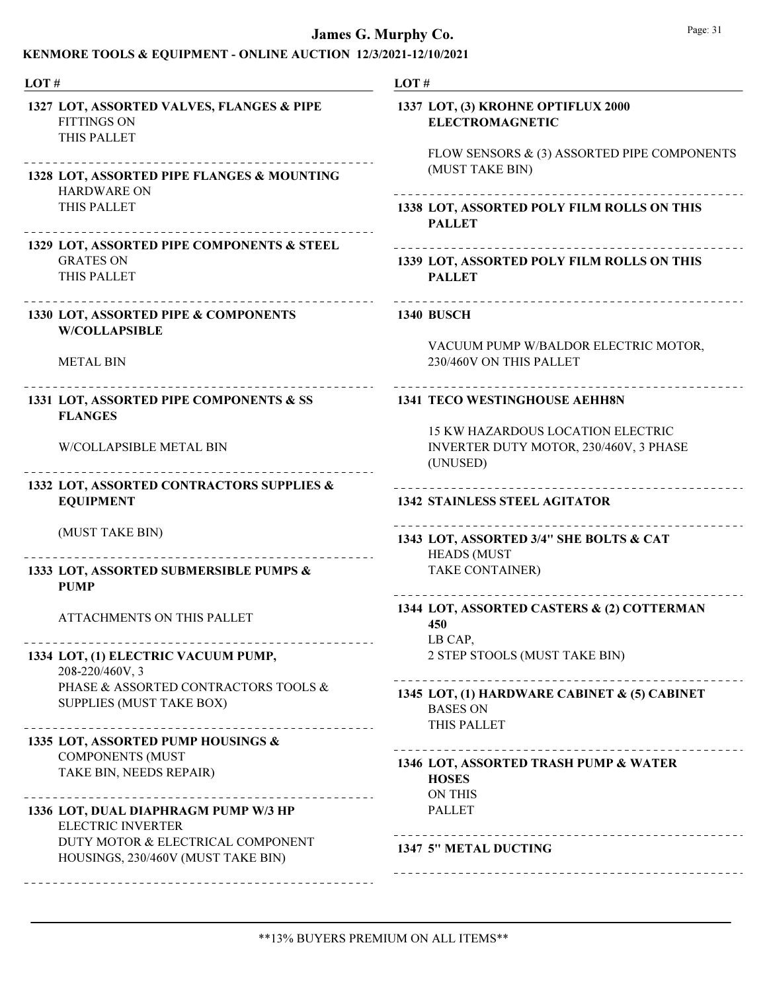| LOT#                                                                                                              | LOT#                                                                                                        |
|-------------------------------------------------------------------------------------------------------------------|-------------------------------------------------------------------------------------------------------------|
| 1327 LOT, ASSORTED VALVES, FLANGES & PIPE<br><b>FITTINGS ON</b><br>THIS PALLET<br>_______________________________ | 1337 LOT, (3) KROHNE OPTIFLUX 2000<br><b>ELECTROMAGNETIC</b><br>FLOW SENSORS & (3) ASSORTED PIPE COMPONENTS |
| 1328 LOT, ASSORTED PIPE FLANGES & MOUNTING<br><b>HARDWARE ON</b>                                                  | (MUST TAKE BIN)                                                                                             |
| THIS PALLET                                                                                                       | 1338 LOT, ASSORTED POLY FILM ROLLS ON THIS<br><b>PALLET</b>                                                 |
| 1329 LOT, ASSORTED PIPE COMPONENTS & STEEL<br><b>GRATES ON</b><br>THIS PALLET                                     | 1339 LOT, ASSORTED POLY FILM ROLLS ON THIS<br><b>PALLET</b>                                                 |
| 1330 LOT, ASSORTED PIPE & COMPONENTS<br><b>W/COLLAPSIBLE</b>                                                      | <b>1340 BUSCH</b>                                                                                           |
| <b>METAL BIN</b>                                                                                                  | VACUUM PUMP W/BALDOR ELECTRIC MOTOR,<br>230/460V ON THIS PALLET                                             |
| _______________________<br>1331 LOT, ASSORTED PIPE COMPONENTS & SS<br><b>FLANGES</b>                              | <b>1341 TECO WESTINGHOUSE AEHH8N</b>                                                                        |
| W/COLLAPSIBLE METAL BIN                                                                                           | 15 KW HAZARDOUS LOCATION ELECTRIC<br>INVERTER DUTY MOTOR, 230/460V, 3 PHASE<br>(UNUSED)                     |
| 1332 LOT, ASSORTED CONTRACTORS SUPPLIES &<br><b>EQUIPMENT</b>                                                     | ______________________________<br><b>1342 STAINLESS STEEL AGITATOR</b>                                      |
| (MUST TAKE BIN)<br>.                                                                                              | 1343 LOT, ASSORTED 3/4" SHE BOLTS & CAT<br><b>HEADS (MUST</b>                                               |
| 1333 LOT, ASSORTED SUBMERSIBLE PUMPS &<br><b>PUMP</b>                                                             | TAKE CONTAINER)                                                                                             |
| <b>ATTACHMENTS ON THIS PALLET</b>                                                                                 | 1344 LOT, ASSORTED CASTERS & (2) COTTERMAN<br>450<br>LB CAP,                                                |
| 1334 LOT, (1) ELECTRIC VACUUM PUMP,<br>208-220/460V, 3                                                            | 2 STEP STOOLS (MUST TAKE BIN)                                                                               |
| PHASE & ASSORTED CONTRACTORS TOOLS &<br>SUPPLIES (MUST TAKE BOX)                                                  | 1345 LOT, (1) HARDWARE CABINET & (5) CABINET<br><b>BASES ON</b><br>THIS PALLET                              |
| 1335 LOT, ASSORTED PUMP HOUSINGS &                                                                                |                                                                                                             |
| <b>COMPONENTS (MUST</b><br>TAKE BIN, NEEDS REPAIR)                                                                | 1346 LOT, ASSORTED TRASH PUMP & WATER<br><b>HOSES</b><br><b>ON THIS</b>                                     |
| 1336 LOT, DUAL DIAPHRAGM PUMP W/3 HP<br><b>ELECTRIC INVERTER</b>                                                  | <b>PALLET</b>                                                                                               |
| DUTY MOTOR & ELECTRICAL COMPONENT<br>HOUSINGS, 230/460V (MUST TAKE BIN)                                           | 1347 5" METAL DUCTING                                                                                       |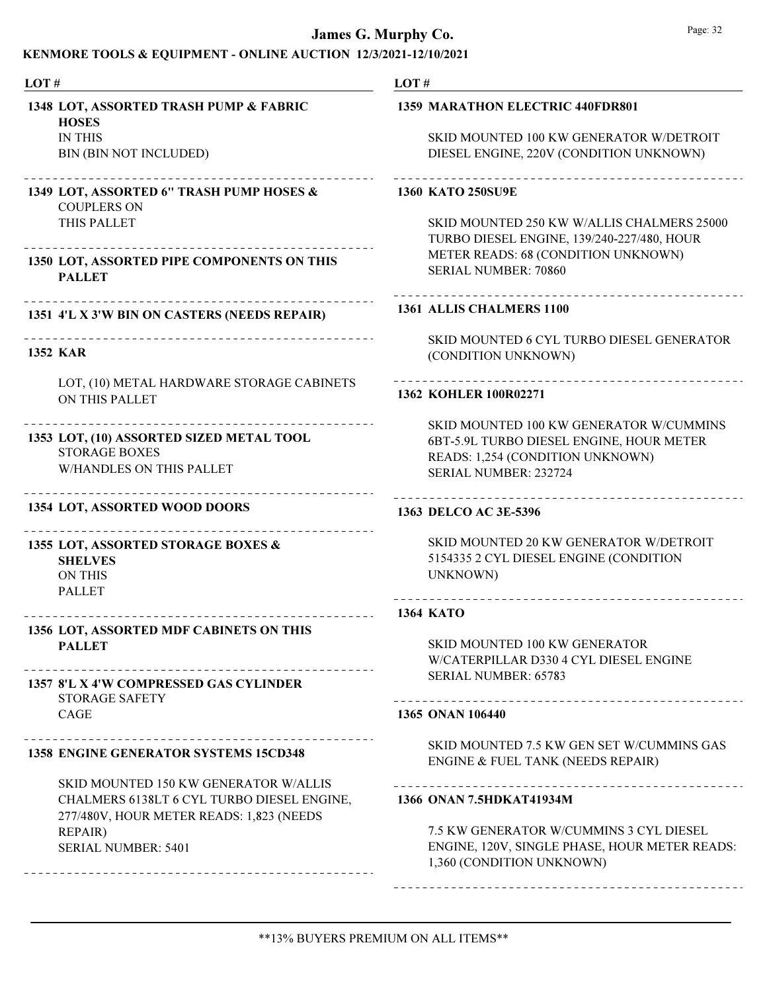### James G. Murp

#### KENMORE TOOLS & EQUIPMENT - ONLINE AUCTION 12/3/2021-

LOT #

IN THIS

PALLET

1352 KAR

COUPLERS ON THIS PALLET

ON THIS PALLET

STORAGE BOXES

ON THIS PALLET

PALLET

CAGE

STORAGE SAFETY

**SHELVES** 

W/HANDLES ON THIS PALLET

1354 LOT, ASSORTED WOOD DOORS

1355 LOT, ASSORTED STORAGE BOXES &

1356 LOT, ASSORTED MDF CABINETS ON THIS

1357 8'L X 4'W COMPRESSED GAS CYLINDER

1358 ENGINE GENERATOR SYSTEMS 15CD348

1353 LOT, (10) ASSORTED SIZED METAL TOOL

**HOSES** 

BIN (BIN NOT INCLUDED)

1348 LOT, ASSORTED TRASH PUMP & FABRIC

1349 LOT, ASSORTED 6" TRASH PUMP HOSES &

1350 LOT, ASSORTED PIPE COMPONENTS ON THIS

1351 4'L X 3'W BIN ON CASTERS (NEEDS REPAIR)

Ne

LOT, (10) METAL HARDWARE STORAGE CABINETS

| ırphy Co. | Page: 32                                                                                                                                                       |
|-----------|----------------------------------------------------------------------------------------------------------------------------------------------------------------|
|           | 21-12/10/2021                                                                                                                                                  |
| LOT#      | <b>1359 MARATHON ELECTRIC 440FDR801</b>                                                                                                                        |
|           | SKID MOUNTED 100 KW GENERATOR W/DETROIT<br>DIESEL ENGINE, 220V (CONDITION UNKNOWN)                                                                             |
|           | <b>1360 KATO 250SU9E</b>                                                                                                                                       |
|           | SKID MOUNTED 250 KW W/ALLIS CHALMERS 25000<br>TURBO DIESEL ENGINE, 139/240-227/480, HOUR<br>METER READS: 68 (CONDITION UNKNOWN)<br><b>SERIAL NUMBER: 70860</b> |
|           | 1361 ALLIS CHALMERS 1100                                                                                                                                       |
|           | SKID MOUNTED 6 CYL TURBO DIESEL GENERATOR<br>(CONDITION UNKNOWN)                                                                                               |
|           | ----------------------------<br>1362 KOHLER 100R02271                                                                                                          |
|           | SKID MOUNTED 100 KW GENERATOR W/CUMMINS<br>6BT-5.9L TURBO DIESEL ENGINE, HOUR METER<br>READS: 1,254 (CONDITION UNKNOWN)<br><b>SERIAL NUMBER: 232724</b>        |
|           | 1363 DELCO AC 3E-5396                                                                                                                                          |
|           | SKID MOUNTED 20 KW GENERATOR W/DETROIT<br>5154335 2 CYL DIESEL ENGINE (CONDITION<br>UNKNOWN)                                                                   |
|           | <b>1364 KATO</b>                                                                                                                                               |
|           | <b>SKID MOUNTED 100 KW GENERATOR</b><br>W/CATERPILLAR D330 4 CYL DIESEL ENGINE<br><b>SERIAL NUMBER: 65783</b>                                                  |
|           | 1365 ONAN 106440                                                                                                                                               |
|           | SKID MOUNTED 7.5 KW GEN SET W/CUMMINS GAS<br>ENGINE & FUEL TANK (NEEDS REPAIR)                                                                                 |
|           | 1366 ONAN 7.5HDKAT41934M                                                                                                                                       |
|           |                                                                                                                                                                |

7.5 KW GENERATOR W/CUMMINS 3 CYL DIESEL ENGINE, 120V, SINGLE PHASE, HOUR METER READS: 1,360 (CONDITION UNKNOWN)

CHALMERS 6138LT 6 CYL TURBO DIESEL ENGINE, 277/480V, HOUR METER READS: 1,823 (NEEDS REPAIR) SERIAL NUMBER: 5401

SKID MOUNTED 150 KW GENERATOR W/ALLIS

## \*\*13% BUYERS PREMIUM ON ALL ITEMS\*\*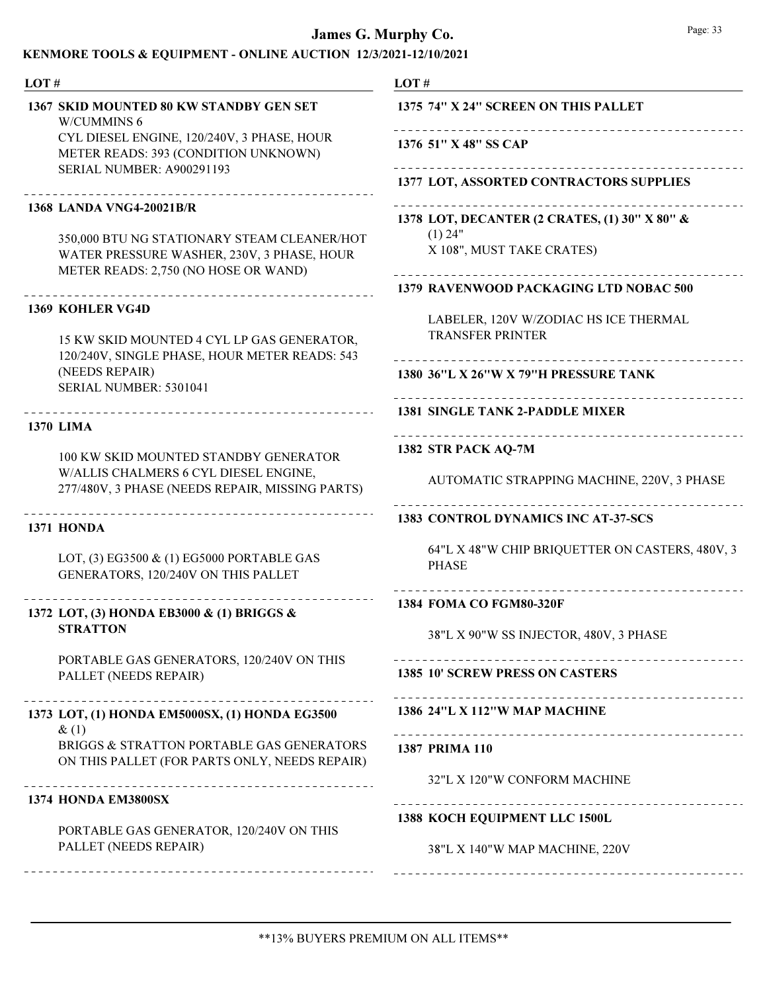### KENMORE TOOLS & EQUIPMENT - ONLINE AUCTION 12/3/2021-12/10/2021

#### LOT # LOT # 1367 SKID MOUNTED 80 KW STANDBY GEN SET 1375 74" X 24" SCREEN ON THIS PALLET W/CUMMINS 6 Ne CYL DIESEL ENGINE, 120/240V, 3 PHASE, HOUR 1376 51" X 48" SS CAP METER READS: 393 (CONDITION UNKNOWN) Ne SERIAL NUMBER: A900291193 1377 LOT, ASSORTED CONTRACTORS SUPPLIES -------------------------------Ne 1368 LANDA VNG4-20021B/R 1378 LOT, DECANTER (2 CRATES, (1) 30" X 80" &  $(1)$  24" 350,000 BTU NG STATIONARY STEAM CLEANER/HOT X 108", MUST TAKE CRATES) WATER PRESSURE WASHER, 230V, 3 PHASE, HOUR METER READS: 2,750 (NO HOSE OR WAND) 1379 RAVENWOOD PACKAGING LTD NOBAC 500 1369 KOHLER VG4D LABELER, 120V W/ZODIAC HS ICE THERMAL TRANSFER PRINTER 15 KW SKID MOUNTED 4 CYL LP GAS GENERATOR, 120/240V, SINGLE PHASE, HOUR METER READS: 543 (NEEDS REPAIR) 1380 36"L X 26"W X 79"H PRESSURE TANK SERIAL NUMBER: 5301041 1381 SINGLE TANK 2-PADDLE MIXER 1370 LIMA Ne 1382 STR PACK AQ-7M 100 KW SKID MOUNTED STANDBY GENERATOR W/ALLIS CHALMERS 6 CYL DIESEL ENGINE, AUTOMATIC STRAPPING MACHINE, 220V, 3 PHASE 277/480V, 3 PHASE (NEEDS REPAIR, MISSING PARTS) 1383 CONTROL DYNAMICS INC AT-37-SCS 1371 HONDA 64"L X 48"W CHIP BRIQUETTER ON CASTERS, 480V, 3 LOT, (3) EG3500 & (1) EG5000 PORTABLE GAS PHASE GENERATORS, 120/240V ON THIS PALLET 1384 FOMA CO FGM80-320F 1372 LOT, (3) HONDA EB3000 & (1) BRIGGS & **STRATTON** 38"L X 90"W SS INJECTOR, 480V, 3 PHASE PORTABLE GAS GENERATORS, 120/240V ON THIS 1385 10' SCREW PRESS ON CASTERS PALLET (NEEDS REPAIR) 1386 24"L X 112"W MAP MACHINE 1373 LOT, (1) HONDA EM5000SX, (1) HONDA EG3500  $&(1)$ BRIGGS & STRATTON PORTABLE GAS GENERATORS 1387 PRIMA 110 ON THIS PALLET (FOR PARTS ONLY, NEEDS REPAIR) 32"L X 120"W CONFORM MACHINE 1374 HONDA EM3800SX 1388 KOCH EQUIPMENT LLC 1500L PORTABLE GAS GENERATOR, 120/240V ON THIS PALLET (NEEDS REPAIR) 38"L X 140"W MAP MACHINE, 220V

\*\*13% BUYERS PREMIUM ON ALL ITEMS\*\*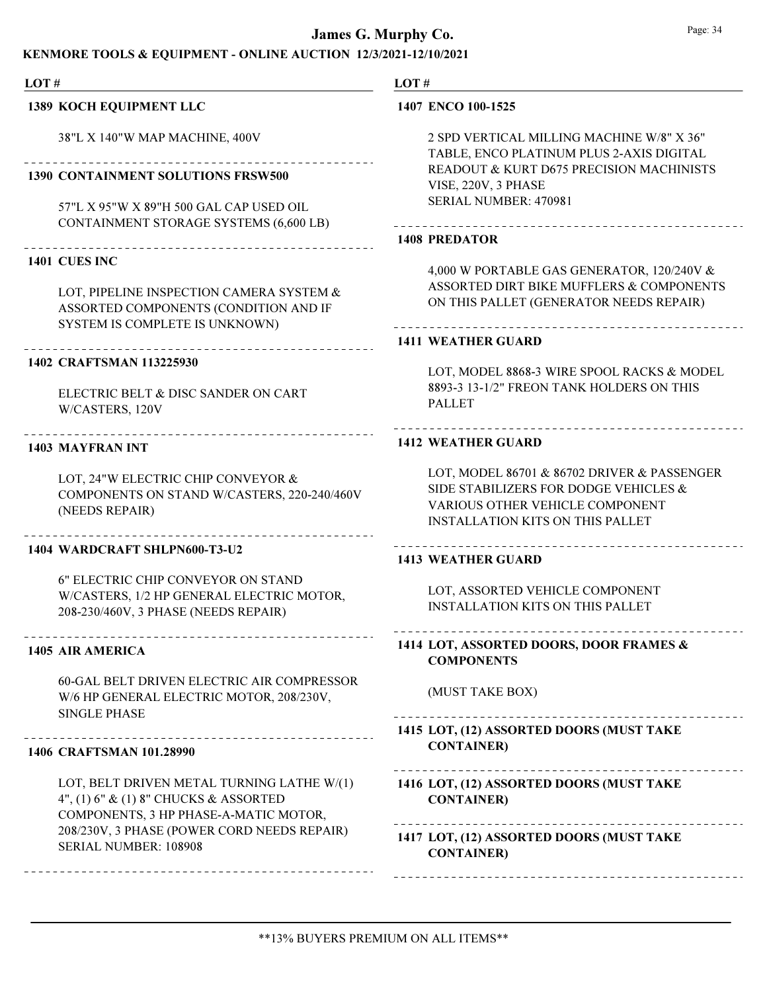### KENMORE TOOLS & EQUIPMENT - ONLINE AUCTION 12/3/2021-12/10/2021

LOT #

#### 1389 KOCH EQUIPMENT LLC

38"L X 140"W MAP MACHINE, 400V

#### 1390 CONTAINMENT SOLUTIONS FRSW500

57"L X 95"W X 89"H 500 GAL CAP USED OIL CONTAINMENT STORAGE SYSTEMS (6,600 LB)

#### 1401 CUES INC

LOT, PIPELINE INSPECTION CAMERA SYSTEM & ASSORTED COMPONENTS (CONDITION AND IF SYSTEM IS COMPLETE IS UNKNOWN)

#### 1402 CRAFTSMAN 113225930

ELECTRIC BELT & DISC SANDER ON CART W/CASTERS, 120V

#### 1403 MAYFRAN INT

LOT, 24"W ELECTRIC CHIP CONVEYOR & COMPONENTS ON STAND W/CASTERS, 220-240/460V (NEEDS REPAIR)

#### 1404 WARDCRAFT SHLPN600-T3-U2

6" ELECTRIC CHIP CONVEYOR ON STAND W/CASTERS, 1/2 HP GENERAL ELECTRIC MOTOR, 208-230/460V, 3 PHASE (NEEDS REPAIR)

#### 1405 AIR AMERICA

60-GAL BELT DRIVEN ELECTRIC AIR COMPRESSOR W/6 HP GENERAL ELECTRIC MOTOR, 208/230V, SINGLE PHASE

#### 

#### 1406 CRAFTSMAN 101.28990

LOT, BELT DRIVEN METAL TURNING LATHE W/(1) 4", (1) 6" & (1) 8" CHUCKS & ASSORTED COMPONENTS, 3 HP PHASE-A-MATIC MOTOR, 208/230V, 3 PHASE (POWER CORD NEEDS REPAIR) SERIAL NUMBER: 108908

#### LOT #

#### 1407 ENCO 100-1525

2 SPD VERTICAL MILLING MACHINE W/8" X 36" TABLE, ENCO PLATINUM PLUS 2-AXIS DIGITAL READOUT & KURT D675 PRECISION MACHINISTS VISE, 220V, 3 PHASE SERIAL NUMBER: 470981

#### 1408 PREDATOR

4,000 W PORTABLE GAS GENERATOR, 120/240V & ASSORTED DIRT BIKE MUFFLERS & COMPONENTS ON THIS PALLET (GENERATOR NEEDS REPAIR)

#### 1411 WEATHER GUARD

LOT, MODEL 8868-3 WIRE SPOOL RACKS & MODEL 8893-3 13-1/2" FREON TANK HOLDERS ON THIS PALLET

#### 1412 WEATHER GUARD

LOT, MODEL 86701 & 86702 DRIVER & PASSENGER SIDE STABILIZERS FOR DODGE VEHICLES & VARIOUS OTHER VEHICLE COMPONENT INSTALLATION KITS ON THIS PALLET

#### 1413 WEATHER GUARD

LOT, ASSORTED VEHICLE COMPONENT INSTALLATION KITS ON THIS PALLET

## LOT, ASSORTED DOORS, DOOR FRAMES & 1414 **COMPONENTS**

#### (MUST TAKE BOX)

LOT, (12) ASSORTED DOORS (MUST TAKE 1415 CONTAINER)

#### 1416 LOT, (12) ASSORTED DOORS (MUST TAKE CONTAINER)

LOT, (12) ASSORTED DOORS (MUST TAKE 1417 CONTAINER)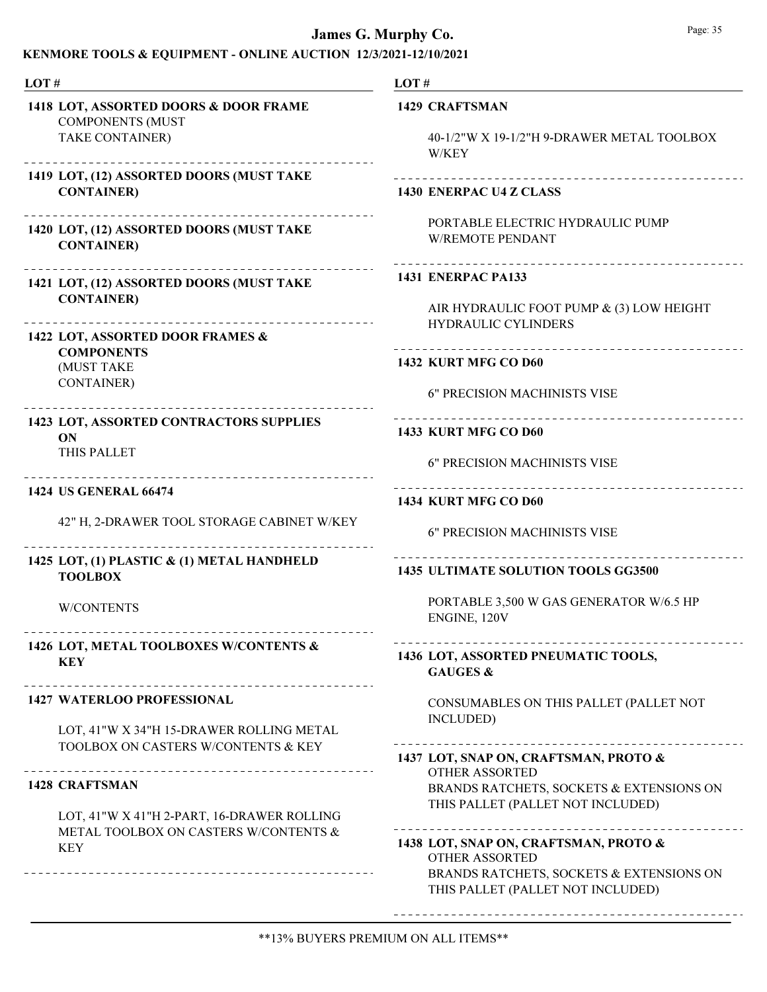### KENMORE TOOLS & EQUIPMENT - ONLINE AUCTION 12/3/2021-12/10/2021

| LOT#                                                                                                                                                                                                  | LOT#                                                                                                                                            |
|-------------------------------------------------------------------------------------------------------------------------------------------------------------------------------------------------------|-------------------------------------------------------------------------------------------------------------------------------------------------|
| 1418 LOT, ASSORTED DOORS & DOOR FRAME                                                                                                                                                                 | <b>1429 CRAFTSMAN</b>                                                                                                                           |
| <b>COMPONENTS (MUST</b>                                                                                                                                                                               | 40-1/2"W X 19-1/2"H 9-DRAWER METAL TOOLBOX                                                                                                      |
| TAKE CONTAINER)                                                                                                                                                                                       | W/KEY                                                                                                                                           |
| 1419 LOT, (12) ASSORTED DOORS (MUST TAKE                                                                                                                                                              |                                                                                                                                                 |
| <b>CONTAINER)</b>                                                                                                                                                                                     | 1430 ENERPAC U4 Z CLASS                                                                                                                         |
| 1420 LOT, (12) ASSORTED DOORS (MUST TAKE                                                                                                                                                              | PORTABLE ELECTRIC HYDRAULIC PUMP                                                                                                                |
| <b>CONTAINER)</b>                                                                                                                                                                                     | <b>W/REMOTE PENDANT</b>                                                                                                                         |
|                                                                                                                                                                                                       | <b>1431 ENERPAC PA133</b>                                                                                                                       |
| 1421 LOT, (12) ASSORTED DOORS (MUST TAKE                                                                                                                                                              | AIR HYDRAULIC FOOT PUMP & (3) LOW HEIGHT                                                                                                        |
| <b>CONTAINER)</b>                                                                                                                                                                                     | <b>HYDRAULIC CYLINDERS</b>                                                                                                                      |
| 1422 LOT, ASSORTED DOOR FRAMES &<br><b>COMPONENTS</b><br>(MUST TAKE<br><b>CONTAINER)</b><br>__________________________                                                                                | 1432 KURT MFG CO D60<br>6" PRECISION MACHINISTS VISE                                                                                            |
| 1423 LOT, ASSORTED CONTRACTORS SUPPLIES<br>ON<br>THIS PALLET                                                                                                                                          | 1433 KURT MFG CO D60<br><b>6" PRECISION MACHINISTS VISE</b>                                                                                     |
| <b>1424 US GENERAL 66474</b>                                                                                                                                                                          | <b>1434 KURT MFG CO D60</b>                                                                                                                     |
| 42" H, 2-DRAWER TOOL STORAGE CABINET W/KEY                                                                                                                                                            | <b>6" PRECISION MACHINISTS VISE</b>                                                                                                             |
| 1425 LOT, (1) PLASTIC & (1) METAL HANDHELD<br><b>TOOLBOX</b>                                                                                                                                          | 1435 ULTIMATE SOLUTION TOOLS GG3500                                                                                                             |
| <b>W/CONTENTS</b>                                                                                                                                                                                     | PORTABLE 3,500 W GAS GENERATOR W/6.5 HP<br>ENGINE, 120V                                                                                         |
| 1426 LOT, METAL TOOLBOXES W/CONTENTS &                                                                                                                                                                | 1436 LOT, ASSORTED PNEUMATIC TOOLS,                                                                                                             |
| <b>KEY</b>                                                                                                                                                                                            | <b>GAUGES &amp;</b>                                                                                                                             |
| <b>1427 WATERLOO PROFESSIONAL</b>                                                                                                                                                                     | CONSUMABLES ON THIS PALLET (PALLET NOT                                                                                                          |
| LOT, 41"W X 34"H 15-DRAWER ROLLING METAL                                                                                                                                                              | INCLUDED)                                                                                                                                       |
| TOOLBOX ON CASTERS W/CONTENTS & KEY<br>________________________________<br><b>1428 CRAFTSMAN</b><br>LOT, 41"W X 41"H 2-PART, 16-DRAWER ROLLING<br>METAL TOOLBOX ON CASTERS W/CONTENTS &<br><b>KEY</b> | 1437 LOT, SNAP ON, CRAFTSMAN, PROTO &<br><b>OTHER ASSORTED</b><br>BRANDS RATCHETS, SOCKETS & EXTENSIONS ON<br>THIS PALLET (PALLET NOT INCLUDED) |
|                                                                                                                                                                                                       | 1438 LOT, SNAP ON, CRAFTSMAN, PROTO &<br><b>OTHER ASSORTED</b><br>BRANDS RATCHETS, SOCKETS & EXTENSIONS ON<br>THIS PALLET (PALLET NOT INCLUDED) |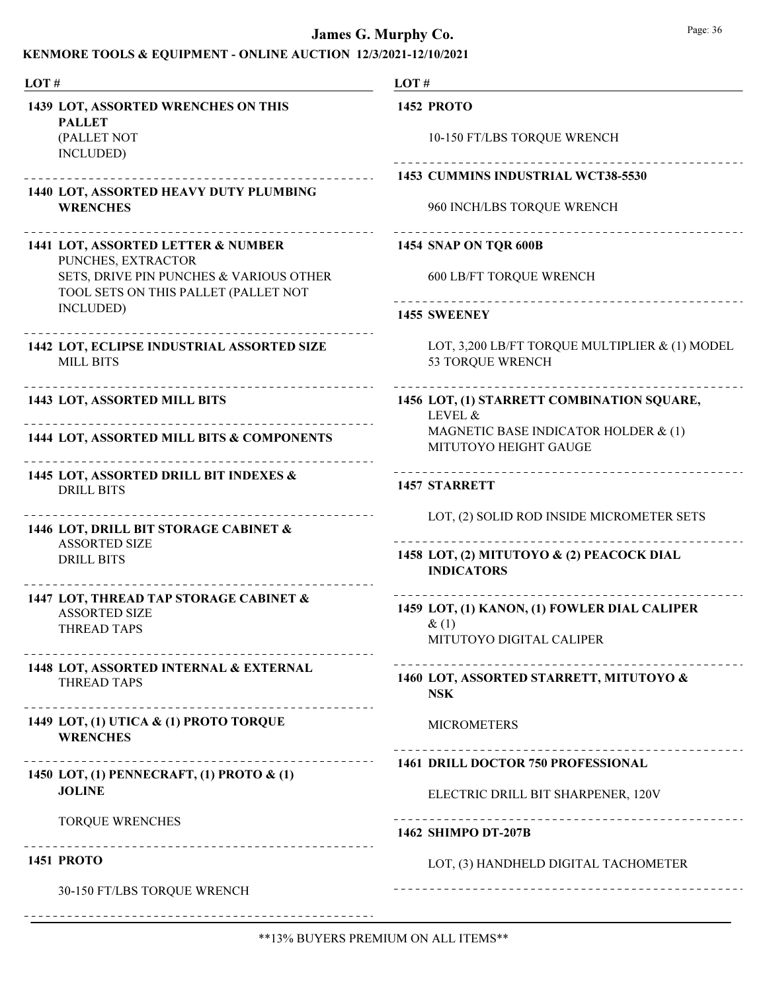## KENMORE TOOLS & EQUIPMENT - ONLINE AUCTION 12/3/2021-12/10/2021

| LOT#                                                                                                      | LOT#                                                               |
|-----------------------------------------------------------------------------------------------------------|--------------------------------------------------------------------|
| 1439 LOT, ASSORTED WRENCHES ON THIS<br><b>PALLET</b><br>(PALLET NOT                                       | <b>1452 PROTO</b><br>10-150 FT/LBS TORQUE WRENCH                   |
| INCLUDED)                                                                                                 | 1453 CUMMINS INDUSTRIAL WCT38-5530                                 |
| 1440 LOT, ASSORTED HEAVY DUTY PLUMBING<br><b>WRENCHES</b>                                                 | 960 INCH/LBS TORQUE WRENCH                                         |
| 1441 LOT, ASSORTED LETTER & NUMBER<br>PUNCHES, EXTRACTOR                                                  | <b>1454 SNAP ON TQR 600B</b>                                       |
| SETS, DRIVE PIN PUNCHES & VARIOUS OTHER<br>TOOL SETS ON THIS PALLET (PALLET NOT                           | <b>600 LB/FT TORQUE WRENCH</b>                                     |
| INCLUDED)<br>_____________________                                                                        | 1455 SWEENEY                                                       |
| 1442 LOT, ECLIPSE INDUSTRIAL ASSORTED SIZE<br><b>MILL BITS</b>                                            | LOT, 3,200 LB/FT TORQUE MULTIPLIER & (1) MODEL<br>53 TORQUE WRENCH |
| ----------------------------------<br>1443 LOT, ASSORTED MILL BITS                                        | 1456 LOT, (1) STARRETT COMBINATION SQUARE,<br>LEVEL &              |
| 1444 LOT, ASSORTED MILL BITS & COMPONENTS                                                                 | MAGNETIC BASE INDICATOR HOLDER & (1)<br>MITUTOYO HEIGHT GAUGE      |
| 1445 LOT, ASSORTED DRILL BIT INDEXES &<br><b>DRILL BITS</b>                                               | <b>1457 STARRETT</b>                                               |
| 1446 LOT, DRILL BIT STORAGE CABINET &<br><b>ASSORTED SIZE</b><br><b>DRILL BITS</b><br>------------------- | LOT, (2) SOLID ROD INSIDE MICROMETER SETS                          |
|                                                                                                           | 1458 LOT, (2) MITUTOYO & (2) PEACOCK DIAL<br><b>INDICATORS</b>     |
| 1447 LOT, THREAD TAP STORAGE CABINET &<br><b>ASSORTED SIZE</b>                                            | 1459 LOT, (1) KANON, (1) FOWLER DIAL CALIPER                       |
| <b>THREAD TAPS</b>                                                                                        | $\&(1)$<br>MITUTOYO DIGITAL CALIPER                                |
| 1448 LOT, ASSORTED INTERNAL & EXTERNAL<br><b>THREAD TAPS</b>                                              | 1460 LOT, ASSORTED STARRETT, MITUTOYO &<br><b>NSK</b>              |
| 1449 LOT, (1) UTICA & (1) PROTO TORQUE<br><b>WRENCHES</b>                                                 | <b>MICROMETERS</b>                                                 |
| 1450 LOT, (1) PENNECRAFT, (1) PROTO & (1)                                                                 | <b>1461 DRILL DOCTOR 750 PROFESSIONAL</b>                          |
| <b>JOLINE</b>                                                                                             | ELECTRIC DRILL BIT SHARPENER, 120V                                 |
| <b>TORQUE WRENCHES</b>                                                                                    | 1462 SHIMPO DT-207B                                                |
| <b>1451 PROTO</b>                                                                                         | LOT, (3) HANDHELD DIGITAL TACHOMETER                               |
| 30-150 FT/LBS TORQUE WRENCH                                                                               |                                                                    |
|                                                                                                           |                                                                    |

\*\*13% BUYERS PREMIUM ON ALL ITEMS\*\*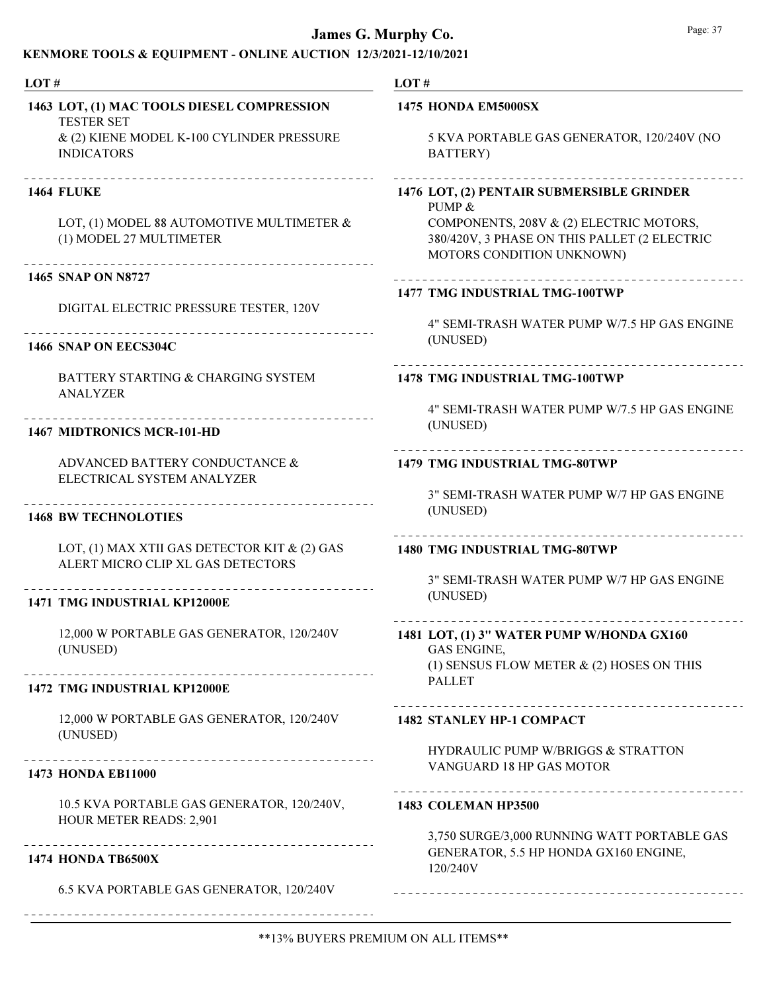| 1463 LOT, (1) MAC TOOLS DIESEL COMPRESSION<br><b>TESTER SET</b><br>& (2) KIENE MODEL K-100 CYLINDER PRESSURE<br><b>INDICATORS</b><br><b>1464 FLUKE</b><br>LOT, (1) MODEL 88 AUTOMOTIVE MULTIMETER &<br>(1) MODEL 27 MULTIMETER<br>1465 SNAP ON N8727 | <b>1475 HONDA EM5000SX</b><br>5 KVA PORTABLE GAS GENERATOR, 120/240V (NO<br><b>BATTERY</b> )<br>1476 LOT, (2) PENTAIR SUBMERSIBLE GRINDER<br>PUMP &<br>COMPONENTS, 208V & (2) ELECTRIC MOTORS,<br>380/420V, 3 PHASE ON THIS PALLET (2 ELECTRIC<br>MOTORS CONDITION UNKNOWN) |
|------------------------------------------------------------------------------------------------------------------------------------------------------------------------------------------------------------------------------------------------------|-----------------------------------------------------------------------------------------------------------------------------------------------------------------------------------------------------------------------------------------------------------------------------|
|                                                                                                                                                                                                                                                      |                                                                                                                                                                                                                                                                             |
|                                                                                                                                                                                                                                                      |                                                                                                                                                                                                                                                                             |
|                                                                                                                                                                                                                                                      |                                                                                                                                                                                                                                                                             |
|                                                                                                                                                                                                                                                      |                                                                                                                                                                                                                                                                             |
|                                                                                                                                                                                                                                                      | 1477 TMG INDUSTRIAL TMG-100TWP                                                                                                                                                                                                                                              |
| DIGITAL ELECTRIC PRESSURE TESTER, 120V                                                                                                                                                                                                               | 4" SEMI-TRASH WATER PUMP W/7.5 HP GAS ENGINE                                                                                                                                                                                                                                |
| 1466 SNAP ON EECS304C                                                                                                                                                                                                                                | (UNUSED)                                                                                                                                                                                                                                                                    |
| BATTERY STARTING & CHARGING SYSTEM<br><b>ANALYZER</b>                                                                                                                                                                                                | 1478 TMG INDUSTRIAL TMG-100TWP                                                                                                                                                                                                                                              |
| 1467 MIDTRONICS MCR-101-HD                                                                                                                                                                                                                           | 4" SEMI-TRASH WATER PUMP W/7.5 HP GAS ENGINE<br>(UNUSED)                                                                                                                                                                                                                    |
| ADVANCED BATTERY CONDUCTANCE &<br>ELECTRICAL SYSTEM ANALYZER                                                                                                                                                                                         | <b>1479 TMG INDUSTRIAL TMG-80TWP</b>                                                                                                                                                                                                                                        |
| <b>1468 BW TECHNOLOTIES</b>                                                                                                                                                                                                                          | 3" SEMI-TRASH WATER PUMP W/7 HP GAS ENGINE<br>(UNUSED)                                                                                                                                                                                                                      |
| LOT, (1) MAX XTII GAS DETECTOR KIT & (2) GAS<br>ALERT MICRO CLIP XL GAS DETECTORS                                                                                                                                                                    | <b>1480 TMG INDUSTRIAL TMG-80TWP</b>                                                                                                                                                                                                                                        |
| <b>1471 TMG INDUSTRIAL KP12000E</b>                                                                                                                                                                                                                  | 3" SEMI-TRASH WATER PUMP W/7 HP GAS ENGINE<br>(UNUSED)                                                                                                                                                                                                                      |
| 12,000 W PORTABLE GAS GENERATOR, 120/240V<br>(UNUSED)                                                                                                                                                                                                | -----------------------------------<br>1481 LOT, (1) 3" WATER PUMP W/HONDA GX160<br><b>GAS ENGINE,</b><br>(1) SENSUS FLOW METER $\&$ (2) HOSES ON THIS                                                                                                                      |
| 1472 TMG INDUSTRIAL KP12000E                                                                                                                                                                                                                         | <b>PALLET</b>                                                                                                                                                                                                                                                               |
| 12,000 W PORTABLE GAS GENERATOR, 120/240V<br>(UNUSED)                                                                                                                                                                                                | <b>1482 STANLEY HP-1 COMPACT</b>                                                                                                                                                                                                                                            |
| <b>1473 HONDA EB11000</b>                                                                                                                                                                                                                            | <b>HYDRAULIC PUMP W/BRIGGS &amp; STRATTON</b><br>VANGUARD 18 HP GAS MOTOR                                                                                                                                                                                                   |
| 10.5 KVA PORTABLE GAS GENERATOR, 120/240V,                                                                                                                                                                                                           | 1483 COLEMAN HP3500                                                                                                                                                                                                                                                         |
| HOUR METER READS: 2,901<br>--------------------------------<br><b>1474 HONDA TB6500X</b>                                                                                                                                                             | 3,750 SURGE/3,000 RUNNING WATT PORTABLE GAS<br>GENERATOR, 5.5 HP HONDA GX160 ENGINE,                                                                                                                                                                                        |
| 6.5 KVA PORTABLE GAS GENERATOR, 120/240V                                                                                                                                                                                                             | 120/240V                                                                                                                                                                                                                                                                    |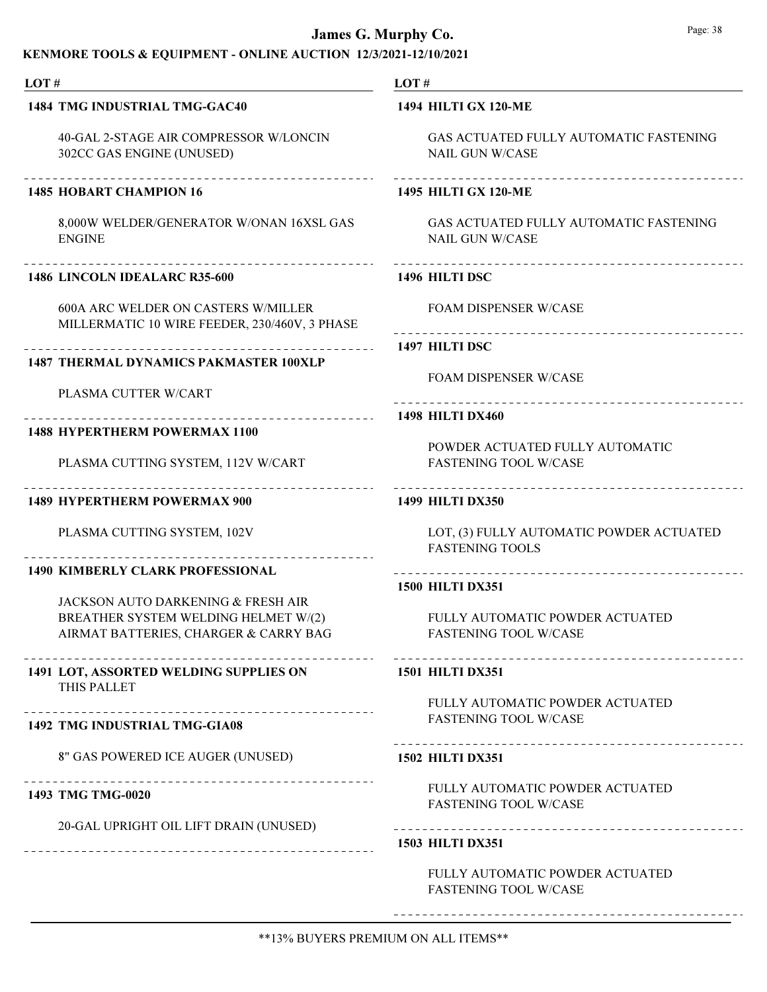## KENMORE TOOLS & EQUIPMENT - ONLINE AUCTION 12/3/2021-12/10/2021

| LOT#                                                              | LOT#                                          |
|-------------------------------------------------------------------|-----------------------------------------------|
| 1484 TMG INDUSTRIAL TMG-GAC40                                     | <b>1494 HILTI GX 120-ME</b>                   |
| 40-GAL 2-STAGE AIR COMPRESSOR W/LONCIN                            | GAS ACTUATED FULLY AUTOMATIC FASTENING        |
| 302CC GAS ENGINE (UNUSED)                                         | <b>NAIL GUN W/CASE</b>                        |
| _______________________                                           |                                               |
| <b>1485 HOBART CHAMPION 16</b>                                    | <b>1495 HILTI GX 120-ME</b>                   |
| 8,000W WELDER/GENERATOR W/ONAN 16XSL GAS                          | <b>GAS ACTUATED FULLY AUTOMATIC FASTENING</b> |
| <b>ENGINE</b>                                                     | <b>NAIL GUN W/CASE</b>                        |
| 1486 LINCOLN IDEALARC R35-600                                     | 1496 HILTI DSC                                |
| <b>600A ARC WELDER ON CASTERS W/MILLER</b>                        | <b>FOAM DISPENSER W/CASE</b>                  |
| MILLERMATIC 10 WIRE FEEDER, 230/460V, 3 PHASE                     |                                               |
|                                                                   | 1497 HILTI DSC                                |
| <b>1487 THERMAL DYNAMICS PAKMASTER 100XLP</b>                     | <b>FOAM DISPENSER W/CASE</b>                  |
| PLASMA CUTTER W/CART                                              |                                               |
|                                                                   | ------------------ 1498 HILTI DX460           |
| <b>1488 HYPERTHERM POWERMAX 1100</b>                              | POWDER ACTUATED FULLY AUTOMATIC               |
| PLASMA CUTTING SYSTEM, 112V W/CART                                | <b>FASTENING TOOL W/CASE</b>                  |
| __________________________<br><b>1489 HYPERTHERM POWERMAX 900</b> | <b>1499 HILTI DX350</b>                       |
| PLASMA CUTTING SYSTEM, 102V                                       | LOT, (3) FULLY AUTOMATIC POWDER ACTUATED      |
|                                                                   | <b>FASTENING TOOLS</b>                        |
| <b>1490 KIMBERLY CLARK PROFESSIONAL</b>                           |                                               |
| <b>JACKSON AUTO DARKENING &amp; FRESH AIR</b>                     | <b>1500 HILTI DX351</b>                       |
| BREATHER SYSTEM WELDING HELMET W/(2)                              | FULLY AUTOMATIC POWDER ACTUATED               |
| AIRMAT BATTERIES, CHARGER & CARRY BAG                             | <b>FASTENING TOOL W/CASE</b>                  |
| ----------<br><b>1491 LOT, ASSORTED WELDING SUPPLIES ON</b>       | <b>1501 HILTI DX351</b>                       |
| THIS PALLET                                                       | FULLY AUTOMATIC POWDER ACTUATED               |
| .<br><b>1492 TMG INDUSTRIAL TMG-GIA08</b>                         | <b>FASTENING TOOL W/CASE</b>                  |
| 8" GAS POWERED ICE AUGER (UNUSED)                                 | <b>1502 HILTI DX351</b>                       |
|                                                                   | FULLY AUTOMATIC POWDER ACTUATED               |
| 1493 TMG TMG-0020                                                 | <b>FASTENING TOOL W/CASE</b>                  |
| 20-GAL UPRIGHT OIL LIFT DRAIN (UNUSED)                            |                                               |
|                                                                   | <b>1503 HILTI DX351</b>                       |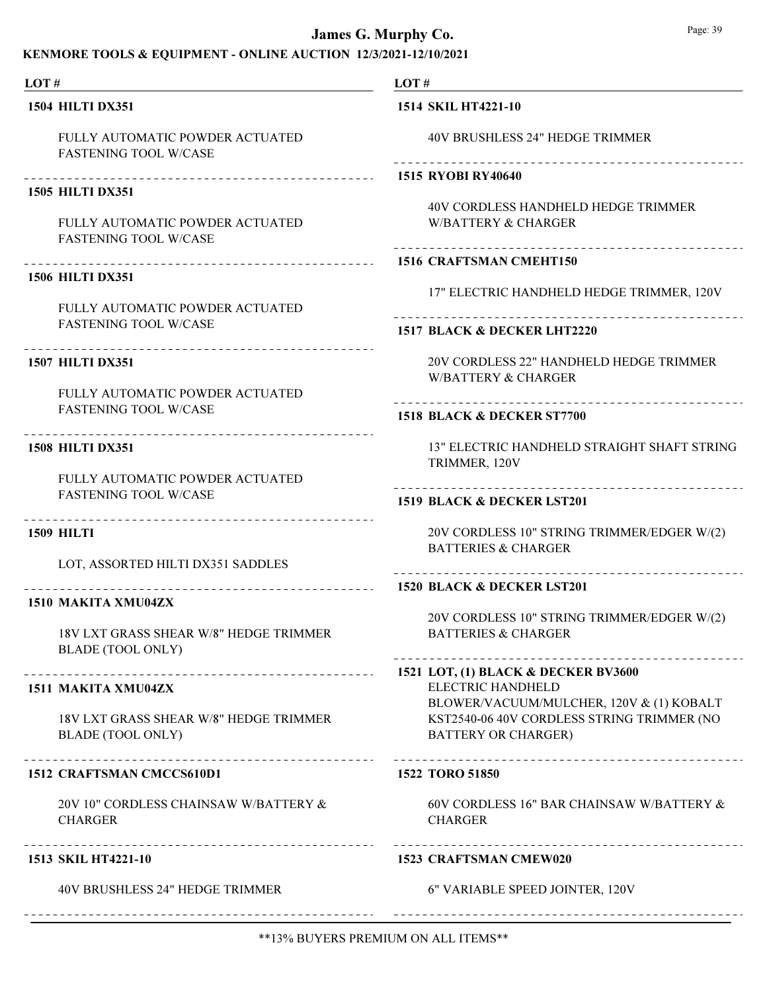## KENMORE TOOLS & EQUIPMENT - ONLINE AUCTION 12/3/2021-12/10/2021

| LOT#                                                               | LOT#                                                                                                                 |
|--------------------------------------------------------------------|----------------------------------------------------------------------------------------------------------------------|
| <b>1504 HILTI DX351</b>                                            | 1514 SKIL HT4221-10                                                                                                  |
| FULLY AUTOMATIC POWDER ACTUATED<br><b>FASTENING TOOL W/CASE</b>    | 40V BRUSHLESS 24" HEDGE TRIMMER                                                                                      |
| <b>1505 HILTI DX351</b>                                            | 1515 RYOBI RY40640                                                                                                   |
| FULLY AUTOMATIC POWDER ACTUATED<br><b>FASTENING TOOL W/CASE</b>    | 40V CORDLESS HANDHELD HEDGE TRIMMER<br><b>W/BATTERY &amp; CHARGER</b>                                                |
| <b>1506 HILTI DX351</b>                                            | 1516 CRAFTSMAN CMEHT150                                                                                              |
|                                                                    | 17" ELECTRIC HANDHELD HEDGE TRIMMER, 120V                                                                            |
| FULLY AUTOMATIC POWDER ACTUATED<br><b>FASTENING TOOL W/CASE</b>    | 1517 BLACK & DECKER LHT2220                                                                                          |
| .<br><b>1507 HILTI DX351</b><br>FULLY AUTOMATIC POWDER ACTUATED    | 20V CORDLESS 22" HANDHELD HEDGE TRIMMER<br><b>W/BATTERY &amp; CHARGER</b>                                            |
| <b>FASTENING TOOL W/CASE</b>                                       | .<br>1518 BLACK & DECKER ST7700                                                                                      |
| <b>1508 HILTI DX351</b>                                            | 13" ELECTRIC HANDHELD STRAIGHT SHAFT STRING<br>TRIMMER, 120V                                                         |
| FULLY AUTOMATIC POWDER ACTUATED<br><b>FASTENING TOOL W/CASE</b>    | ------------------------------------<br>1519 BLACK & DECKER LST201                                                   |
| <b>1509 HILTI</b>                                                  | 20V CORDLESS 10" STRING TRIMMER/EDGER W/(2)<br><b>BATTERIES &amp; CHARGER</b>                                        |
| LOT, ASSORTED HILTI DX351 SADDLES                                  |                                                                                                                      |
| __________________________<br>1510 MAKITA XMU04ZX                  | 1520 BLACK & DECKER LST201                                                                                           |
| 18V LXT GRASS SHEAR W/8" HEDGE TRIMMER<br><b>BLADE (TOOL ONLY)</b> | 20V CORDLESS 10" STRING TRIMMER/EDGER W/(2)<br><b>BATTERIES &amp; CHARGER</b>                                        |
| 1511 MAKITA XMU04ZX                                                | 1521 LOT, (1) BLACK & DECKER BV3600<br>ELECTRIC HANDHELD                                                             |
| 18V LXT GRASS SHEAR W/8" HEDGE TRIMMER<br><b>BLADE</b> (TOOL ONLY) | BLOWER/VACUUM/MULCHER, 120V & (1) KOBALT<br>KST2540-06 40V CORDLESS STRING TRIMMER (NO<br><b>BATTERY OR CHARGER)</b> |
| _______________________<br><b>1512 CRAFTSMAN CMCCS610D1</b>        | 1522 TORO 51850                                                                                                      |
| 20V 10" CORDLESS CHAINSAW W/BATTERY &<br><b>CHARGER</b>            | 60V CORDLESS 16" BAR CHAINSAW W/BATTERY &<br><b>CHARGER</b>                                                          |
| 1513 SKIL HT4221-10                                                | <b>1523 CRAFTSMAN CMEW020</b>                                                                                        |
| 40V BRUSHLESS 24" HEDGE TRIMMER                                    | 6" VARIABLE SPEED JOINTER, 120V                                                                                      |
|                                                                    |                                                                                                                      |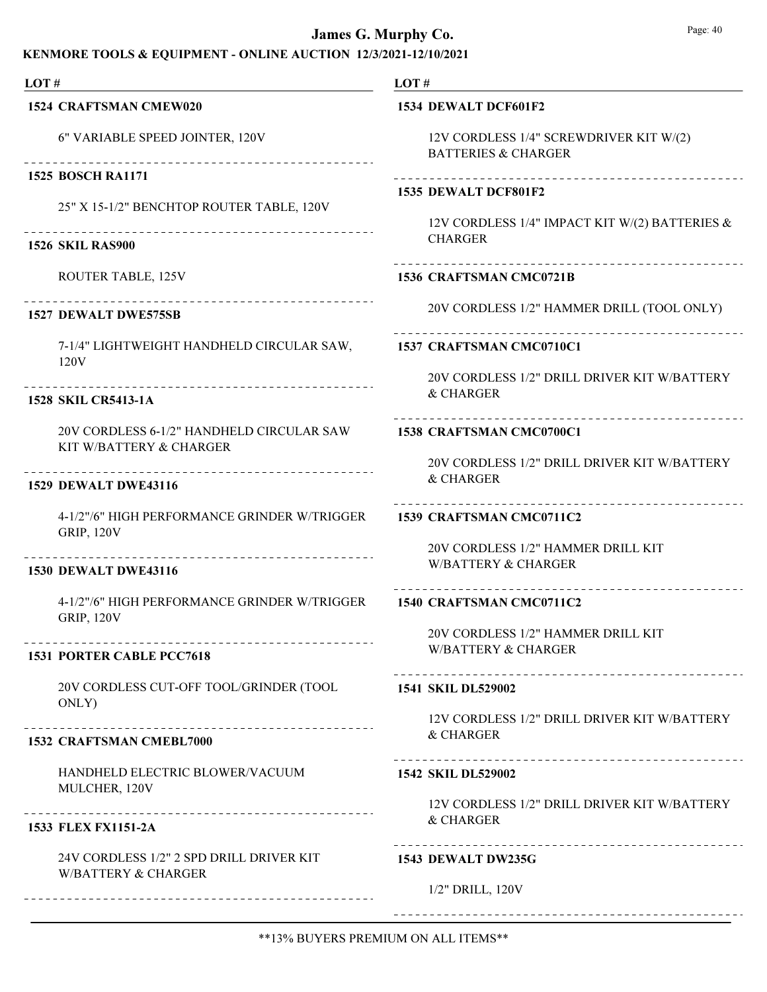| LOT $#$                                                                                                                                                                                                                                                                                                                                                                                                                                                                                                               | LOT $#$                                                                   |
|-----------------------------------------------------------------------------------------------------------------------------------------------------------------------------------------------------------------------------------------------------------------------------------------------------------------------------------------------------------------------------------------------------------------------------------------------------------------------------------------------------------------------|---------------------------------------------------------------------------|
| 1524 CRAFTSMAN CMEW020                                                                                                                                                                                                                                                                                                                                                                                                                                                                                                | 1534 DEWALT DCF601F2                                                      |
| 6" VARIABLE SPEED JOINTER, 120V<br>---------------------------------                                                                                                                                                                                                                                                                                                                                                                                                                                                  | 12V CORDLESS 1/4" SCREWDRIVER KIT W/(2)<br><b>BATTERIES &amp; CHARGER</b> |
| <b>1525 BOSCH RA1171</b>                                                                                                                                                                                                                                                                                                                                                                                                                                                                                              | ------------------------                                                  |
| 25" X 15-1/2" BENCHTOP ROUTER TABLE, 120V                                                                                                                                                                                                                                                                                                                                                                                                                                                                             | 1535 DEWALT DCF801F2                                                      |
| -----------------------------------<br><b>1526 SKIL RAS900</b>                                                                                                                                                                                                                                                                                                                                                                                                                                                        | 12V CORDLESS 1/4" IMPACT KIT W/(2) BATTERIES &<br><b>CHARGER</b>          |
| ROUTER TABLE, 125V                                                                                                                                                                                                                                                                                                                                                                                                                                                                                                    | _________________________________<br>1536 CRAFTSMAN CMC0721B              |
| $\begin{array}{cccccccccccccc} \multicolumn{2}{c}{} & \multicolumn{2}{c}{} & \multicolumn{2}{c}{} & \multicolumn{2}{c}{} & \multicolumn{2}{c}{} & \multicolumn{2}{c}{} & \multicolumn{2}{c}{} & \multicolumn{2}{c}{} & \multicolumn{2}{c}{} & \multicolumn{2}{c}{} & \multicolumn{2}{c}{} & \multicolumn{2}{c}{} & \multicolumn{2}{c}{} & \multicolumn{2}{c}{} & \multicolumn{2}{c}{} & \multicolumn{2}{c}{} & \multicolumn{2}{c}{} & \multicolumn{2}{c}{} & \multicolumn{2}{c}{} & \$<br><b>1527 DEWALT DWE575SB</b> | 20V CORDLESS 1/2" HAMMER DRILL (TOOL ONLY)                                |
| 7-1/4" LIGHTWEIGHT HANDHELD CIRCULAR SAW,<br>120V                                                                                                                                                                                                                                                                                                                                                                                                                                                                     | 1537 CRAFTSMAN CMC0710C1                                                  |
|                                                                                                                                                                                                                                                                                                                                                                                                                                                                                                                       | 20V CORDLESS 1/2" DRILL DRIVER KIT W/BATTERY                              |
| 1528 SKIL CR5413-1A                                                                                                                                                                                                                                                                                                                                                                                                                                                                                                   | & CHARGER                                                                 |
| 20V CORDLESS 6-1/2" HANDHELD CIRCULAR SAW<br>KIT W/BATTERY & CHARGER                                                                                                                                                                                                                                                                                                                                                                                                                                                  | 1538 CRAFTSMAN CMC0700C1                                                  |
|                                                                                                                                                                                                                                                                                                                                                                                                                                                                                                                       | 20V CORDLESS 1/2" DRILL DRIVER KIT W/BATTERY<br>& CHARGER                 |
| <b>1529 DEWALT DWE43116</b>                                                                                                                                                                                                                                                                                                                                                                                                                                                                                           | ______________________                                                    |
| 4-1/2"/6" HIGH PERFORMANCE GRINDER W/TRIGGER<br><b>GRIP, 120V</b>                                                                                                                                                                                                                                                                                                                                                                                                                                                     | 1539 CRAFTSMAN CMC0711C2                                                  |
| ----------------                                                                                                                                                                                                                                                                                                                                                                                                                                                                                                      | 20V CORDLESS 1/2" HAMMER DRILL KIT                                        |
| <b>1530 DEWALT DWE43116</b>                                                                                                                                                                                                                                                                                                                                                                                                                                                                                           | <b>W/BATTERY &amp; CHARGER</b>                                            |
| 4-1/2"/6" HIGH PERFORMANCE GRINDER W/TRIGGER<br><b>GRIP, 120V</b>                                                                                                                                                                                                                                                                                                                                                                                                                                                     | 1540 CRAFTSMAN CMC0711C2                                                  |
|                                                                                                                                                                                                                                                                                                                                                                                                                                                                                                                       | 20V CORDLESS 1/2" HAMMER DRILL KIT<br><b>W/BATTERY &amp; CHARGER</b>      |
| 1531 PORTER CABLE PCC7618                                                                                                                                                                                                                                                                                                                                                                                                                                                                                             |                                                                           |
| 20V CORDLESS CUT-OFF TOOL/GRINDER (TOOL<br>ONLY)                                                                                                                                                                                                                                                                                                                                                                                                                                                                      | 1541 SKIL DL529002                                                        |
|                                                                                                                                                                                                                                                                                                                                                                                                                                                                                                                       | 12V CORDLESS 1/2" DRILL DRIVER KIT W/BATTERY<br>& CHARGER                 |
| 1532 CRAFTSMAN CMEBL7000                                                                                                                                                                                                                                                                                                                                                                                                                                                                                              |                                                                           |
| HANDHELD ELECTRIC BLOWER/VACUUM<br>MULCHER, 120V                                                                                                                                                                                                                                                                                                                                                                                                                                                                      | 1542 SKIL DL529002                                                        |
|                                                                                                                                                                                                                                                                                                                                                                                                                                                                                                                       | 12V CORDLESS 1/2" DRILL DRIVER KIT W/BATTERY<br>& CHARGER                 |
| 1533 FLEX FX1151-2A                                                                                                                                                                                                                                                                                                                                                                                                                                                                                                   |                                                                           |
| 24V CORDLESS 1/2" 2 SPD DRILL DRIVER KIT<br><b>W/BATTERY &amp; CHARGER</b>                                                                                                                                                                                                                                                                                                                                                                                                                                            | 1543 DEWALT DW235G                                                        |
|                                                                                                                                                                                                                                                                                                                                                                                                                                                                                                                       | 1/2" DRILL, 120V                                                          |
|                                                                                                                                                                                                                                                                                                                                                                                                                                                                                                                       |                                                                           |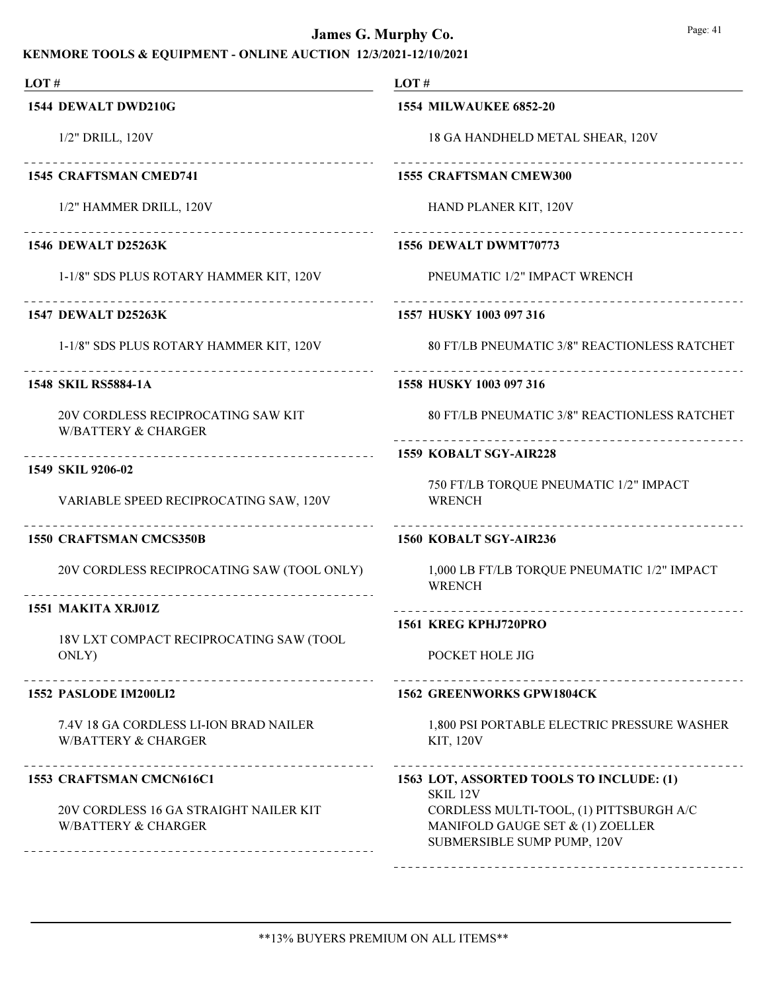| LOT#                                                                                                           | LOT#                                                                                                       |
|----------------------------------------------------------------------------------------------------------------|------------------------------------------------------------------------------------------------------------|
| 1544 DEWALT DWD210G                                                                                            | <b>1554 MILWAUKEE 6852-20</b>                                                                              |
| 1/2" DRILL, 120V                                                                                               | 18 GA HANDHELD METAL SHEAR, 120V                                                                           |
| ____________________________<br><b>1545 CRAFTSMAN CMED741</b>                                                  | 1555 CRAFTSMAN CMEW300                                                                                     |
| 1/2" HAMMER DRILL, 120V                                                                                        | HAND PLANER KIT, 120V                                                                                      |
| _____________________________<br><b>1546 DEWALT D25263K</b>                                                    | .<br>1556 DEWALT DWMT70773                                                                                 |
| 1-1/8" SDS PLUS ROTARY HAMMER KIT, 120V                                                                        | PNEUMATIC 1/2" IMPACT WRENCH                                                                               |
| <b>1547 DEWALT D25263K</b>                                                                                     | 1557 HUSKY 1003 097 316                                                                                    |
| 1-1/8" SDS PLUS ROTARY HAMMER KIT, 120V                                                                        | 80 FT/LB PNEUMATIC 3/8" REACTIONLESS RATCHET                                                               |
| <b>1548 SKIL RS5884-1A</b>                                                                                     | 1558 HUSKY 1003 097 316                                                                                    |
| 20V CORDLESS RECIPROCATING SAW KIT<br><b>W/BATTERY &amp; CHARGER</b>                                           | 80 FT/LB PNEUMATIC 3/8" REACTIONLESS RATCHET                                                               |
| ------------------------------------                                                                           | 1559 KOBALT SGY-AIR228                                                                                     |
| 1549 SKIL 9206-02<br>VARIABLE SPEED RECIPROCATING SAW, 120V                                                    | 750 FT/LB TORQUE PNEUMATIC 1/2" IMPACT<br><b>WRENCH</b>                                                    |
| 1550 CRAFTSMAN CMCS350B                                                                                        | -----------------------<br>1560 KOBALT SGY-AIR236                                                          |
| 20V CORDLESS RECIPROCATING SAW (TOOL ONLY)<br>__________________________________                               | 1,000 LB FT/LB TORQUE PNEUMATIC 1/2" IMPACT<br><b>WRENCH</b>                                               |
| 1551 MAKITA XRJ01Z                                                                                             | ____________________________<br>1561 KREG KPHJ720PRO                                                       |
| 18V LXT COMPACT RECIPROCATING SAW (TOOL<br>ONLY)                                                               | POCKET HOLE JIG                                                                                            |
| 1552 PASLODE IM200LI2                                                                                          | <b>1562 GREENWORKS GPW1804CK</b>                                                                           |
| 7.4V 18 GA CORDLESS LI-ION BRAD NAILER<br><b>W/BATTERY &amp; CHARGER</b>                                       | 1,800 PSI PORTABLE ELECTRIC PRESSURE WASHER<br><b>KIT, 120V</b>                                            |
| ______________________<br>1553 CRAFTSMAN CMCN616C1                                                             | 1563 LOT, ASSORTED TOOLS TO INCLUDE: (1)<br>SKIL 12V                                                       |
| 20V CORDLESS 16 GA STRAIGHT NAILER KIT<br><b>W/BATTERY &amp; CHARGER</b><br>---------------------------------- | CORDLESS MULTI-TOOL, (1) PITTSBURGH A/C<br>MANIFOLD GAUGE SET & (1) ZOELLER<br>SUBMERSIBLE SUMP PUMP, 120V |
|                                                                                                                |                                                                                                            |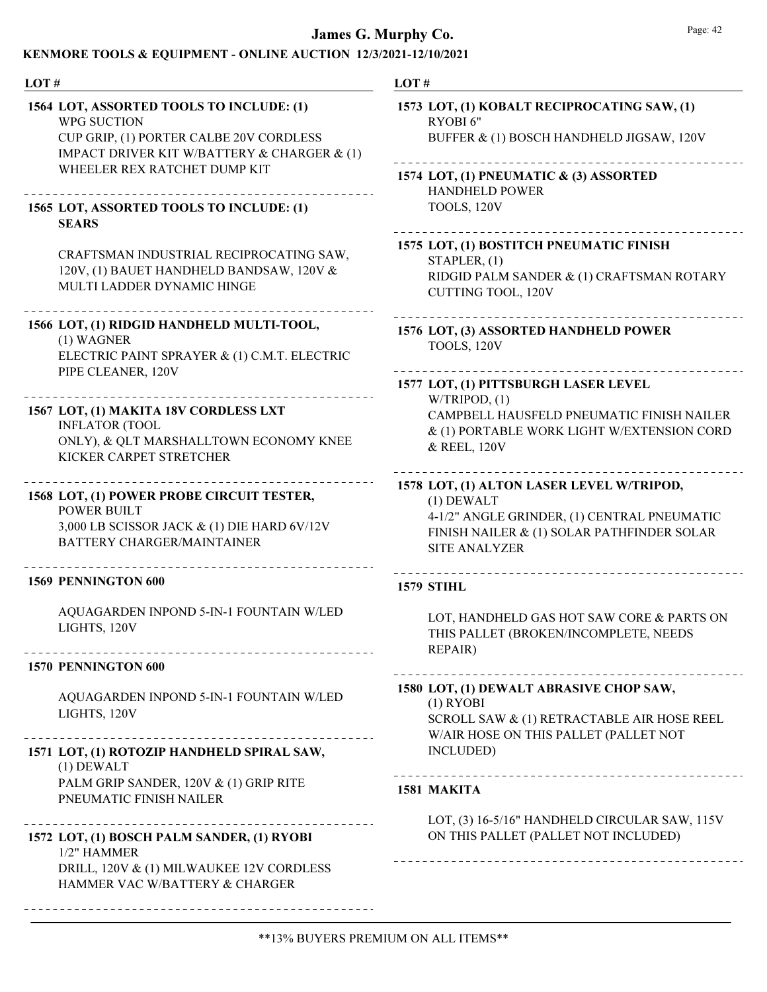| LOT#                                                                                                                                                                              | LOT#                                                                                                                                                                           |
|-----------------------------------------------------------------------------------------------------------------------------------------------------------------------------------|--------------------------------------------------------------------------------------------------------------------------------------------------------------------------------|
| 1564 LOT, ASSORTED TOOLS TO INCLUDE: (1)<br>WPG SUCTION<br>CUP GRIP, (1) PORTER CALBE 20V CORDLESS<br>IMPACT DRIVER KIT W/BATTERY & CHARGER & (1)<br>WHEELER REX RATCHET DUMP KIT | 1573 LOT, (1) KOBALT RECIPROCATING SAW, (1)<br>RYOBI 6"<br>BUFFER & (1) BOSCH HANDHELD JIGSAW, 120V<br>1574 LOT, (1) PNEUMATIC & (3) ASSORTED<br><b>HANDHELD POWER</b>         |
| 1565 LOT, ASSORTED TOOLS TO INCLUDE: (1)<br><b>SEARS</b>                                                                                                                          | TOOLS, 120V                                                                                                                                                                    |
| CRAFTSMAN INDUSTRIAL RECIPROCATING SAW,<br>120V, (1) BAUET HANDHELD BANDSAW, 120V &<br>MULTI LADDER DYNAMIC HINGE                                                                 | 1575 LOT, (1) BOSTITCH PNEUMATIC FINISH<br>STAPLER, (1)<br>RIDGID PALM SANDER & (1) CRAFTSMAN ROTARY<br><b>CUTTING TOOL, 120V</b>                                              |
| 1566 LOT, (1) RIDGID HANDHELD MULTI-TOOL,<br>(1) WAGNER<br>ELECTRIC PAINT SPRAYER & (1) C.M.T. ELECTRIC                                                                           | 1576 LOT, (3) ASSORTED HANDHELD POWER<br>TOOLS, 120V                                                                                                                           |
| PIPE CLEANER, 120V<br>1567 LOT, (1) MAKITA 18V CORDLESS LXT<br><b>INFLATOR (TOOL</b><br>ONLY), & QLT MARSHALLTOWN ECONOMY KNEE<br>KICKER CARPET STRETCHER                         | 1577 LOT, (1) PITTSBURGH LASER LEVEL<br>W/TRIPOD, (1)<br>CAMPBELL HAUSFELD PNEUMATIC FINISH NAILER<br>& (1) PORTABLE WORK LIGHT W/EXTENSION CORD<br>& REEL, 120V               |
| 1568 LOT, (1) POWER PROBE CIRCUIT TESTER,<br><b>POWER BUILT</b><br>3,000 LB SCISSOR JACK & (1) DIE HARD 6V/12V<br><b>BATTERY CHARGER/MAINTAINER</b>                               | 1578 LOT, (1) ALTON LASER LEVEL W/TRIPOD,<br>$(1)$ DEWALT<br>4-1/2" ANGLE GRINDER, (1) CENTRAL PNEUMATIC<br>FINISH NAILER & (1) SOLAR PATHFINDER SOLAR<br><b>SITE ANALYZER</b> |
| 1569 PENNINGTON 600                                                                                                                                                               | <b>1579 STIHL</b>                                                                                                                                                              |
| AQUAGARDEN INPOND 5-IN-1 FOUNTAIN W/LED<br>LIGHTS, 120V                                                                                                                           | LOT, HANDHELD GAS HOT SAW CORE & PARTS ON<br>THIS PALLET (BROKEN/INCOMPLETE, NEEDS<br><b>REPAIR)</b>                                                                           |
| 1570 PENNINGTON 600                                                                                                                                                               |                                                                                                                                                                                |
| AQUAGARDEN INPOND 5-IN-1 FOUNTAIN W/LED<br>LIGHTS, 120V                                                                                                                           | 1580 LOT, (1) DEWALT ABRASIVE CHOP SAW,<br>$(1)$ RYOBI<br>SCROLL SAW & (1) RETRACTABLE AIR HOSE REEL<br>W/AIR HOSE ON THIS PALLET (PALLET NOT                                  |
| 1571 LOT, (1) ROTOZIP HANDHELD SPIRAL SAW,<br>$(1)$ DEWALT                                                                                                                        | INCLUDED)<br>------------------------------------                                                                                                                              |
| PALM GRIP SANDER, 120V & (1) GRIP RITE<br>PNEUMATIC FINISH NAILER                                                                                                                 | 1581 MAKITA                                                                                                                                                                    |
| 1572 LOT, (1) BOSCH PALM SANDER, (1) RYOBI<br>1/2" HAMMER<br>DRILL, 120V & (1) MILWAUKEE 12V CORDLESS                                                                             | LOT, (3) 16-5/16" HANDHELD CIRCULAR SAW, 115V<br>ON THIS PALLET (PALLET NOT INCLUDED)                                                                                          |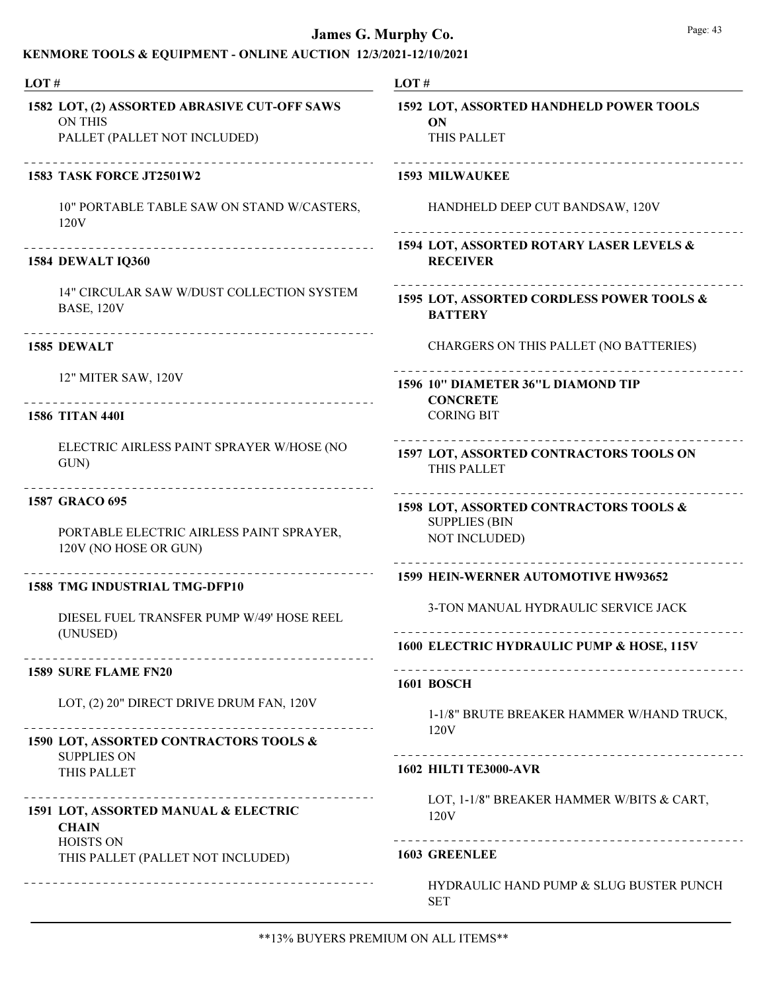## KENMORE TOOLS & EQUIPMENT - ONLINE AUCTION 12/3/2021-12/10/2021

| LOT#                                                                                                                     | LOT#                                                                                   |
|--------------------------------------------------------------------------------------------------------------------------|----------------------------------------------------------------------------------------|
| 1582 LOT, (2) ASSORTED ABRASIVE CUT-OFF SAWS<br><b>ON THIS</b><br>PALLET (PALLET NOT INCLUDED)                           | 1592 LOT, ASSORTED HANDHELD POWER TOOLS<br>ON<br>THIS PALLET                           |
| 1583 TASK FORCE JT2501W2                                                                                                 | <b>1593 MILWAUKEE</b>                                                                  |
| 10" PORTABLE TABLE SAW ON STAND W/CASTERS,<br>120V                                                                       | HANDHELD DEEP CUT BANDSAW, 120V                                                        |
| ____________________________________<br><b>1584 DEWALT IQ360</b>                                                         | 1594 LOT, ASSORTED ROTARY LASER LEVELS &<br><b>RECEIVER</b>                            |
| 14" CIRCULAR SAW W/DUST COLLECTION SYSTEM<br><b>BASE, 120V</b>                                                           | 1595 LOT, ASSORTED CORDLESS POWER TOOLS &<br><b>BATTERY</b>                            |
| ______________________________________<br>1585 DEWALT                                                                    | CHARGERS ON THIS PALLET (NO BATTERIES)                                                 |
| 12" MITER SAW, 120V                                                                                                      | 1596 10" DIAMETER 36"L DIAMOND TIP<br><b>CONCRETE</b>                                  |
| <b>1586 TITAN 440I</b>                                                                                                   | <b>CORING BIT</b>                                                                      |
| ELECTRIC AIRLESS PAINT SPRAYER W/HOSE (NO<br>GUN)                                                                        | 1597 LOT, ASSORTED CONTRACTORS TOOLS ON<br>THIS PALLET                                 |
| _________________________________<br>1587 GRACO 695<br>PORTABLE ELECTRIC AIRLESS PAINT SPRAYER,<br>120V (NO HOSE OR GUN) | 1598 LOT, ASSORTED CONTRACTORS TOOLS &<br><b>SUPPLIES (BIN</b><br><b>NOT INCLUDED)</b> |
| <b>1588 TMG INDUSTRIAL TMG-DFP10</b>                                                                                     | 1599 HEIN-WERNER AUTOMOTIVE HW93652                                                    |
| DIESEL FUEL TRANSFER PUMP W/49' HOSE REEL<br>(UNUSED)                                                                    | 3-TON MANUAL HYDRAULIC SERVICE JACK                                                    |
|                                                                                                                          | 1600 ELECTRIC HYDRAULIC PUMP & HOSE, 115V                                              |
| <b>1589 SURE FLAME FN20</b>                                                                                              | <b>1601 BOSCH</b>                                                                      |
| LOT, (2) 20" DIRECT DRIVE DRUM FAN, 120V                                                                                 | 1-1/8" BRUTE BREAKER HAMMER W/HAND TRUCK,                                              |
| 1590 LOT, ASSORTED CONTRACTORS TOOLS &<br><b>SUPPLIES ON</b>                                                             | 120V                                                                                   |
| THIS PALLET                                                                                                              | <b>1602 HILTI TE3000-AVR</b>                                                           |
| 1591 LOT, ASSORTED MANUAL & ELECTRIC<br><b>CHAIN</b>                                                                     | LOT, 1-1/8" BREAKER HAMMER W/BITS & CART,<br>120V                                      |
| <b>HOISTS ON</b><br>THIS PALLET (PALLET NOT INCLUDED)                                                                    | <b>1603 GREENLEE</b>                                                                   |
|                                                                                                                          | HYDRAULIC HAND PUMP & SLUG BUSTER PUNCH<br><b>SET</b>                                  |

\*\*13% BUYERS PREMIUM ON ALL ITEMS\*\*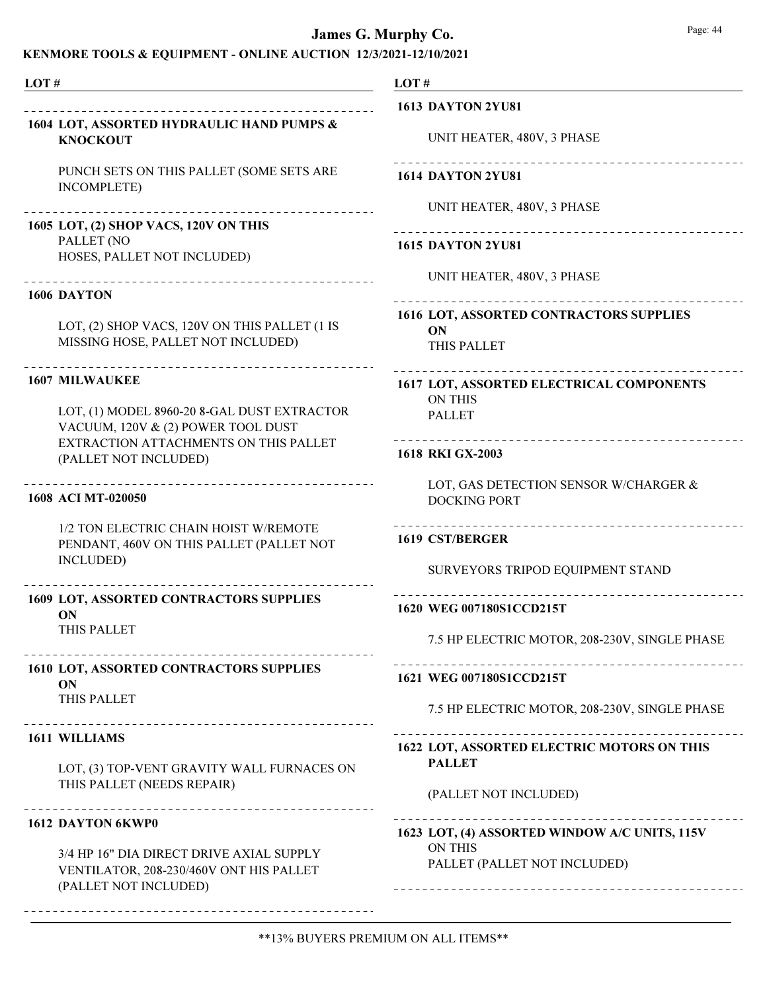| LOT# |                                                                                                              | LOT#                                                         |
|------|--------------------------------------------------------------------------------------------------------------|--------------------------------------------------------------|
|      |                                                                                                              | <b>1613 DAYTON 2YU81</b>                                     |
|      | 1604 LOT, ASSORTED HYDRAULIC HAND PUMPS &<br><b>KNOCKOUT</b>                                                 | UNIT HEATER, 480V, 3 PHASE                                   |
|      | PUNCH SETS ON THIS PALLET (SOME SETS ARE<br><b>INCOMPLETE</b> )                                              | <b>1614 DAYTON 2YU81</b>                                     |
|      | 1605 LOT, (2) SHOP VACS, 120V ON THIS<br>PALLET (NO                                                          | UNIT HEATER, 480V, 3 PHASE                                   |
|      | HOSES, PALLET NOT INCLUDED)                                                                                  | <b>1615 DAYTON 2YU81</b><br>UNIT HEATER, 480V, 3 PHASE       |
|      | 1606 DAYTON                                                                                                  |                                                              |
|      | LOT, (2) SHOP VACS, 120V ON THIS PALLET (1 IS<br>MISSING HOSE, PALLET NOT INCLUDED)                          | 1616 LOT, ASSORTED CONTRACTORS SUPPLIES<br>ON<br>THIS PALLET |
|      | <b>1607 MILWAUKEE</b>                                                                                        | 1617 LOT, ASSORTED ELECTRICAL COMPONENTS<br><b>ON THIS</b>   |
|      | LOT, (1) MODEL 8960-20 8-GAL DUST EXTRACTOR<br>VACUUM, 120V & (2) POWER TOOL DUST                            | <b>PALLET</b><br>_____________________________               |
|      | EXTRACTION ATTACHMENTS ON THIS PALLET<br>(PALLET NOT INCLUDED)                                               | 1618 RKI GX-2003                                             |
|      | 1608 ACI MT-020050                                                                                           | LOT, GAS DETECTION SENSOR W/CHARGER &<br><b>DOCKING PORT</b> |
|      | 1/2 TON ELECTRIC CHAIN HOIST W/REMOTE<br>PENDANT, 460V ON THIS PALLET (PALLET NOT<br>INCLUDED)               | 1619 CST/BERGER                                              |
|      |                                                                                                              | SURVEYORS TRIPOD EQUIPMENT STAND                             |
|      | 1609 LOT, ASSORTED CONTRACTORS SUPPLIES<br>ON                                                                | 1620 WEG 007180S1CCD215T                                     |
|      | THIS PALLET                                                                                                  | 7.5 HP ELECTRIC MOTOR, 208-230V, SINGLE PHASE                |
|      | 1610 LOT, ASSORTED CONTRACTORS SUPPLIES<br>ON<br>THIS PALLET                                                 | 1621 WEG 007180S1CCD215T                                     |
|      | _____________________________________                                                                        | 7.5 HP ELECTRIC MOTOR, 208-230V, SINGLE PHASE                |
|      | 1611 WILLIAMS                                                                                                | 1622 LOT, ASSORTED ELECTRIC MOTORS ON THIS                   |
|      | LOT, (3) TOP-VENT GRAVITY WALL FURNACES ON                                                                   | <b>PALLET</b>                                                |
|      | THIS PALLET (NEEDS REPAIR)                                                                                   | (PALLET NOT INCLUDED)                                        |
|      | 1612 DAYTON 6KWP0                                                                                            | 1623 LOT, (4) ASSORTED WINDOW A/C UNITS, 115V                |
|      | 3/4 HP 16" DIA DIRECT DRIVE AXIAL SUPPLY<br>VENTILATOR, 208-230/460V ONT HIS PALLET<br>(PALLET NOT INCLUDED) | <b>ON THIS</b><br>PALLET (PALLET NOT INCLUDED)               |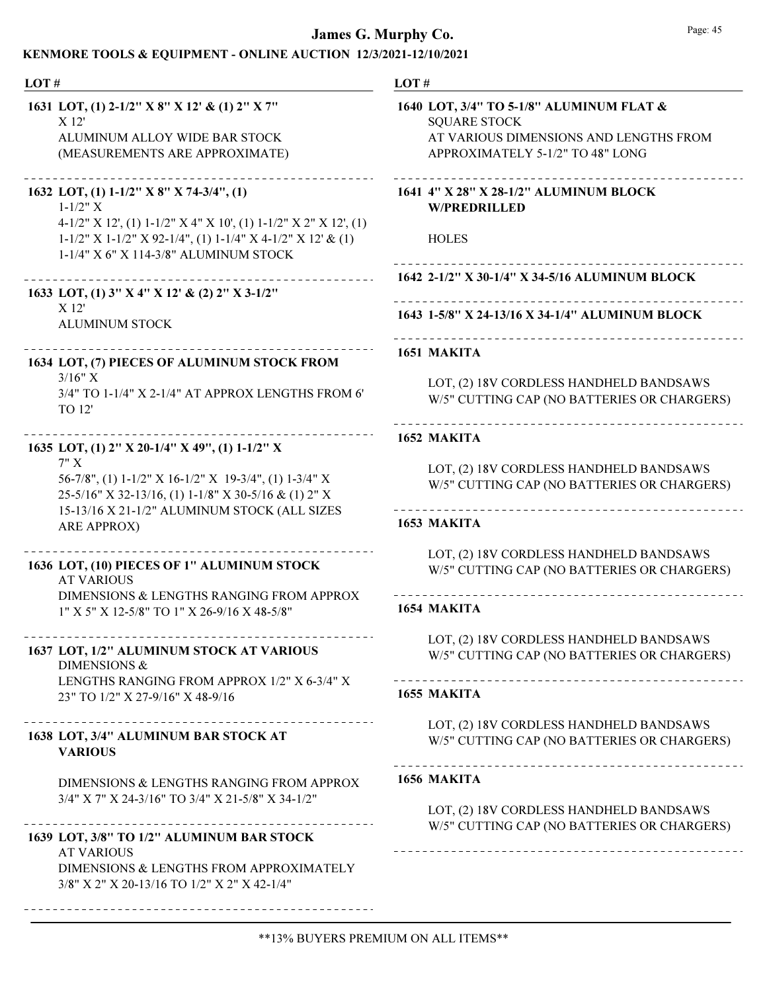## KENMORE TOOLS & EQUIPMENT - ONLINE AUCTION 12/3/2021-12/10/2021

| LOT#                                                                                                                                                                                                                                           | LOT#                                                                                                                                          |
|------------------------------------------------------------------------------------------------------------------------------------------------------------------------------------------------------------------------------------------------|-----------------------------------------------------------------------------------------------------------------------------------------------|
| 1631 LOT, (1) 2-1/2" X 8" X 12' & (1) 2" X 7"<br>X <sub>12</sub><br>ALUMINUM ALLOY WIDE BAR STOCK<br>(MEASUREMENTS ARE APPROXIMATE)                                                                                                            | 1640 LOT, 3/4" TO 5-1/8" ALUMINUM FLAT &<br><b>SQUARE STOCK</b><br>AT VARIOUS DIMENSIONS AND LENGTHS FROM<br>APPROXIMATELY 5-1/2" TO 48" LONG |
| 1632 LOT, (1) $1-1/2$ " X 8" X 74-3/4", (1)<br>$1 - 1/2" X$<br>$4-1/2$ " X 12', (1) $1-1/2$ " X 4" X 10', (1) $1-1/2$ " X 2" X 12', (1)<br>1-1/2" X 1-1/2" X 92-1/4", (1) 1-1/4" X 4-1/2" X 12' & (1)<br>1-1/4" X 6" X 114-3/8" ALUMINUM STOCK | 1641 4" X 28" X 28-1/2" ALUMINUM BLOCK<br><b>W/PREDRILLED</b><br><b>HOLES</b>                                                                 |
| 1633 LOT, (1) 3" X 4" X 12' & (2) 2" X 3-1/2"<br>X <sub>12</sub>                                                                                                                                                                               | 1642 2-1/2" X 30-1/4" X 34-5/16 ALUMINUM BLOCK                                                                                                |
| <b>ALUMINUM STOCK</b>                                                                                                                                                                                                                          | 1643 1-5/8" X 24-13/16 X 34-1/4" ALUMINUM BLOCK                                                                                               |
| 1634 LOT, (7) PIECES OF ALUMINUM STOCK FROM                                                                                                                                                                                                    | 1651 MAKITA                                                                                                                                   |
| $3/16''$ X<br>3/4" TO 1-1/4" X 2-1/4" AT APPROX LENGTHS FROM 6'<br>TO 12'                                                                                                                                                                      | LOT, (2) 18V CORDLESS HANDHELD BANDSAWS<br>W/5" CUTTING CAP (NO BATTERIES OR CHARGERS)                                                        |
| 1635 LOT, (1) 2" X 20-1/4" X 49", (1) 1-1/2" X                                                                                                                                                                                                 | 1652 MAKITA                                                                                                                                   |
| 7" X<br>56-7/8", (1) 1-1/2" X 16-1/2" X 19-3/4", (1) 1-3/4" X<br>25-5/16" X 32-13/16, (1) 1-1/8" X 30-5/16 & (1) 2" X                                                                                                                          | LOT, (2) 18V CORDLESS HANDHELD BANDSAWS<br>W/5" CUTTING CAP (NO BATTERIES OR CHARGERS)                                                        |
| 15-13/16 X 21-1/2" ALUMINUM STOCK (ALL SIZES<br><b>ARE APPROX)</b>                                                                                                                                                                             | 1653 MAKITA                                                                                                                                   |
| 1636 LOT, (10) PIECES OF 1" ALUMINUM STOCK<br><b>AT VARIOUS</b>                                                                                                                                                                                | LOT, (2) 18V CORDLESS HANDHELD BANDSAWS<br>W/5" CUTTING CAP (NO BATTERIES OR CHARGERS)                                                        |
| DIMENSIONS & LENGTHS RANGING FROM APPROX<br>1" X 5" X 12-5/8" TO 1" X 26-9/16 X 48-5/8"                                                                                                                                                        | 1654 MAKITA                                                                                                                                   |
| 1637 LOT, 1/2" ALUMINUM STOCK AT VARIOUS<br><b>DIMENSIONS &amp;</b>                                                                                                                                                                            | LOT, (2) 18V CORDLESS HANDHELD BANDSAWS<br>W/5" CUTTING CAP (NO BATTERIES OR CHARGERS)                                                        |
| LENGTHS RANGING FROM APPROX 1/2" X 6-3/4" X<br>23" TO 1/2" X 27-9/16" X 48-9/16                                                                                                                                                                | 1655 MAKITA                                                                                                                                   |
| 1638 LOT, 3/4" ALUMINUM BAR STOCK AT<br><b>VARIOUS</b>                                                                                                                                                                                         | LOT, (2) 18V CORDLESS HANDHELD BANDSAWS<br>W/5" CUTTING CAP (NO BATTERIES OR CHARGERS)                                                        |
| DIMENSIONS & LENGTHS RANGING FROM APPROX<br>3/4" X 7" X 24-3/16" TO 3/4" X 21-5/8" X 34-1/2"                                                                                                                                                   | 1656 MAKITA<br>LOT, (2) 18V CORDLESS HANDHELD BANDSAWS                                                                                        |
| 1639 LOT, 3/8" TO 1/2" ALUMINUM BAR STOCK<br><b>AT VARIOUS</b>                                                                                                                                                                                 | W/5" CUTTING CAP (NO BATTERIES OR CHARGERS)                                                                                                   |
| DIMENSIONS & LENGTHS FROM APPROXIMATELY                                                                                                                                                                                                        |                                                                                                                                               |

\*\*13% BUYERS PREMIUM ON ALL ITEMS\*\*

3/8" X 2" X 20-13/16 TO 1/2" X 2" X 42-1/4"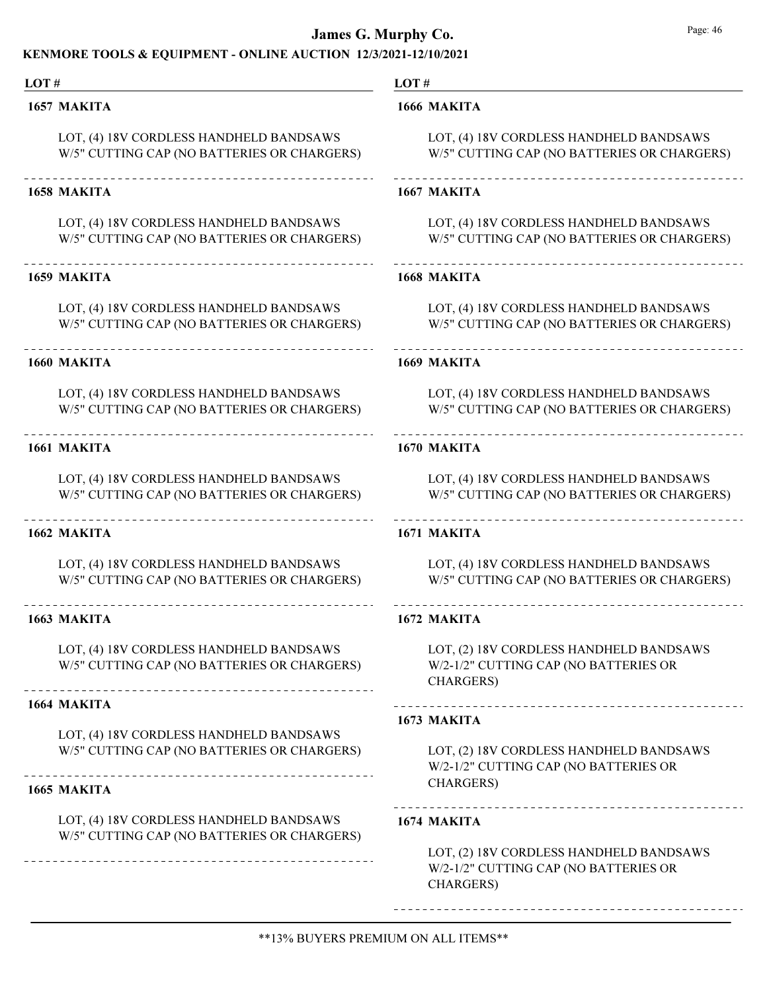### KENMORE TOOLS & EQUIPMENT - ONLINE AUCTION 12/3/2021-12/10/2021

#### LOT #

#### 1657 MAKITA

LOT, (4) 18V CORDLESS HANDHELD BANDSAWS W/5" CUTTING CAP (NO BATTERIES OR CHARGERS)

#### 1658 MAKITA

LOT, (4) 18V CORDLESS HANDHELD BANDSAWS W/5" CUTTING CAP (NO BATTERIES OR CHARGERS)

### 

### 1659 MAKITA

LOT, (4) 18V CORDLESS HANDHELD BANDSAWS W/5" CUTTING CAP (NO BATTERIES OR CHARGERS)

#### 1660 MAKITA

LOT, (4) 18V CORDLESS HANDHELD BANDSAWS W/5" CUTTING CAP (NO BATTERIES OR CHARGERS)

#### 1661 MAKITA

LOT, (4) 18V CORDLESS HANDHELD BANDSAWS W/5" CUTTING CAP (NO BATTERIES OR CHARGERS)

### 1662 MAKITA

LOT, (4) 18V CORDLESS HANDHELD BANDSAWS W/5" CUTTING CAP (NO BATTERIES OR CHARGERS)

#### 1663 MAKITA

LOT, (4) 18V CORDLESS HANDHELD BANDSAWS W/5" CUTTING CAP (NO BATTERIES OR CHARGERS)

#### 1664 MAKITA

LOT, (4) 18V CORDLESS HANDHELD BANDSAWS W/5" CUTTING CAP (NO BATTERIES OR CHARGERS)

#### 1665 MAKITA

LOT, (4) 18V CORDLESS HANDHELD BANDSAWS W/5" CUTTING CAP (NO BATTERIES OR CHARGERS)

#### LOT #

#### 1666 MAKITA

LOT, (4) 18V CORDLESS HANDHELD BANDSAWS W/5" CUTTING CAP (NO BATTERIES OR CHARGERS)

#### 1667 MAKITA

LOT, (4) 18V CORDLESS HANDHELD BANDSAWS W/5" CUTTING CAP (NO BATTERIES OR CHARGERS)

#### 1668 MAKITA

LOT, (4) 18V CORDLESS HANDHELD BANDSAWS W/5" CUTTING CAP (NO BATTERIES OR CHARGERS)

#### 1669 MAKITA

LOT, (4) 18V CORDLESS HANDHELD BANDSAWS W/5" CUTTING CAP (NO BATTERIES OR CHARGERS)

## 1670 MAKITA

LOT, (4) 18V CORDLESS HANDHELD BANDSAWS W/5" CUTTING CAP (NO BATTERIES OR CHARGERS)

## 

### 1671 MAKITA

LOT, (4) 18V CORDLESS HANDHELD BANDSAWS W/5" CUTTING CAP (NO BATTERIES OR CHARGERS)

#### 1672 MAKITA

LOT, (2) 18V CORDLESS HANDHELD BANDSAWS W/2-1/2" CUTTING CAP (NO BATTERIES OR CHARGERS)

#### 1673 MAKITA

LOT, (2) 18V CORDLESS HANDHELD BANDSAWS W/2-1/2" CUTTING CAP (NO BATTERIES OR CHARGERS)

## 1674 MAKITA

LOT, (2) 18V CORDLESS HANDHELD BANDSAWS W/2-1/2" CUTTING CAP (NO BATTERIES OR CHARGERS)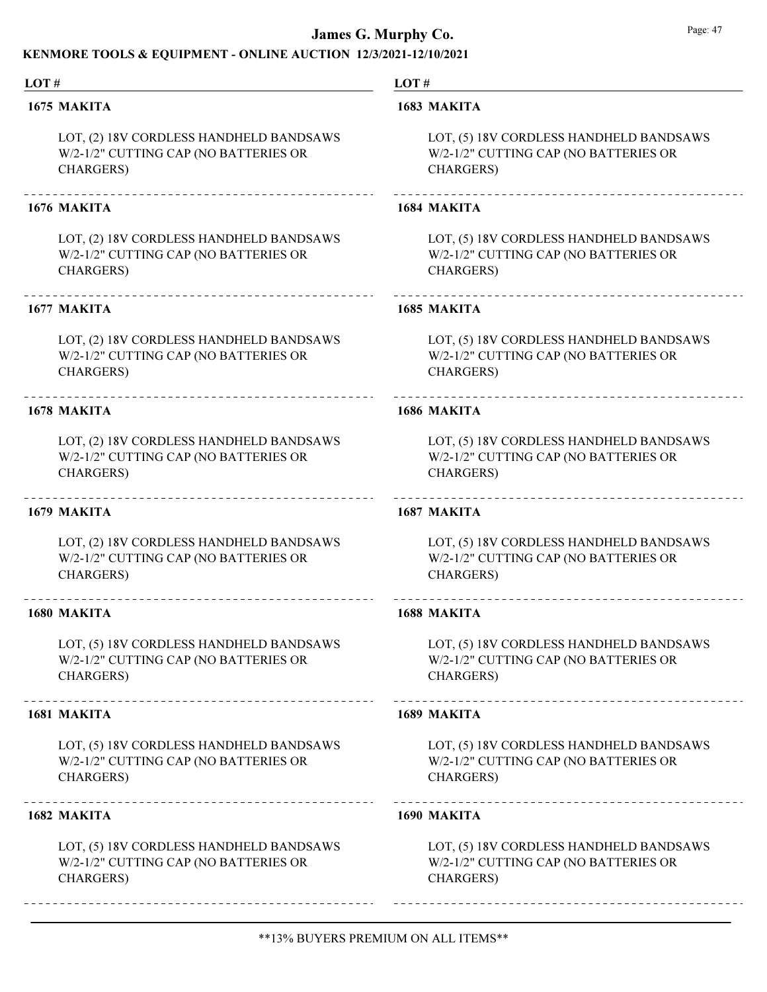### KENMORE TOOLS & EQUIPMENT - ONLINE AUCTION 12/3/2021-12/10/2021

#### LOT #

#### 1675 MAKITA

LOT, (2) 18V CORDLESS HANDHELD BANDSAWS W/2-1/2" CUTTING CAP (NO BATTERIES OR CHARGERS)

#### 1676 MAKITA

LOT, (2) 18V CORDLESS HANDHELD BANDSAWS W/2-1/2" CUTTING CAP (NO BATTERIES OR CHARGERS)

#### 1677 MAKITA

LOT, (2) 18V CORDLESS HANDHELD BANDSAWS W/2-1/2" CUTTING CAP (NO BATTERIES OR CHARGERS)

### 1678 MAKITA

LOT, (2) 18V CORDLESS HANDHELD BANDSAWS W/2-1/2" CUTTING CAP (NO BATTERIES OR CHARGERS)

#### 1679 MAKITA

LOT, (2) 18V CORDLESS HANDHELD BANDSAWS W/2-1/2" CUTTING CAP (NO BATTERIES OR CHARGERS)

#### 1680 MAKITA

LOT, (5) 18V CORDLESS HANDHELD BANDSAWS W/2-1/2" CUTTING CAP (NO BATTERIES OR CHARGERS)

#### 1681 MAKITA

LOT, (5) 18V CORDLESS HANDHELD BANDSAWS W/2-1/2" CUTTING CAP (NO BATTERIES OR CHARGERS)

#### 1682 MAKITA

LOT, (5) 18V CORDLESS HANDHELD BANDSAWS W/2-1/2" CUTTING CAP (NO BATTERIES OR CHARGERS)

#### LOT #

#### 1683 MAKITA

LOT, (5) 18V CORDLESS HANDHELD BANDSAWS W/2-1/2" CUTTING CAP (NO BATTERIES OR CHARGERS)

#### 1684 MAKITA

LOT, (5) 18V CORDLESS HANDHELD BANDSAWS W/2-1/2" CUTTING CAP (NO BATTERIES OR CHARGERS)

#### 1685 MAKITA

LOT, (5) 18V CORDLESS HANDHELD BANDSAWS W/2-1/2" CUTTING CAP (NO BATTERIES OR CHARGERS)

#### 1686 MAKITA

LOT, (5) 18V CORDLESS HANDHELD BANDSAWS W/2-1/2" CUTTING CAP (NO BATTERIES OR CHARGERS)

#### 1687 MAKITA

LOT, (5) 18V CORDLESS HANDHELD BANDSAWS W/2-1/2" CUTTING CAP (NO BATTERIES OR CHARGERS)

#### 1688 MAKITA

LOT, (5) 18V CORDLESS HANDHELD BANDSAWS W/2-1/2" CUTTING CAP (NO BATTERIES OR CHARGERS)

#### 1689 MAKITA

LOT, (5) 18V CORDLESS HANDHELD BANDSAWS W/2-1/2" CUTTING CAP (NO BATTERIES OR CHARGERS)

#### 1690 MAKITA

LOT, (5) 18V CORDLESS HANDHELD BANDSAWS W/2-1/2" CUTTING CAP (NO BATTERIES OR CHARGERS)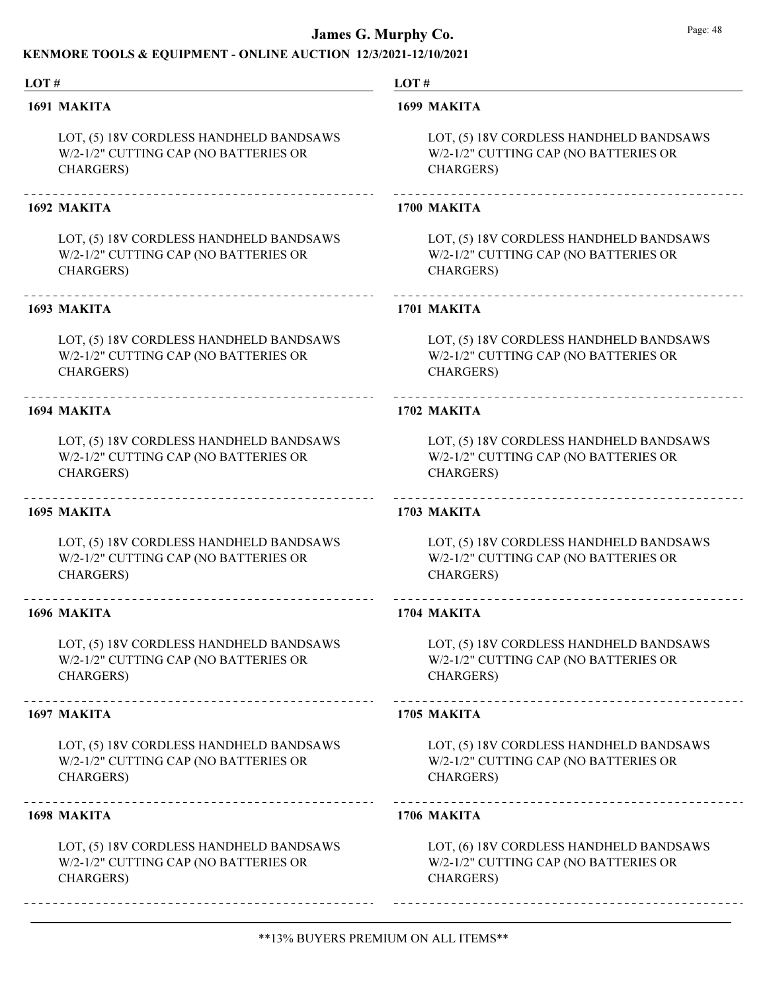### KENMORE TOOLS & EQUIPMENT - ONLINE AUCTION 12/3/2021-12/10/2021

#### LOT #

#### 1691 MAKITA

LOT, (5) 18V CORDLESS HANDHELD BANDSAWS W/2-1/2" CUTTING CAP (NO BATTERIES OR CHARGERS)

#### 1692 MAKITA

LOT, (5) 18V CORDLESS HANDHELD BANDSAWS W/2-1/2" CUTTING CAP (NO BATTERIES OR CHARGERS)

#### 1693 MAKITA

LOT, (5) 18V CORDLESS HANDHELD BANDSAWS W/2-1/2" CUTTING CAP (NO BATTERIES OR CHARGERS)

#### 1694 MAKITA

LOT, (5) 18V CORDLESS HANDHELD BANDSAWS W/2-1/2" CUTTING CAP (NO BATTERIES OR CHARGERS)

### 1695 MAKITA

LOT, (5) 18V CORDLESS HANDHELD BANDSAWS W/2-1/2" CUTTING CAP (NO BATTERIES OR CHARGERS)

#### 1696 MAKITA

LOT, (5) 18V CORDLESS HANDHELD BANDSAWS W/2-1/2" CUTTING CAP (NO BATTERIES OR CHARGERS)

#### 1697 MAKITA

LOT, (5) 18V CORDLESS HANDHELD BANDSAWS W/2-1/2" CUTTING CAP (NO BATTERIES OR CHARGERS)

#### 1698 MAKITA

LOT, (5) 18V CORDLESS HANDHELD BANDSAWS W/2-1/2" CUTTING CAP (NO BATTERIES OR CHARGERS)

#### LOT #

#### 1699 MAKITA

LOT, (5) 18V CORDLESS HANDHELD BANDSAWS W/2-1/2" CUTTING CAP (NO BATTERIES OR CHARGERS)

#### 1700 MAKITA

LOT, (5) 18V CORDLESS HANDHELD BANDSAWS W/2-1/2" CUTTING CAP (NO BATTERIES OR CHARGERS)

#### 1701 MAKITA

LOT, (5) 18V CORDLESS HANDHELD BANDSAWS W/2-1/2" CUTTING CAP (NO BATTERIES OR CHARGERS)

#### 1702 MAKITA

LOT, (5) 18V CORDLESS HANDHELD BANDSAWS W/2-1/2" CUTTING CAP (NO BATTERIES OR CHARGERS)

#### 1703 MAKITA

LOT, (5) 18V CORDLESS HANDHELD BANDSAWS W/2-1/2" CUTTING CAP (NO BATTERIES OR CHARGERS)

#### 1704 MAKITA

LOT, (5) 18V CORDLESS HANDHELD BANDSAWS W/2-1/2" CUTTING CAP (NO BATTERIES OR CHARGERS)

#### 1705 MAKITA

LOT, (5) 18V CORDLESS HANDHELD BANDSAWS W/2-1/2" CUTTING CAP (NO BATTERIES OR CHARGERS)

#### 1706 MAKITA

LOT, (6) 18V CORDLESS HANDHELD BANDSAWS W/2-1/2" CUTTING CAP (NO BATTERIES OR CHARGERS)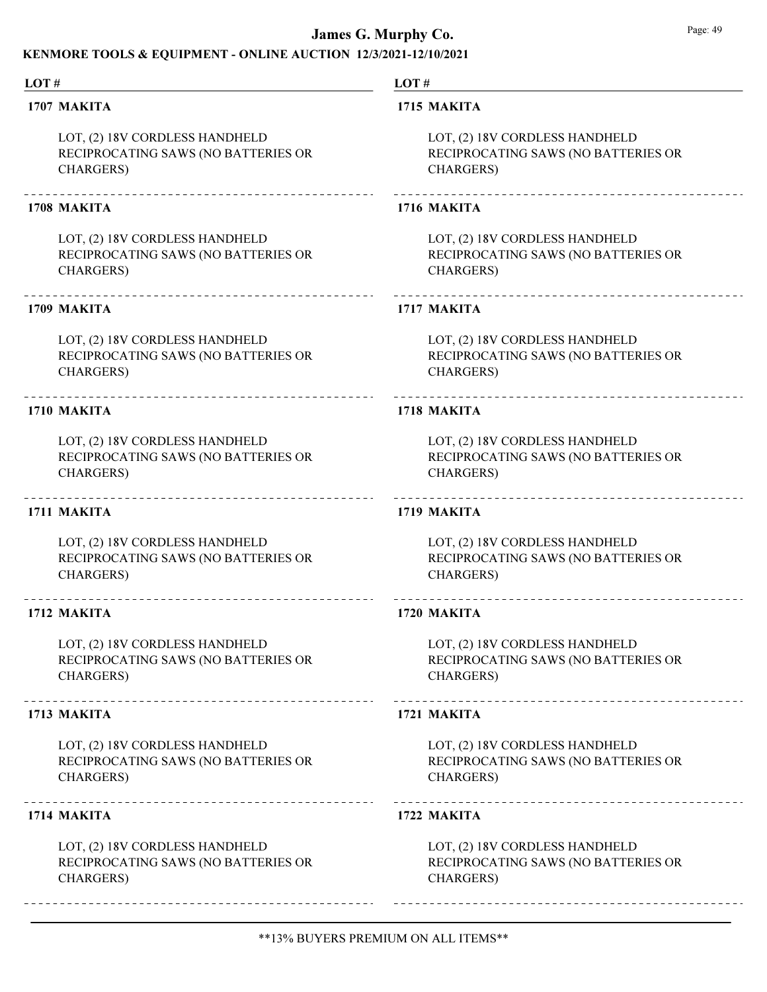### KENMORE TOOLS & EQUIPMENT - ONLINE AUCTION 12/3/2021-12/10/2021

#### LOT #

#### 1707 MAKITA

LOT, (2) 18V CORDLESS HANDHELD RECIPROCATING SAWS (NO BATTERIES OR CHARGERS)

#### 1708 MAKITA

LOT, (2) 18V CORDLESS HANDHELD RECIPROCATING SAWS (NO BATTERIES OR CHARGERS)

#### 1709 MAKITA

LOT, (2) 18V CORDLESS HANDHELD RECIPROCATING SAWS (NO BATTERIES OR CHARGERS)

#### 1710 MAKITA

LOT, (2) 18V CORDLESS HANDHELD RECIPROCATING SAWS (NO BATTERIES OR CHARGERS)

### 1711 MAKITA

LOT, (2) 18V CORDLESS HANDHELD RECIPROCATING SAWS (NO BATTERIES OR CHARGERS)

#### 1712 MAKITA

LOT, (2) 18V CORDLESS HANDHELD RECIPROCATING SAWS (NO BATTERIES OR CHARGERS)

#### 1713 MAKITA

LOT, (2) 18V CORDLESS HANDHELD RECIPROCATING SAWS (NO BATTERIES OR CHARGERS)

#### 1714 MAKITA

LOT, (2) 18V CORDLESS HANDHELD RECIPROCATING SAWS (NO BATTERIES OR CHARGERS)

LOT #

#### 1715 MAKITA

LOT, (2) 18V CORDLESS HANDHELD RECIPROCATING SAWS (NO BATTERIES OR CHARGERS)

#### 1716 MAKITA

LOT, (2) 18V CORDLESS HANDHELD RECIPROCATING SAWS (NO BATTERIES OR CHARGERS)

#### 1717 MAKITA

LOT, (2) 18V CORDLESS HANDHELD RECIPROCATING SAWS (NO BATTERIES OR CHARGERS)

#### 1718 MAKITA

LOT, (2) 18V CORDLESS HANDHELD RECIPROCATING SAWS (NO BATTERIES OR CHARGERS)

#### 1719 MAKITA

LOT, (2) 18V CORDLESS HANDHELD RECIPROCATING SAWS (NO BATTERIES OR CHARGERS)

#### 1720 MAKITA

LOT, (2) 18V CORDLESS HANDHELD RECIPROCATING SAWS (NO BATTERIES OR CHARGERS)

#### 1721 MAKITA

LOT, (2) 18V CORDLESS HANDHELD RECIPROCATING SAWS (NO BATTERIES OR CHARGERS)

#### 1722 MAKITA

LOT, (2) 18V CORDLESS HANDHELD RECIPROCATING SAWS (NO BATTERIES OR CHARGERS)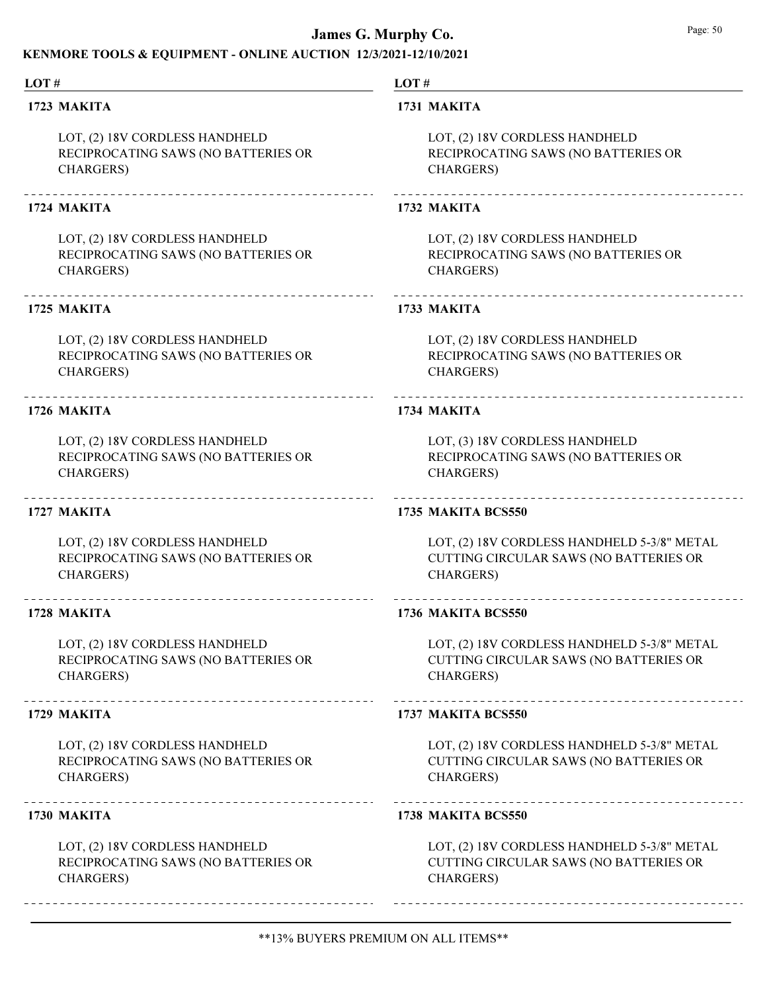### KENMORE TOOLS & EQUIPMENT - ONLINE AUCTION 12/3/2021-12/10/2021

#### LOT #

#### 1723 MAKITA

LOT, (2) 18V CORDLESS HANDHELD RECIPROCATING SAWS (NO BATTERIES OR CHARGERS)

#### 1724 MAKITA

LOT, (2) 18V CORDLESS HANDHELD RECIPROCATING SAWS (NO BATTERIES OR CHARGERS)

#### 1725 MAKITA

LOT, (2) 18V CORDLESS HANDHELD RECIPROCATING SAWS (NO BATTERIES OR CHARGERS)

#### 1726 MAKITA

LOT, (2) 18V CORDLESS HANDHELD RECIPROCATING SAWS (NO BATTERIES OR CHARGERS)

### 1727 MAKITA

LOT, (2) 18V CORDLESS HANDHELD RECIPROCATING SAWS (NO BATTERIES OR CHARGERS)

#### 1728 MAKITA

LOT, (2) 18V CORDLESS HANDHELD RECIPROCATING SAWS (NO BATTERIES OR CHARGERS)

#### 1729 MAKITA

LOT, (2) 18V CORDLESS HANDHELD RECIPROCATING SAWS (NO BATTERIES OR CHARGERS)

#### 1730 MAKITA

LOT, (2) 18V CORDLESS HANDHELD RECIPROCATING SAWS (NO BATTERIES OR CHARGERS)

LOT #

#### 1731 MAKITA

LOT, (2) 18V CORDLESS HANDHELD RECIPROCATING SAWS (NO BATTERIES OR CHARGERS)

#### 1732 MAKITA

LOT, (2) 18V CORDLESS HANDHELD RECIPROCATING SAWS (NO BATTERIES OR CHARGERS)

#### 1733 MAKITA

LOT, (2) 18V CORDLESS HANDHELD RECIPROCATING SAWS (NO BATTERIES OR CHARGERS)

#### 1734 MAKITA

LOT, (3) 18V CORDLESS HANDHELD RECIPROCATING SAWS (NO BATTERIES OR CHARGERS)

#### 1735 MAKITA BCS550

LOT, (2) 18V CORDLESS HANDHELD 5-3/8" METAL CUTTING CIRCULAR SAWS (NO BATTERIES OR CHARGERS)

#### 1736 MAKITA BCS550

LOT, (2) 18V CORDLESS HANDHELD 5-3/8" METAL CUTTING CIRCULAR SAWS (NO BATTERIES OR CHARGERS)

#### 1737 MAKITA BCS550

LOT, (2) 18V CORDLESS HANDHELD 5-3/8" METAL CUTTING CIRCULAR SAWS (NO BATTERIES OR CHARGERS)

#### 1738 MAKITA BCS550

LOT, (2) 18V CORDLESS HANDHELD 5-3/8" METAL CUTTING CIRCULAR SAWS (NO BATTERIES OR CHARGERS)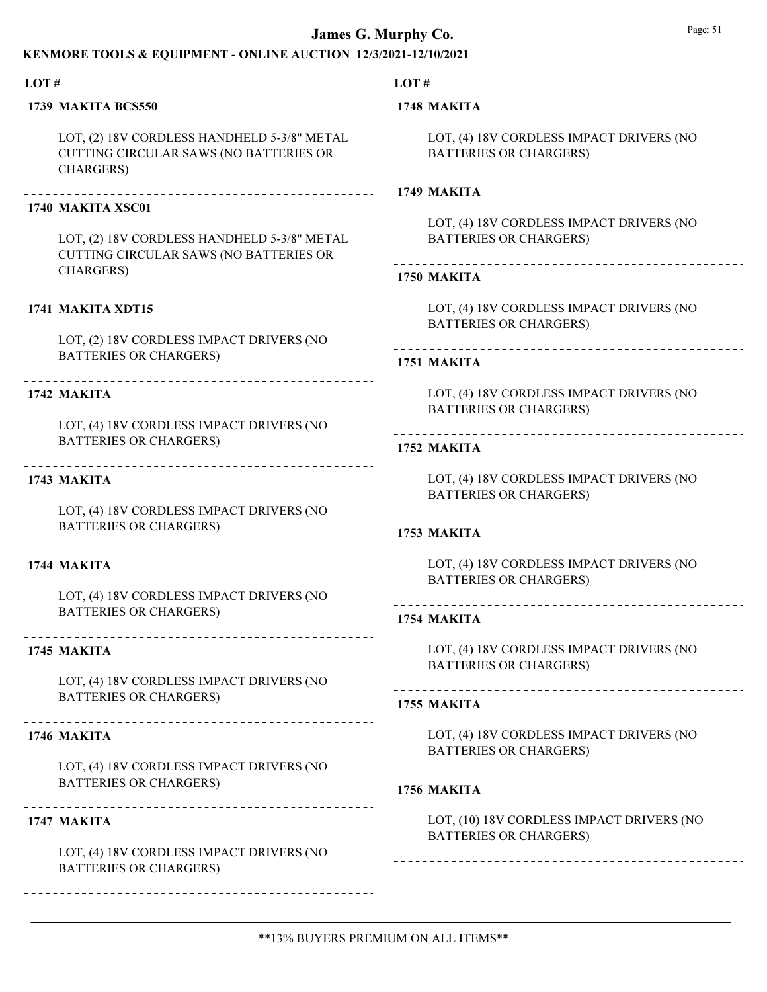#### KENMORE TOOLS & EQUIPMENT - ONLINE AUCTION 12/3/2021-12/10/2021

#### LOT #

#### 1739 MAKITA BCS550

LOT, (2) 18V CORDLESS HANDHELD 5-3/8" METAL CUTTING CIRCULAR SAWS (NO BATTERIES OR CHARGERS)

#### 1740 MAKITA XSC01

LOT, (2) 18V CORDLESS HANDHELD 5-3/8" METAL CUTTING CIRCULAR SAWS (NO BATTERIES OR CHARGERS)

#### 1741 MAKITA XDT15

LOT, (2) 18V CORDLESS IMPACT DRIVERS (NO BATTERIES OR CHARGERS)

### 1742 MAKITA

LOT, (4) 18V CORDLESS IMPACT DRIVERS (NO BATTERIES OR CHARGERS)

1743 MAKITA

LOT, (4) 18V CORDLESS IMPACT DRIVERS (NO BATTERIES OR CHARGERS)

## 1744 MAKITA

LOT, (4) 18V CORDLESS IMPACT DRIVERS (NO BATTERIES OR CHARGERS)

#### 1745 MAKITA

LOT, (4) 18V CORDLESS IMPACT DRIVERS (NO BATTERIES OR CHARGERS)

#### 1746 MAKITA

LOT, (4) 18V CORDLESS IMPACT DRIVERS (NO BATTERIES OR CHARGERS)

#### 1747 MAKITA

LOT, (4) 18V CORDLESS IMPACT DRIVERS (NO BATTERIES OR CHARGERS)

LOT#

#### 1748 MAKITA

LOT, (4) 18V CORDLESS IMPACT DRIVERS (NO BATTERIES OR CHARGERS)

#### 

#### 1749 MAKITA

LOT, (4) 18V CORDLESS IMPACT DRIVERS (NO BATTERIES OR CHARGERS)

#### 1750 MAKITA

LOT, (4) 18V CORDLESS IMPACT DRIVERS (NO BATTERIES OR CHARGERS)

#### 1751 MAKITA

LOT, (4) 18V CORDLESS IMPACT DRIVERS (NO BATTERIES OR CHARGERS)

## 1752 MAKITA

LOT, (4) 18V CORDLESS IMPACT DRIVERS (NO BATTERIES OR CHARGERS)

### 1753 MAKITA

LOT, (4) 18V CORDLESS IMPACT DRIVERS (NO BATTERIES OR CHARGERS)

#### 1754 MAKITA

LOT, (4) 18V CORDLESS IMPACT DRIVERS (NO BATTERIES OR CHARGERS)

### 

#### 1755 MAKITA

LOT, (4) 18V CORDLESS IMPACT DRIVERS (NO BATTERIES OR CHARGERS)

#### 1756 MAKITA

LOT, (10) 18V CORDLESS IMPACT DRIVERS (NO BATTERIES OR CHARGERS)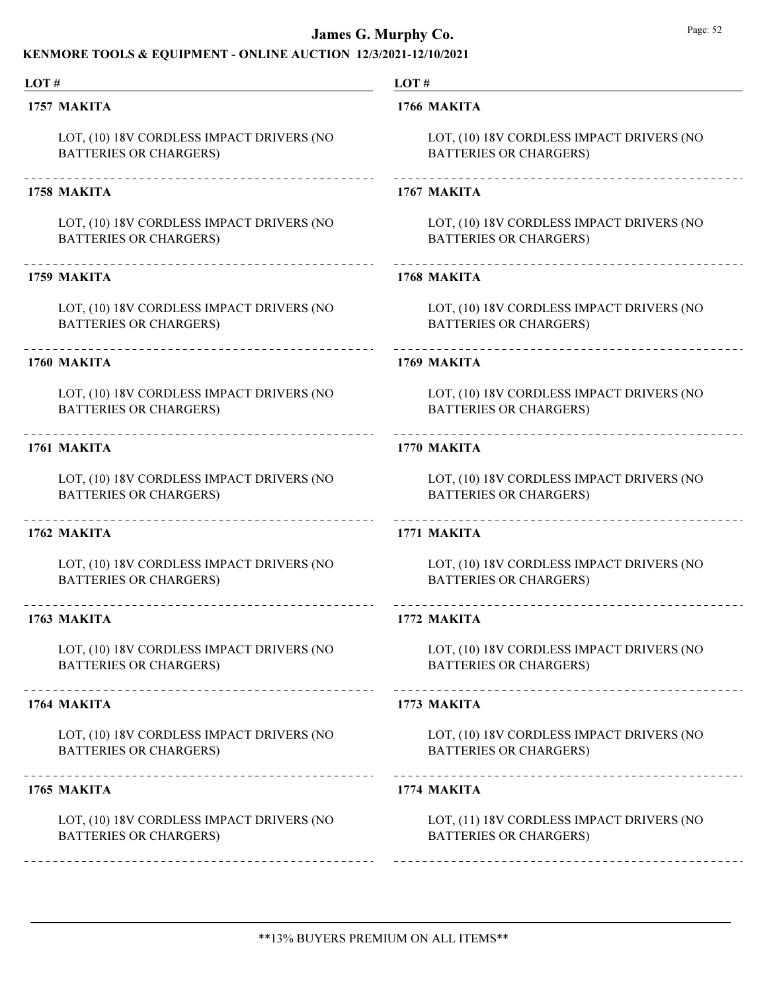### KENMORE TOOLS & EQUIPMENT - ONLINE AUCTION 12/3/2021-12/10/2021

#### LOT # LOT# 1757 MAKITA 1766 MAKITA LOT, (10) 18V CORDLESS IMPACT DRIVERS (NO LOT, (10) 18V CORDLESS IMPACT DRIVERS (NO BATTERIES OR CHARGERS) BATTERIES OR CHARGERS) 1758 MAKITA 1767 MAKITA LOT, (10) 18V CORDLESS IMPACT DRIVERS (NO LOT, (10) 18V CORDLESS IMPACT DRIVERS (NO BATTERIES OR CHARGERS) BATTERIES OR CHARGERS) 1759 MAKITA 1768 MAKITA LOT, (10) 18V CORDLESS IMPACT DRIVERS (NO LOT, (10) 18V CORDLESS IMPACT DRIVERS (NO BATTERIES OR CHARGERS) BATTERIES OR CHARGERS) 1760 MAKITA 1769 MAKITA LOT, (10) 18V CORDLESS IMPACT DRIVERS (NO LOT, (10) 18V CORDLESS IMPACT DRIVERS (NO BATTERIES OR CHARGERS) BATTERIES OR CHARGERS) 1761 MAKITA 1770 MAKITA LOT, (10) 18V CORDLESS IMPACT DRIVERS (NO LOT, (10) 18V CORDLESS IMPACT DRIVERS (NO BATTERIES OR CHARGERS) BATTERIES OR CHARGERS) 1762 MAKITA 1771 MAKITA LOT, (10) 18V CORDLESS IMPACT DRIVERS (NO LOT, (10) 18V CORDLESS IMPACT DRIVERS (NO BATTERIES OR CHARGERS) BATTERIES OR CHARGERS) 1763 MAKITA 1772 MAKITA LOT, (10) 18V CORDLESS IMPACT DRIVERS (NO LOT, (10) 18V CORDLESS IMPACT DRIVERS (NO BATTERIES OR CHARGERS) BATTERIES OR CHARGERS) 1764 MAKITA 1773 MAKITA LOT, (10) 18V CORDLESS IMPACT DRIVERS (NO LOT, (10) 18V CORDLESS IMPACT DRIVERS (NO BATTERIES OR CHARGERS) BATTERIES OR CHARGERS) 1765 MAKITA 1774 MAKITA LOT, (11) 18V CORDLESS IMPACT DRIVERS (NO LOT, (10) 18V CORDLESS IMPACT DRIVERS (NO BATTERIES OR CHARGERS) BATTERIES OR CHARGERS)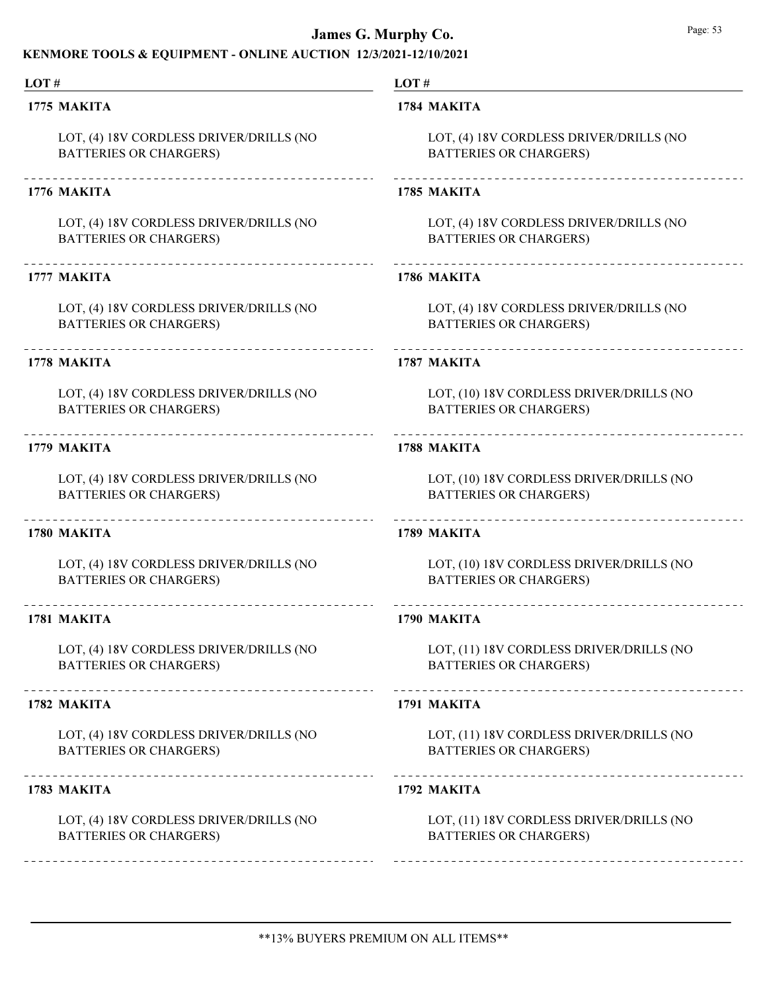## KENMORE TOOLS & EQUIPMENT - ONLINE AUCTION 12/3/2021-12/10/2021

| LOT#                                                                     | LOT#                                                                      |  |
|--------------------------------------------------------------------------|---------------------------------------------------------------------------|--|
| 1775 MAKITA                                                              | 1784 MAKITA                                                               |  |
| LOT, (4) 18V CORDLESS DRIVER/DRILLS (NO<br><b>BATTERIES OR CHARGERS)</b> | LOT, (4) 18V CORDLESS DRIVER/DRILLS (NO<br><b>BATTERIES OR CHARGERS)</b>  |  |
| 1776 MAKITA                                                              | 1785 MAKITA                                                               |  |
| LOT, (4) 18V CORDLESS DRIVER/DRILLS (NO<br><b>BATTERIES OR CHARGERS)</b> | LOT, (4) 18V CORDLESS DRIVER/DRILLS (NO<br><b>BATTERIES OR CHARGERS)</b>  |  |
| 1777 MAKITA                                                              | 1786 MAKITA                                                               |  |
| LOT, (4) 18V CORDLESS DRIVER/DRILLS (NO<br><b>BATTERIES OR CHARGERS)</b> | LOT, (4) 18V CORDLESS DRIVER/DRILLS (NO<br><b>BATTERIES OR CHARGERS)</b>  |  |
| ___________________________________<br>1778 MAKITA                       | 1787 MAKITA                                                               |  |
| LOT, (4) 18V CORDLESS DRIVER/DRILLS (NO<br><b>BATTERIES OR CHARGERS)</b> | LOT, (10) 18V CORDLESS DRIVER/DRILLS (NO<br><b>BATTERIES OR CHARGERS)</b> |  |
| 1779 MAKITA                                                              | 1788 MAKITA                                                               |  |
| LOT, (4) 18V CORDLESS DRIVER/DRILLS (NO<br><b>BATTERIES OR CHARGERS)</b> | LOT, (10) 18V CORDLESS DRIVER/DRILLS (NO<br><b>BATTERIES OR CHARGERS)</b> |  |
| 1780 MAKITA                                                              | 1789 MAKITA                                                               |  |
| LOT, (4) 18V CORDLESS DRIVER/DRILLS (NO<br><b>BATTERIES OR CHARGERS)</b> | LOT, (10) 18V CORDLESS DRIVER/DRILLS (NO<br><b>BATTERIES OR CHARGERS)</b> |  |
| 1781 MAKITA                                                              | 1790 MAKITA                                                               |  |
| LOT, (4) 18V CORDLESS DRIVER/DRILLS (NO<br><b>BATTERIES OR CHARGERS)</b> | LOT, (11) 18V CORDLESS DRIVER/DRILLS (NO<br><b>BATTERIES OR CHARGERS)</b> |  |
| 1782 MAKITA                                                              | 1791 MAKITA                                                               |  |
| LOT, (4) 18V CORDLESS DRIVER/DRILLS (NO<br><b>BATTERIES OR CHARGERS)</b> | LOT, (11) 18V CORDLESS DRIVER/DRILLS (NO<br><b>BATTERIES OR CHARGERS)</b> |  |
| 1783 MAKITA                                                              | 1792 MAKITA                                                               |  |
| LOT, (4) 18V CORDLESS DRIVER/DRILLS (NO<br><b>BATTERIES OR CHARGERS)</b> | LOT, (11) 18V CORDLESS DRIVER/DRILLS (NO<br><b>BATTERIES OR CHARGERS)</b> |  |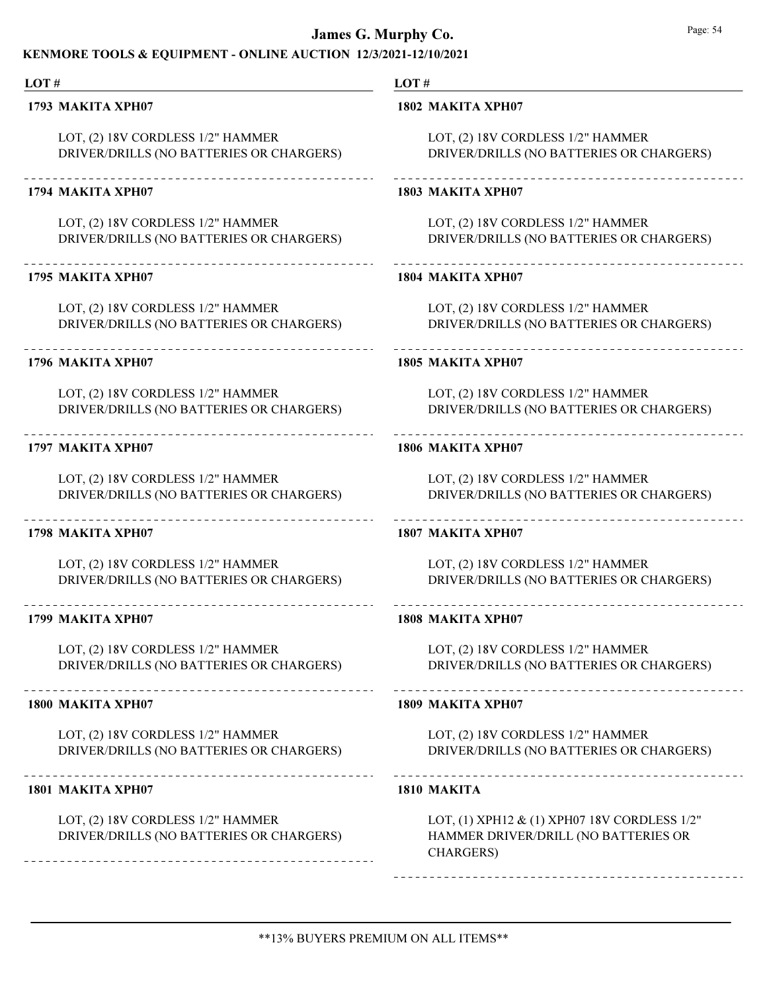### KENMORE TOOLS & EQUIPMENT - ONLINE AUCTION 12/3/2021-12/10/2021

## LOT #

1793 MAKITA XPH07

LOT, (2) 18V CORDLESS 1/2" HAMMER DRIVER/DRILLS (NO BATTERIES OR CHARGERS)

#### 1794 MAKITA XPH07

LOT, (2) 18V CORDLESS 1/2" HAMMER DRIVER/DRILLS (NO BATTERIES OR CHARGERS)

#### 1795 MAKITA XPH07

LOT, (2) 18V CORDLESS 1/2" HAMMER DRIVER/DRILLS (NO BATTERIES OR CHARGERS)

#### 1796 MAKITA XPH07

LOT, (2) 18V CORDLESS 1/2" HAMMER DRIVER/DRILLS (NO BATTERIES OR CHARGERS)

#### 1797 MAKITA XPH07

LOT, (2) 18V CORDLESS 1/2" HAMMER DRIVER/DRILLS (NO BATTERIES OR CHARGERS)

#### 1798 MAKITA XPH07

LOT, (2) 18V CORDLESS 1/2" HAMMER DRIVER/DRILLS (NO BATTERIES OR CHARGERS)

### 1799 MAKITA XPH07

LOT, (2) 18V CORDLESS 1/2" HAMMER DRIVER/DRILLS (NO BATTERIES OR CHARGERS)

#### 1800 MAKITA XPH07

LOT, (2) 18V CORDLESS 1/2" HAMMER DRIVER/DRILLS (NO BATTERIES OR CHARGERS)

#### 1801 MAKITA XPH07

LOT, (2) 18V CORDLESS 1/2" HAMMER DRIVER/DRILLS (NO BATTERIES OR CHARGERS)

#### LOT #

#### 1802 MAKITA XPH07

LOT, (2) 18V CORDLESS 1/2" HAMMER DRIVER/DRILLS (NO BATTERIES OR CHARGERS)

## 

### 1803 MAKITA XPH07

LOT, (2) 18V CORDLESS 1/2" HAMMER DRIVER/DRILLS (NO BATTERIES OR CHARGERS)

#### 1804 MAKITA XPH07

LOT, (2) 18V CORDLESS 1/2" HAMMER DRIVER/DRILLS (NO BATTERIES OR CHARGERS)

#### 1805 MAKITA XPH07

LOT, (2) 18V CORDLESS 1/2" HAMMER DRIVER/DRILLS (NO BATTERIES OR CHARGERS)

## 1806 MAKITA XPH07

LOT, (2) 18V CORDLESS 1/2" HAMMER DRIVER/DRILLS (NO BATTERIES OR CHARGERS)

## 

1807 MAKITA XPH07

LOT, (2) 18V CORDLESS 1/2" HAMMER

DRIVER/DRILLS (NO BATTERIES OR CHARGERS)

#### 1808 MAKITA XPH07

LOT, (2) 18V CORDLESS 1/2" HAMMER DRIVER/DRILLS (NO BATTERIES OR CHARGERS)

#### 1809 MAKITA XPH07

LOT, (2) 18V CORDLESS 1/2" HAMMER DRIVER/DRILLS (NO BATTERIES OR CHARGERS)

1810 MAKITA

LOT, (1) XPH12 & (1) XPH07 18V CORDLESS 1/2" HAMMER DRIVER/DRILL (NO BATTERIES OR CHARGERS)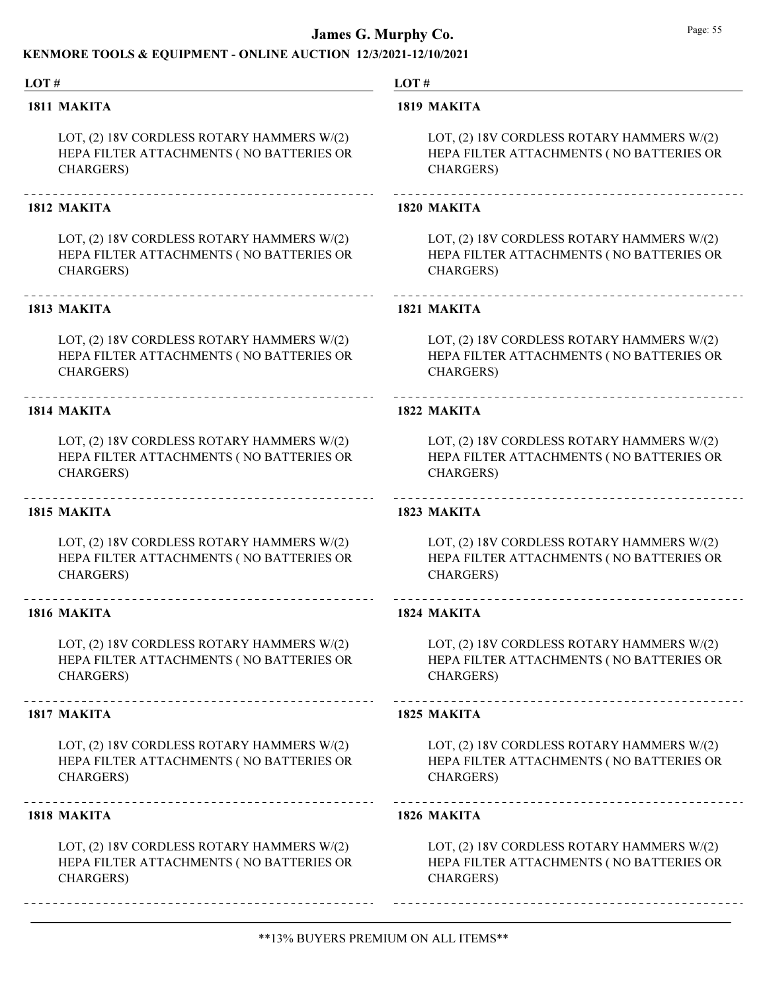### KENMORE TOOLS & EQUIPMENT - ONLINE AUCTION 12/3/2021-12/10/2021

#### LOT #

#### 1811 MAKITA

LOT, (2) 18V CORDLESS ROTARY HAMMERS W/(2) HEPA FILTER ATTACHMENTS ( NO BATTERIES OR CHARGERS)

#### 1812 MAKITA

LOT, (2) 18V CORDLESS ROTARY HAMMERS W/(2) HEPA FILTER ATTACHMENTS ( NO BATTERIES OR CHARGERS)

#### 1813 MAKITA

LOT, (2) 18V CORDLESS ROTARY HAMMERS W/(2) HEPA FILTER ATTACHMENTS ( NO BATTERIES OR CHARGERS)

### 1814 MAKITA

LOT, (2) 18V CORDLESS ROTARY HAMMERS W/(2) HEPA FILTER ATTACHMENTS ( NO BATTERIES OR CHARGERS)

#### 1815 MAKITA

LOT, (2) 18V CORDLESS ROTARY HAMMERS W/(2) HEPA FILTER ATTACHMENTS ( NO BATTERIES OR CHARGERS)

#### 1816 MAKITA

LOT, (2) 18V CORDLESS ROTARY HAMMERS W/(2) HEPA FILTER ATTACHMENTS ( NO BATTERIES OR CHARGERS)

#### 1817 MAKITA

LOT, (2) 18V CORDLESS ROTARY HAMMERS W/(2) HEPA FILTER ATTACHMENTS ( NO BATTERIES OR CHARGERS)

#### 1818 MAKITA

LOT, (2) 18V CORDLESS ROTARY HAMMERS W/(2) HEPA FILTER ATTACHMENTS ( NO BATTERIES OR CHARGERS)

LOT #

#### 1819 MAKITA

LOT, (2) 18V CORDLESS ROTARY HAMMERS W/(2) HEPA FILTER ATTACHMENTS ( NO BATTERIES OR CHARGERS)

#### 1820 MAKITA

LOT, (2) 18V CORDLESS ROTARY HAMMERS W/(2) HEPA FILTER ATTACHMENTS ( NO BATTERIES OR CHARGERS)

#### 1821 MAKITA

LOT, (2) 18V CORDLESS ROTARY HAMMERS W/(2) HEPA FILTER ATTACHMENTS ( NO BATTERIES OR CHARGERS)

#### 1822 MAKITA

LOT, (2) 18V CORDLESS ROTARY HAMMERS W/(2) HEPA FILTER ATTACHMENTS ( NO BATTERIES OR CHARGERS)

#### 1823 MAKITA

LOT, (2) 18V CORDLESS ROTARY HAMMERS W/(2) HEPA FILTER ATTACHMENTS ( NO BATTERIES OR CHARGERS)

#### 1824 MAKITA

LOT, (2) 18V CORDLESS ROTARY HAMMERS W/(2) HEPA FILTER ATTACHMENTS ( NO BATTERIES OR CHARGERS)

#### 1825 MAKITA

LOT, (2) 18V CORDLESS ROTARY HAMMERS W/(2) HEPA FILTER ATTACHMENTS ( NO BATTERIES OR CHARGERS)

#### 1826 MAKITA

LOT, (2) 18V CORDLESS ROTARY HAMMERS W/(2) HEPA FILTER ATTACHMENTS ( NO BATTERIES OR CHARGERS)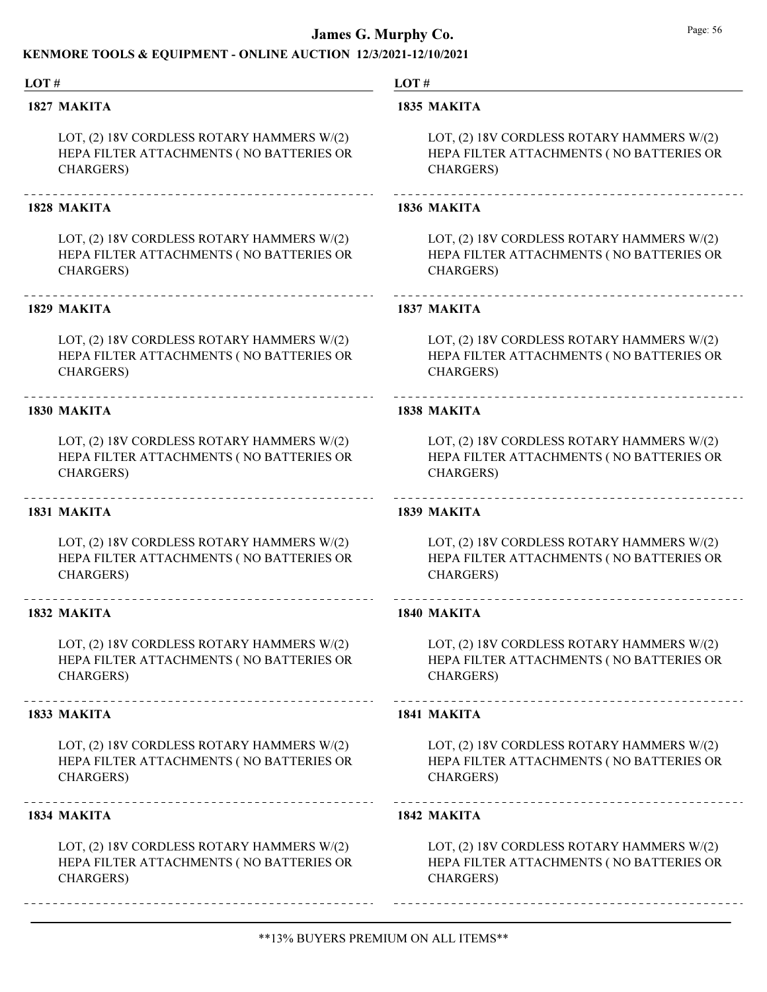### KENMORE TOOLS & EQUIPMENT - ONLINE AUCTION 12/3/2021-12/10/2021

#### LOT #

#### 1827 MAKITA

LOT, (2) 18V CORDLESS ROTARY HAMMERS W/(2) HEPA FILTER ATTACHMENTS ( NO BATTERIES OR CHARGERS)

#### 1828 MAKITA

LOT, (2) 18V CORDLESS ROTARY HAMMERS W/(2) HEPA FILTER ATTACHMENTS ( NO BATTERIES OR CHARGERS)

#### 1829 MAKITA

LOT, (2) 18V CORDLESS ROTARY HAMMERS W/(2) HEPA FILTER ATTACHMENTS ( NO BATTERIES OR CHARGERS)

#### 1830 MAKITA

LOT, (2) 18V CORDLESS ROTARY HAMMERS W/(2) HEPA FILTER ATTACHMENTS ( NO BATTERIES OR CHARGERS)

#### 1831 MAKITA

LOT, (2) 18V CORDLESS ROTARY HAMMERS W/(2) HEPA FILTER ATTACHMENTS ( NO BATTERIES OR CHARGERS)

#### 1832 MAKITA

LOT, (2) 18V CORDLESS ROTARY HAMMERS W/(2) HEPA FILTER ATTACHMENTS ( NO BATTERIES OR CHARGERS)

#### 1833 MAKITA

LOT, (2) 18V CORDLESS ROTARY HAMMERS W/(2) HEPA FILTER ATTACHMENTS ( NO BATTERIES OR CHARGERS)

#### 1834 MAKITA

LOT, (2) 18V CORDLESS ROTARY HAMMERS W/(2) HEPA FILTER ATTACHMENTS ( NO BATTERIES OR CHARGERS)

LOT #

#### 1835 MAKITA

LOT, (2) 18V CORDLESS ROTARY HAMMERS W/(2) HEPA FILTER ATTACHMENTS ( NO BATTERIES OR CHARGERS)

#### 1836 MAKITA

LOT, (2) 18V CORDLESS ROTARY HAMMERS W/(2) HEPA FILTER ATTACHMENTS ( NO BATTERIES OR CHARGERS)

#### 1837 MAKITA

LOT, (2) 18V CORDLESS ROTARY HAMMERS W/(2) HEPA FILTER ATTACHMENTS ( NO BATTERIES OR CHARGERS)

#### 1838 MAKITA

LOT, (2) 18V CORDLESS ROTARY HAMMERS W/(2) HEPA FILTER ATTACHMENTS ( NO BATTERIES OR CHARGERS)

#### 1839 MAKITA

LOT, (2) 18V CORDLESS ROTARY HAMMERS W/(2) HEPA FILTER ATTACHMENTS ( NO BATTERIES OR CHARGERS)

#### 1840 MAKITA

LOT, (2) 18V CORDLESS ROTARY HAMMERS W/(2) HEPA FILTER ATTACHMENTS ( NO BATTERIES OR CHARGERS)

#### 1841 MAKITA

LOT, (2) 18V CORDLESS ROTARY HAMMERS W/(2) HEPA FILTER ATTACHMENTS ( NO BATTERIES OR CHARGERS)

#### 1842 MAKITA

LOT, (2) 18V CORDLESS ROTARY HAMMERS W/(2) HEPA FILTER ATTACHMENTS ( NO BATTERIES OR CHARGERS)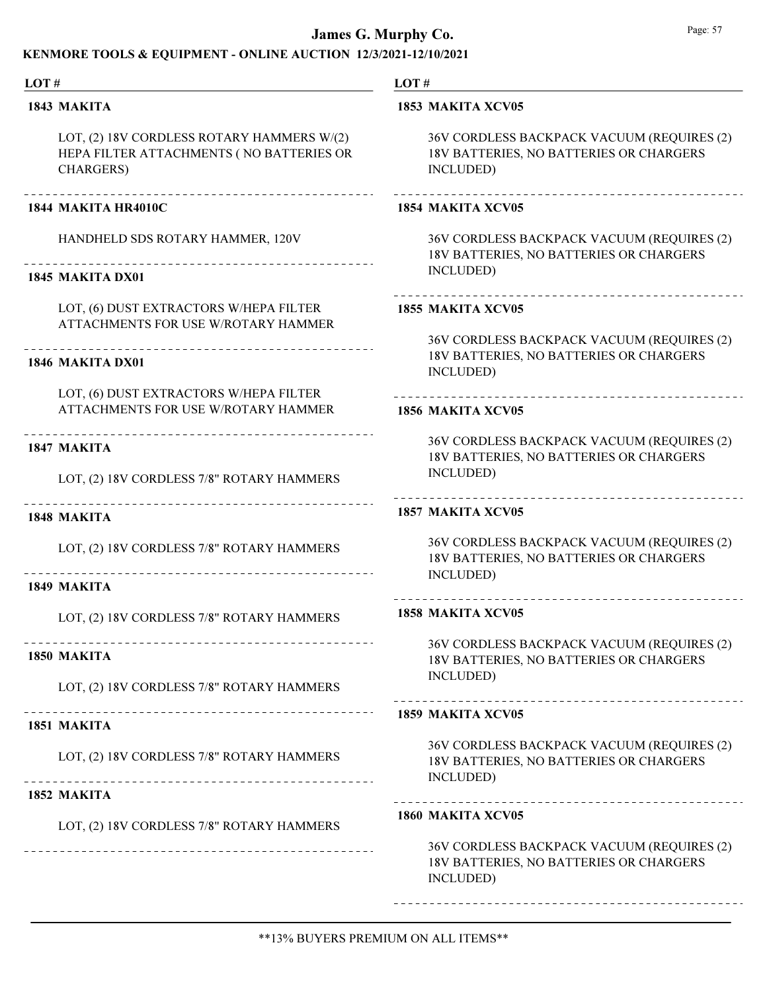### KENMORE TOOLS & EQUIPMENT - ONLINE AUCTION 12/3/2021-12/10/2021

#### LOT # LOT # 1843 MAKITA 1853 MAKITA XCV05 LOT, (2) 18V CORDLESS ROTARY HAMMERS W/(2) 36V CORDLESS BACKPACK VACUUM (REQUIRES (2) HEPA FILTER ATTACHMENTS ( NO BATTERIES OR 18V BATTERIES, NO BATTERIES OR CHARGERS CHARGERS) INCLUDED) 1844 MAKITA HR4010C 1854 MAKITA XCV05 HANDHELD SDS ROTARY HAMMER, 120V 36V CORDLESS BACKPACK VACUUM (REQUIRES (2) 18V BATTERIES, NO BATTERIES OR CHARGERS INCLUDED) 1845 MAKITA DX01 LOT, (6) DUST EXTRACTORS W/HEPA FILTER 1855 MAKITA XCV05 ATTACHMENTS FOR USE W/ROTARY HAMMER 36V CORDLESS BACKPACK VACUUM (REQUIRES (2) 18V BATTERIES, NO BATTERIES OR CHARGERS 1846 MAKITA DX01 INCLUDED) LOT, (6) DUST EXTRACTORS W/HEPA FILTER ATTACHMENTS FOR USE W/ROTARY HAMMER 1856 MAKITA XCV05 36V CORDLESS BACKPACK VACUUM (REQUIRES (2) 1847 MAKITA 18V BATTERIES, NO BATTERIES OR CHARGERS INCLUDED) LOT, (2) 18V CORDLESS 7/8" ROTARY HAMMERS 1857 MAKITA XCV05 1848 MAKITA 36V CORDLESS BACKPACK VACUUM (REQUIRES (2) LOT, (2) 18V CORDLESS 7/8" ROTARY HAMMERS 18V BATTERIES, NO BATTERIES OR CHARGERS INCLUDED) 1849 MAKITA -----------------------------------1858 MAKITA XCV05 LOT, (2) 18V CORDLESS 7/8" ROTARY HAMMERS 36V CORDLESS BACKPACK VACUUM (REQUIRES (2) 1850 MAKITA 18V BATTERIES, NO BATTERIES OR CHARGERS INCLUDED) LOT, (2) 18V CORDLESS 7/8" ROTARY HAMMERS 1859 MAKITA XCV05 1851 MAKITA 36V CORDLESS BACKPACK VACUUM (REQUIRES (2) LOT, (2) 18V CORDLESS 7/8" ROTARY HAMMERS 18V BATTERIES, NO BATTERIES OR CHARGERS INCLUDED) -------------------------------------1852 MAKITA 1860 MAKITA XCV05 LOT, (2) 18V CORDLESS 7/8" ROTARY HAMMERS 36V CORDLESS BACKPACK VACUUM (REQUIRES (2) 18V BATTERIES, NO BATTERIES OR CHARGERS INCLUDED)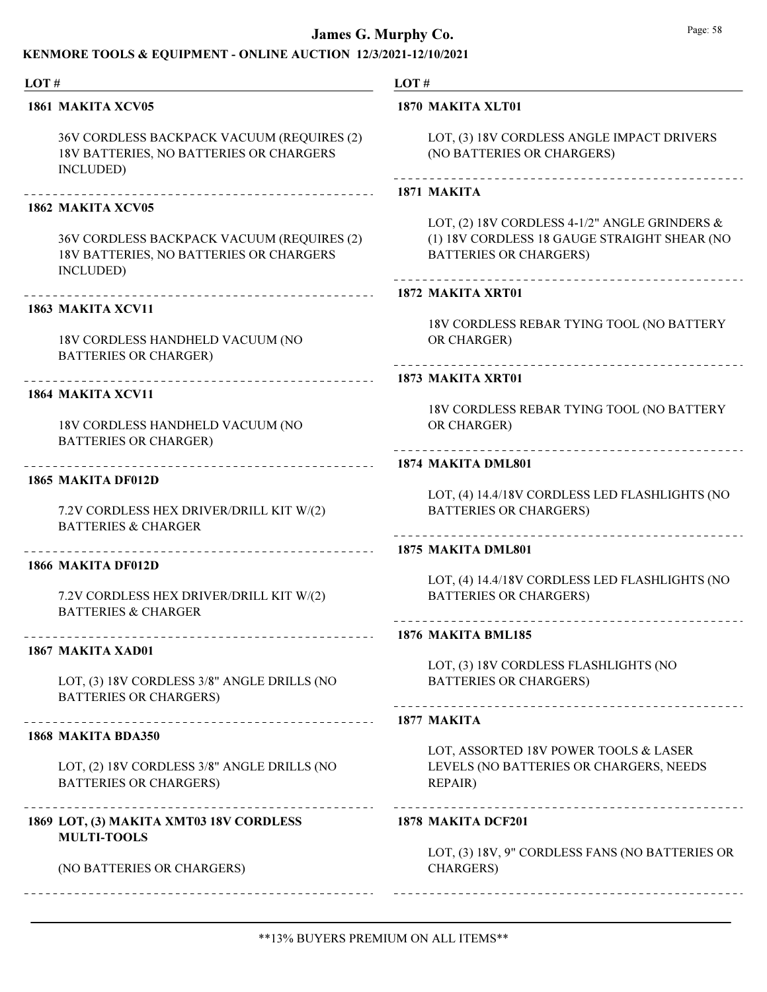### KENMORE TOOLS & EQUIPMENT - ONLINE AUCTION 12/3/2021-12/10/2021

#### LOT # LOT # 1861 MAKITA XCV05 1870 MAKITA XLT01 36V CORDLESS BACKPACK VACUUM (REQUIRES (2) LOT, (3) 18V CORDLESS ANGLE IMPACT DRIVERS 18V BATTERIES, NO BATTERIES OR CHARGERS (NO BATTERIES OR CHARGERS) INCLUDED) 1871 MAKITA 1862 MAKITA XCV05 LOT, (2) 18V CORDLESS 4-1/2" ANGLE GRINDERS & 36V CORDLESS BACKPACK VACUUM (REQUIRES (2) (1) 18V CORDLESS 18 GAUGE STRAIGHT SHEAR (NO 18V BATTERIES, NO BATTERIES OR CHARGERS BATTERIES OR CHARGERS) INCLUDED) 1872 MAKITA XRT01 1863 MAKITA XCV11 18V CORDLESS REBAR TYING TOOL (NO BATTERY 18V CORDLESS HANDHELD VACUUM (NO OR CHARGER) BATTERIES OR CHARGER) 1873 MAKITA XRT01 1864 MAKITA XCV11 18V CORDLESS REBAR TYING TOOL (NO BATTERY 18V CORDLESS HANDHELD VACUUM (NO OR CHARGER) BATTERIES OR CHARGER) 1874 MAKITA DML801 1865 MAKITA DF012D LOT, (4) 14.4/18V CORDLESS LED FLASHLIGHTS (NO 7.2V CORDLESS HEX DRIVER/DRILL KIT W/(2) BATTERIES OR CHARGERS) BATTERIES & CHARGER 1875 MAKITA DML801 1866 MAKITA DF012D LOT, (4) 14.4/18V CORDLESS LED FLASHLIGHTS (NO 7.2V CORDLESS HEX DRIVER/DRILL KIT W/(2) BATTERIES OR CHARGERS) BATTERIES & CHARGER 1876 MAKITA BML185 1867 MAKITA XAD01 LOT, (3) 18V CORDLESS FLASHLIGHTS (NO LOT, (3) 18V CORDLESS 3/8" ANGLE DRILLS (NO BATTERIES OR CHARGERS) BATTERIES OR CHARGERS) 1877 MAKITA 1868 MAKITA BDA350 LOT, ASSORTED 18V POWER TOOLS & LASER LOT, (2) 18V CORDLESS 3/8" ANGLE DRILLS (NO LEVELS (NO BATTERIES OR CHARGERS, NEEDS BATTERIES OR CHARGERS) REPAIR) -----------------------------1869 LOT, (3) MAKITA XMT03 18V CORDLESS 1878 MAKITA DCF201 MULTI-TOOLS LOT, (3) 18V, 9" CORDLESS FANS (NO BATTERIES OR (NO BATTERIES OR CHARGERS) CHARGERS)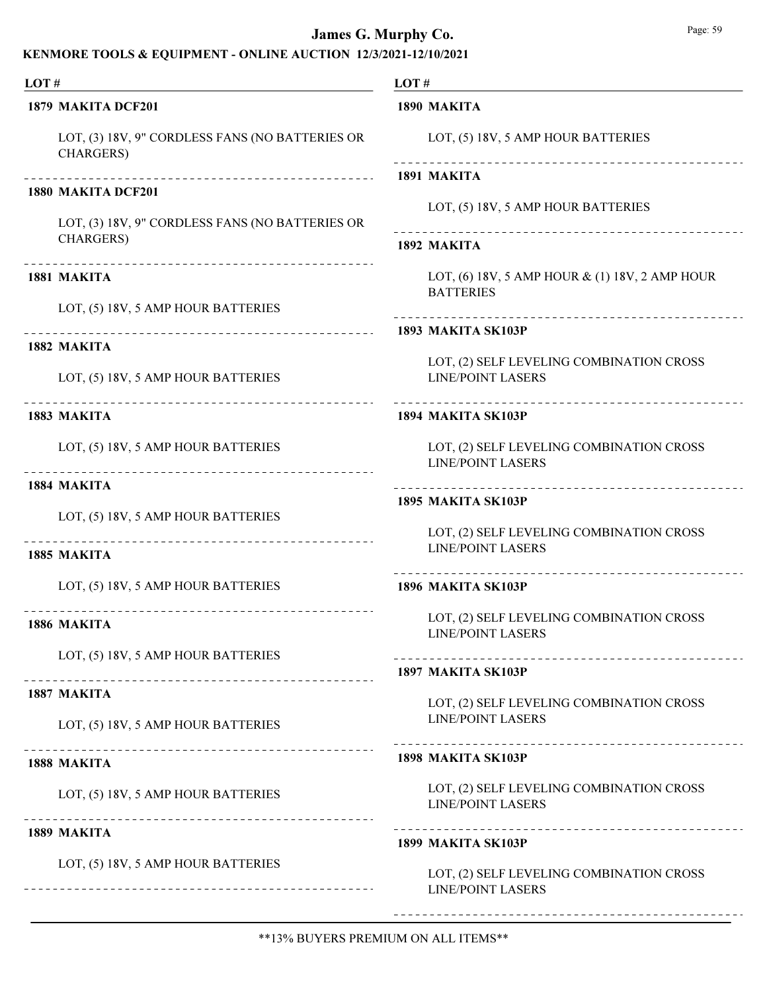## KENMORE TOOLS & EQUIPMENT - ONLINE AUCTION 12/3/2021-12/10/2021

| LOT#<br>1879 MAKITA DCF201 |                                                                      | LOT#<br>1890 MAKITA                                                   |  |
|----------------------------|----------------------------------------------------------------------|-----------------------------------------------------------------------|--|
|                            |                                                                      |                                                                       |  |
| 1880 MAKITA DCF201         |                                                                      | 1891 MAKITA                                                           |  |
|                            | LOT, (3) 18V, 9" CORDLESS FANS (NO BATTERIES OR<br><b>CHARGERS</b> ) | LOT, (5) 18V, 5 AMP HOUR BATTERIES                                    |  |
|                            |                                                                      | 1892 MAKITA                                                           |  |
| 1881 MAKITA                |                                                                      | LOT, (6) 18V, 5 AMP HOUR $\&$ (1) 18V, 2 AMP HOUR<br><b>BATTERIES</b> |  |
|                            | LOT, (5) 18V, 5 AMP HOUR BATTERIES                                   |                                                                       |  |
| 1882 MAKITA                |                                                                      | 1893 MAKITA SK103P                                                    |  |
|                            | LOT, (5) 18V, 5 AMP HOUR BATTERIES                                   | LOT, (2) SELF LEVELING COMBINATION CROSS<br><b>LINE/POINT LASERS</b>  |  |
| 1883 MAKITA                |                                                                      | ---------------------------<br>1894 MAKITA SK103P                     |  |
|                            | LOT, (5) 18V, 5 AMP HOUR BATTERIES                                   | LOT, (2) SELF LEVELING COMBINATION CROSS<br><b>LINE/POINT LASERS</b>  |  |
| 1884 MAKITA                |                                                                      | 1895 MAKITA SK103P                                                    |  |
|                            | LOT, (5) 18V, 5 AMP HOUR BATTERIES                                   |                                                                       |  |
| 1885 MAKITA                |                                                                      | LOT, (2) SELF LEVELING COMBINATION CROSS<br><b>LINE/POINT LASERS</b>  |  |
|                            | LOT, (5) 18V, 5 AMP HOUR BATTERIES                                   | 1896 MAKITA SK103P                                                    |  |
| 1886 MAKITA                |                                                                      | LOT, (2) SELF LEVELING COMBINATION CROSS                              |  |
|                            |                                                                      | <b>LINE/POINT LASERS</b>                                              |  |
|                            | LOT, (5) 18V, 5 AMP HOUR BATTERIES                                   | --------------------------<br>1897 MAKITA SK103P                      |  |
| 1887 MAKITA                |                                                                      | LOT, (2) SELF LEVELING COMBINATION CROSS                              |  |
|                            | LOT, (5) 18V, 5 AMP HOUR BATTERIES                                   | <b>LINE/POINT LASERS</b>                                              |  |
| 1888 MAKITA                |                                                                      | 1898 MAKITA SK103P                                                    |  |
|                            | LOT, (5) 18V, 5 AMP HOUR BATTERIES                                   | LOT, (2) SELF LEVELING COMBINATION CROSS<br><b>LINE/POINT LASERS</b>  |  |
| 1889 MAKITA                |                                                                      | 1899 MAKITA SK103P                                                    |  |
|                            | LOT, (5) 18V, 5 AMP HOUR BATTERIES                                   | LOT, (2) SELF LEVELING COMBINATION CROSS<br><b>LINE/POINT LASERS</b>  |  |

\*\*13% BUYERS PREMIUM ON ALL ITEMS\*\*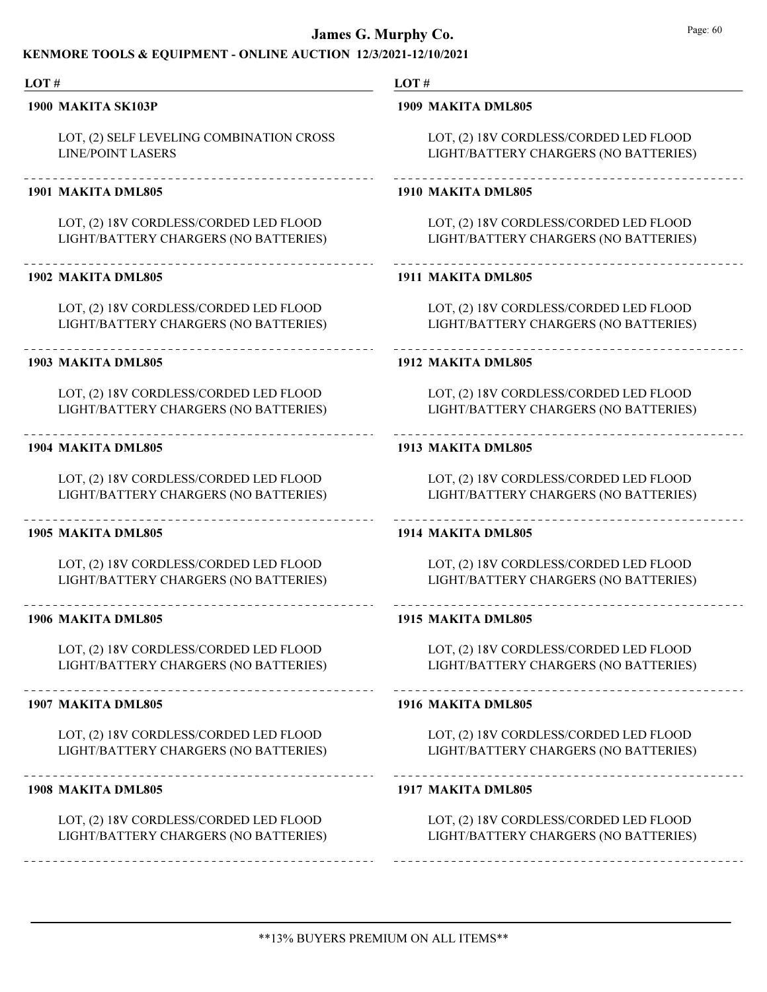### KENMORE TOOLS & EQUIPMENT - ONLINE AUCTION 12/3/2021-12/10/2021

#### **James G. Murphy Co.** Page: 60 LOT # LOT # 1900 MAKITA SK103P 1909 MAKITA DML805 LOT, (2) SELF LEVELING COMBINATION CROSS LOT, (2) 18V CORDLESS/CORDED LED FLOOD LINE/POINT LASERS LIGHT/BATTERY CHARGERS (NO BATTERIES) 1901 MAKITA DML805 1910 MAKITA DML805 LOT, (2) 18V CORDLESS/CORDED LED FLOOD LOT, (2) 18V CORDLESS/CORDED LED FLOOD LIGHT/BATTERY CHARGERS (NO BATTERIES) LIGHT/BATTERY CHARGERS (NO BATTERIES) 1902 MAKITA DML805 1911 MAKITA DML805 LOT, (2) 18V CORDLESS/CORDED LED FLOOD LOT, (2) 18V CORDLESS/CORDED LED FLOOD LIGHT/BATTERY CHARGERS (NO BATTERIES) LIGHT/BATTERY CHARGERS (NO BATTERIES) 1903 MAKITA DML805 1912 MAKITA DML805 LOT, (2) 18V CORDLESS/CORDED LED FLOOD LOT, (2) 18V CORDLESS/CORDED LED FLOOD LIGHT/BATTERY CHARGERS (NO BATTERIES) LIGHT/BATTERY CHARGERS (NO BATTERIES) 1904 MAKITA DML805 1913 MAKITA DML805 LOT, (2) 18V CORDLESS/CORDED LED FLOOD LOT, (2) 18V CORDLESS/CORDED LED FLOOD LIGHT/BATTERY CHARGERS (NO BATTERIES) LIGHT/BATTERY CHARGERS (NO BATTERIES) 1905 MAKITA DML805 1914 MAKITA DML805 LOT, (2) 18V CORDLESS/CORDED LED FLOOD LOT, (2) 18V CORDLESS/CORDED LED FLOOD LIGHT/BATTERY CHARGERS (NO BATTERIES) LIGHT/BATTERY CHARGERS (NO BATTERIES) 1906 MAKITA DML805 1915 MAKITA DML805 LOT, (2) 18V CORDLESS/CORDED LED FLOOD LOT, (2) 18V CORDLESS/CORDED LED FLOOD LIGHT/BATTERY CHARGERS (NO BATTERIES) LIGHT/BATTERY CHARGERS (NO BATTERIES) \_\_\_\_\_\_\_\_\_\_\_\_\_\_\_\_\_\_\_\_\_\_\_\_\_\_\_\_\_\_\_\_\_\_\_\_\_ 1907 MAKITA DML805 1916 MAKITA DML805 LOT, (2) 18V CORDLESS/CORDED LED FLOOD LOT, (2) 18V CORDLESS/CORDED LED FLOOD LIGHT/BATTERY CHARGERS (NO BATTERIES) LIGHT/BATTERY CHARGERS (NO BATTERIES) -------------------------\_\_\_\_\_\_\_\_\_\_\_\_\_\_\_\_\_\_\_\_\_\_\_\_\_\_ 1908 MAKITA DML805 1917 MAKITA DML805 LOT, (2) 18V CORDLESS/CORDED LED FLOOD LOT, (2) 18V CORDLESS/CORDED LED FLOOD LIGHT/BATTERY CHARGERS (NO BATTERIES) LIGHT/BATTERY CHARGERS (NO BATTERIES)

\*\*13% BUYERS PREMIUM ON ALL ITEMS\*\*